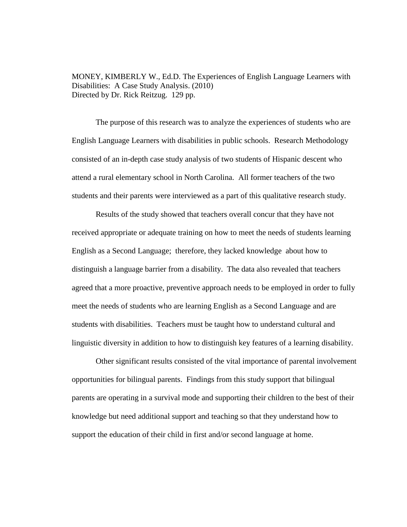MONEY, KIMBERLY W., Ed.D. The Experiences of English Language Learners with Disabilities: A Case Study Analysis. (2010) Directed by Dr. Rick Reitzug. 129 pp.

The purpose of this research was to analyze the experiences of students who are English Language Learners with disabilities in public schools. Research Methodology consisted of an in-depth case study analysis of two students of Hispanic descent who attend a rural elementary school in North Carolina. All former teachers of the two students and their parents were interviewed as a part of this qualitative research study.

Results of the study showed that teachers overall concur that they have not received appropriate or adequate training on how to meet the needs of students learning English as a Second Language; therefore, they lacked knowledge about how to distinguish a language barrier from a disability. The data also revealed that teachers agreed that a more proactive, preventive approach needs to be employed in order to fully meet the needs of students who are learning English as a Second Language and are students with disabilities. Teachers must be taught how to understand cultural and linguistic diversity in addition to how to distinguish key features of a learning disability.

Other significant results consisted of the vital importance of parental involvement opportunities for bilingual parents. Findings from this study support that bilingual parents are operating in a survival mode and supporting their children to the best of their knowledge but need additional support and teaching so that they understand how to support the education of their child in first and/or second language at home.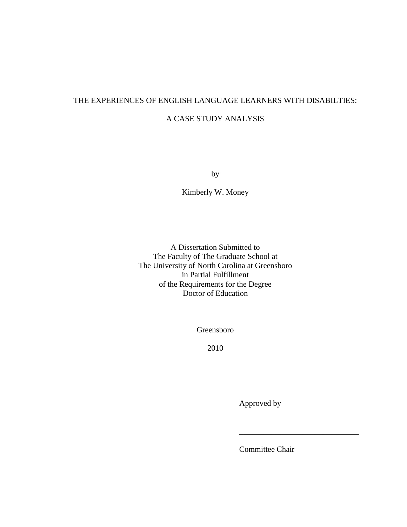# THE EXPERIENCES OF ENGLISH LANGUAGE LEARNERS WITH DISABILTIES:

# A CASE STUDY ANALYSIS

by

Kimberly W. Money

A Dissertation Submitted to The Faculty of The Graduate School at The University of North Carolina at Greensboro in Partial Fulfillment of the Requirements for the Degree Doctor of Education

Greensboro

2010

Approved by

Committee Chair

\_\_\_\_\_\_\_\_\_\_\_\_\_\_\_\_\_\_\_\_\_\_\_\_\_\_\_\_\_\_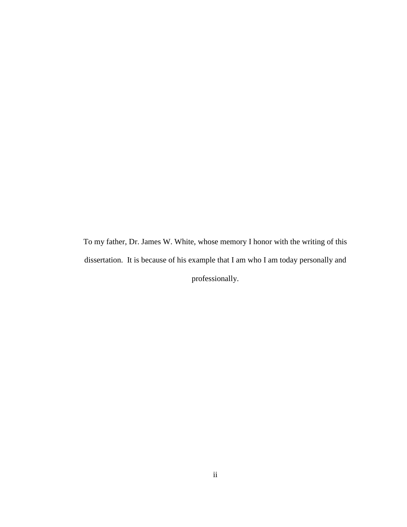To my father, Dr. James W. White, whose memory I honor with the writing of this dissertation. It is because of his example that I am who I am today personally and professionally.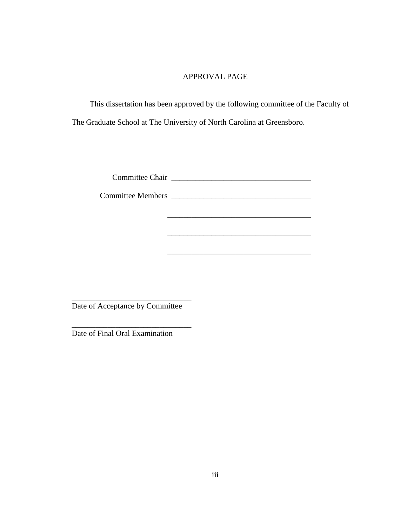## APPROVAL PAGE

This dissertation has been approved by the following committee of the Faculty of The Graduate School at The University of North Carolina at Greensboro.

Committee Chair \_\_\_\_\_\_\_\_\_\_\_\_\_\_\_\_\_\_\_\_\_\_\_\_\_\_\_\_\_\_\_\_\_\_\_

Committee Members \_\_\_\_\_\_\_\_\_\_\_\_\_\_\_\_\_\_\_\_\_\_\_\_\_\_\_\_\_\_\_\_\_\_\_

\_\_\_\_\_\_\_\_\_\_\_\_\_\_\_\_\_\_\_\_\_\_\_\_\_\_\_\_\_\_\_\_\_\_\_\_

\_\_\_\_\_\_\_\_\_\_\_\_\_\_\_\_\_\_\_\_\_\_\_\_\_\_\_\_\_\_\_\_\_\_\_\_

\_\_\_\_\_\_\_\_\_\_\_\_\_\_\_\_\_\_\_\_\_\_\_\_\_\_\_\_\_\_ Date of Acceptance by Committee

\_\_\_\_\_\_\_\_\_\_\_\_\_\_\_\_\_\_\_\_\_\_\_\_\_\_\_\_\_\_

Date of Final Oral Examination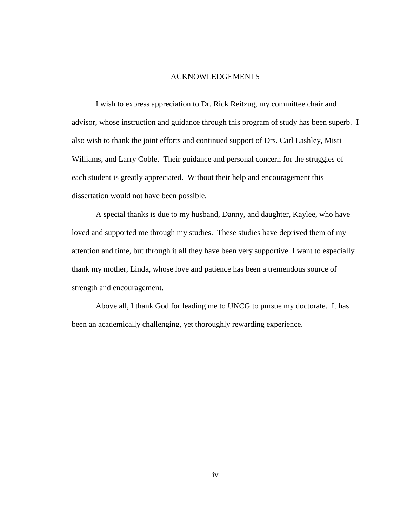#### ACKNOWLEDGEMENTS

I wish to express appreciation to Dr. Rick Reitzug, my committee chair and advisor, whose instruction and guidance through this program of study has been superb. I also wish to thank the joint efforts and continued support of Drs. Carl Lashley, Misti Williams, and Larry Coble. Their guidance and personal concern for the struggles of each student is greatly appreciated. Without their help and encouragement this dissertation would not have been possible.

A special thanks is due to my husband, Danny, and daughter, Kaylee, who have loved and supported me through my studies. These studies have deprived them of my attention and time, but through it all they have been very supportive. I want to especially thank my mother, Linda, whose love and patience has been a tremendous source of strength and encouragement.

Above all, I thank God for leading me to UNCG to pursue my doctorate. It has been an academically challenging, yet thoroughly rewarding experience.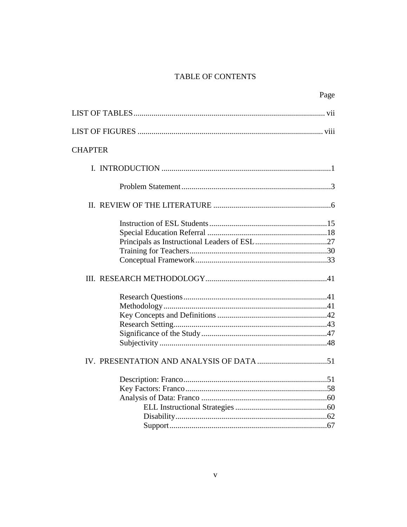# TABLE OF CONTENTS

| Page           |
|----------------|
|                |
|                |
| <b>CHAPTER</b> |
|                |
|                |
|                |
|                |
|                |
|                |
|                |
|                |
|                |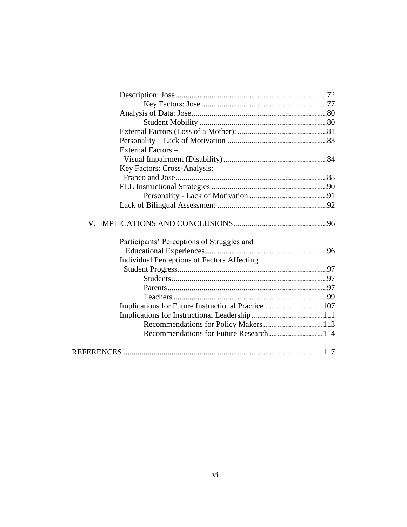| External Factors-                                  |  |
|----------------------------------------------------|--|
|                                                    |  |
| Key Factors: Cross-Analysis:                       |  |
|                                                    |  |
|                                                    |  |
|                                                    |  |
|                                                    |  |
| Participants' Perceptions of Struggles and         |  |
| <b>Individual Perceptions of Factors Affecting</b> |  |
|                                                    |  |
|                                                    |  |
|                                                    |  |
|                                                    |  |
| Implications for Future Instructional Practice 107 |  |
|                                                    |  |
| Recommendations for Policy Makers113               |  |
|                                                    |  |
|                                                    |  |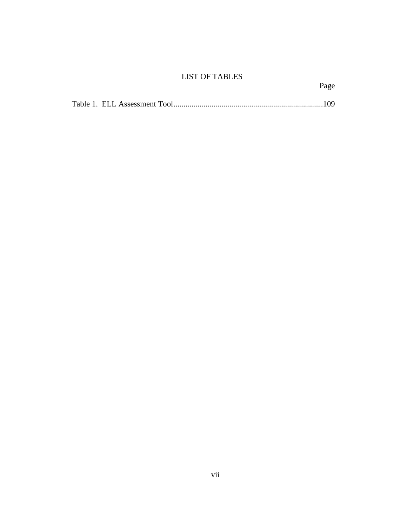# LIST OF TABLES

Page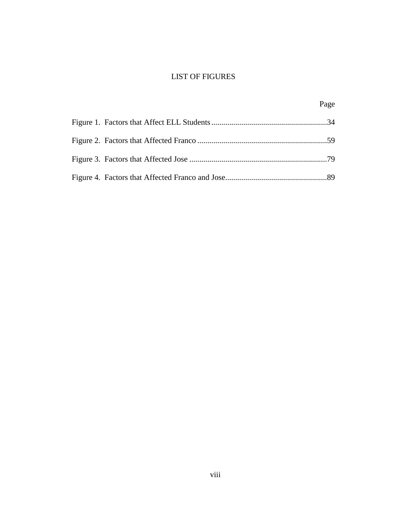# LIST OF FIGURES

|  | Page |
|--|------|
|  |      |
|  |      |
|  |      |
|  |      |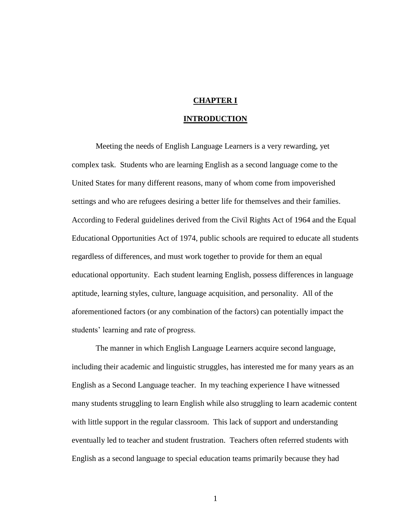## **CHAPTER I**

### **INTRODUCTION**

Meeting the needs of English Language Learners is a very rewarding, yet complex task. Students who are learning English as a second language come to the United States for many different reasons, many of whom come from impoverished settings and who are refugees desiring a better life for themselves and their families. According to Federal guidelines derived from the Civil Rights Act of 1964 and the Equal Educational Opportunities Act of 1974, public schools are required to educate all students regardless of differences, and must work together to provide for them an equal educational opportunity. Each student learning English, possess differences in language aptitude, learning styles, culture, language acquisition, and personality. All of the aforementioned factors (or any combination of the factors) can potentially impact the students' learning and rate of progress.

The manner in which English Language Learners acquire second language, including their academic and linguistic struggles, has interested me for many years as an English as a Second Language teacher. In my teaching experience I have witnessed many students struggling to learn English while also struggling to learn academic content with little support in the regular classroom. This lack of support and understanding eventually led to teacher and student frustration. Teachers often referred students with English as a second language to special education teams primarily because they had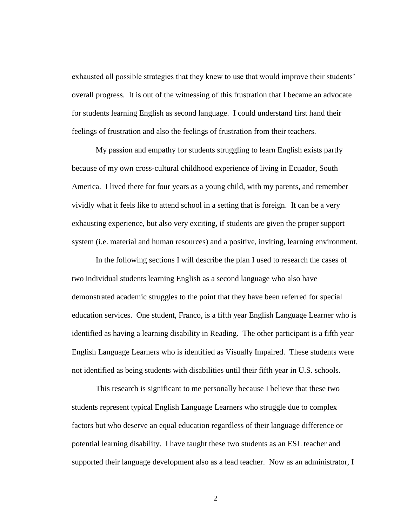exhausted all possible strategies that they knew to use that would improve their students' overall progress. It is out of the witnessing of this frustration that I became an advocate for students learning English as second language. I could understand first hand their feelings of frustration and also the feelings of frustration from their teachers.

My passion and empathy for students struggling to learn English exists partly because of my own cross-cultural childhood experience of living in Ecuador, South America. I lived there for four years as a young child, with my parents, and remember vividly what it feels like to attend school in a setting that is foreign. It can be a very exhausting experience, but also very exciting, if students are given the proper support system (i.e. material and human resources) and a positive, inviting, learning environment.

In the following sections I will describe the plan I used to research the cases of two individual students learning English as a second language who also have demonstrated academic struggles to the point that they have been referred for special education services. One student, Franco, is a fifth year English Language Learner who is identified as having a learning disability in Reading. The other participant is a fifth year English Language Learners who is identified as Visually Impaired. These students were not identified as being students with disabilities until their fifth year in U.S. schools.

This research is significant to me personally because I believe that these two students represent typical English Language Learners who struggle due to complex factors but who deserve an equal education regardless of their language difference or potential learning disability. I have taught these two students as an ESL teacher and supported their language development also as a lead teacher. Now as an administrator, I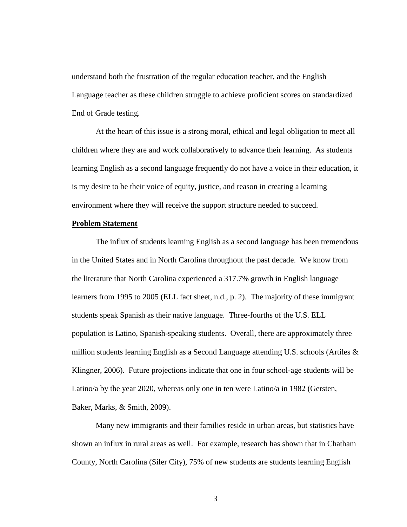understand both the frustration of the regular education teacher, and the English Language teacher as these children struggle to achieve proficient scores on standardized End of Grade testing.

At the heart of this issue is a strong moral, ethical and legal obligation to meet all children where they are and work collaboratively to advance their learning. As students learning English as a second language frequently do not have a voice in their education, it is my desire to be their voice of equity, justice, and reason in creating a learning environment where they will receive the support structure needed to succeed.

#### **Problem Statement**

The influx of students learning English as a second language has been tremendous in the United States and in North Carolina throughout the past decade. We know from the literature that North Carolina experienced a 317.7% growth in English language learners from 1995 to 2005 (ELL fact sheet, n.d., p. 2). The majority of these immigrant students speak Spanish as their native language. Three-fourths of the U.S. ELL population is Latino, Spanish-speaking students. Overall, there are approximately three million students learning English as a Second Language attending U.S. schools (Artiles & Klingner, 2006). Future projections indicate that one in four school-age students will be Latino/a by the year 2020, whereas only one in ten were Latino/a in 1982 (Gersten, Baker, Marks, & Smith, 2009).

Many new immigrants and their families reside in urban areas, but statistics have shown an influx in rural areas as well. For example, research has shown that in Chatham County, North Carolina (Siler City), 75% of new students are students learning English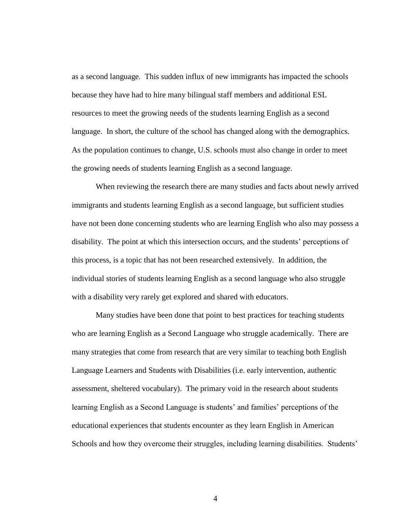as a second language. This sudden influx of new immigrants has impacted the schools because they have had to hire many bilingual staff members and additional ESL resources to meet the growing needs of the students learning English as a second language. In short, the culture of the school has changed along with the demographics. As the population continues to change, U.S. schools must also change in order to meet the growing needs of students learning English as a second language.

When reviewing the research there are many studies and facts about newly arrived immigrants and students learning English as a second language, but sufficient studies have not been done concerning students who are learning English who also may possess a disability. The point at which this intersection occurs, and the students' perceptions of this process, is a topic that has not been researched extensively. In addition, the individual stories of students learning English as a second language who also struggle with a disability very rarely get explored and shared with educators.

Many studies have been done that point to best practices for teaching students who are learning English as a Second Language who struggle academically. There are many strategies that come from research that are very similar to teaching both English Language Learners and Students with Disabilities (i.e. early intervention, authentic assessment, sheltered vocabulary). The primary void in the research about students learning English as a Second Language is students' and families' perceptions of the educational experiences that students encounter as they learn English in American Schools and how they overcome their struggles, including learning disabilities. Students'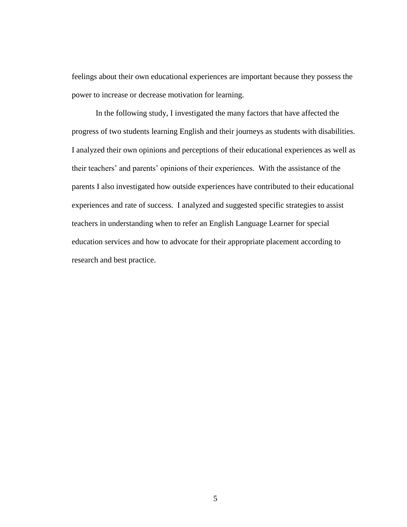feelings about their own educational experiences are important because they possess the power to increase or decrease motivation for learning.

In the following study, I investigated the many factors that have affected the progress of two students learning English and their journeys as students with disabilities. I analyzed their own opinions and perceptions of their educational experiences as well as their teachers' and parents' opinions of their experiences. With the assistance of the parents I also investigated how outside experiences have contributed to their educational experiences and rate of success. I analyzed and suggested specific strategies to assist teachers in understanding when to refer an English Language Learner for special education services and how to advocate for their appropriate placement according to research and best practice.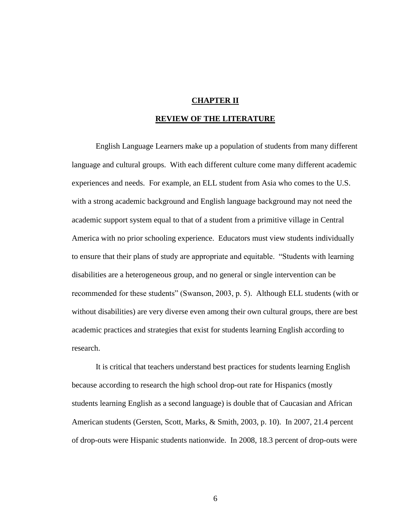## **CHAPTER II**

#### **REVIEW OF THE LITERATURE**

English Language Learners make up a population of students from many different language and cultural groups. With each different culture come many different academic experiences and needs. For example, an ELL student from Asia who comes to the U.S. with a strong academic background and English language background may not need the academic support system equal to that of a student from a primitive village in Central America with no prior schooling experience. Educators must view students individually to ensure that their plans of study are appropriate and equitable. "Students with learning disabilities are a heterogeneous group, and no general or single intervention can be recommended for these students" (Swanson, 2003, p. 5). Although ELL students (with or without disabilities) are very diverse even among their own cultural groups, there are best academic practices and strategies that exist for students learning English according to research.

It is critical that teachers understand best practices for students learning English because according to research the high school drop-out rate for Hispanics (mostly students learning English as a second language) is double that of Caucasian and African American students (Gersten, Scott, Marks, & Smith, 2003, p. 10). In 2007, 21.4 percent of drop-outs were Hispanic students nationwide. In 2008, 18.3 percent of drop-outs were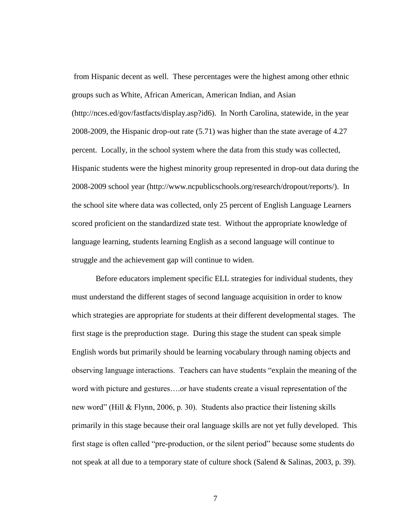from Hispanic decent as well. These percentages were the highest among other ethnic groups such as White, African American, American Indian, and Asian (http://nces.ed/gov/fastfacts/display.asp?id6). In North Carolina, statewide, in the year 2008-2009, the Hispanic drop-out rate (5.71) was higher than the state average of 4.27 percent. Locally, in the school system where the data from this study was collected, Hispanic students were the highest minority group represented in drop-out data during the 2008-2009 school year (http://www.ncpublicschools.org/research/dropout/reports/). In the school site where data was collected, only 25 percent of English Language Learners scored proficient on the standardized state test. Without the appropriate knowledge of language learning, students learning English as a second language will continue to struggle and the achievement gap will continue to widen.

Before educators implement specific ELL strategies for individual students, they must understand the different stages of second language acquisition in order to know which strategies are appropriate for students at their different developmental stages. The first stage is the preproduction stage. During this stage the student can speak simple English words but primarily should be learning vocabulary through naming objects and observing language interactions. Teachers can have students "explain the meaning of the word with picture and gestures….or have students create a visual representation of the new word" (Hill & Flynn, 2006, p. 30). Students also practice their listening skills primarily in this stage because their oral language skills are not yet fully developed. This first stage is often called "pre-production, or the silent period" because some students do not speak at all due to a temporary state of culture shock (Salend & Salinas, 2003, p. 39).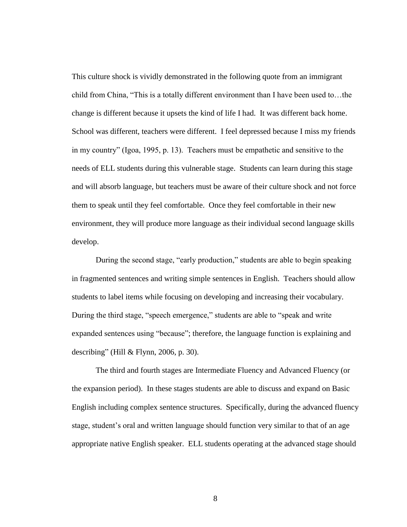This culture shock is vividly demonstrated in the following quote from an immigrant child from China, "This is a totally different environment than I have been used to...the change is different because it upsets the kind of life I had. It was different back home. School was different, teachers were different. I feel depressed because I miss my friends in my country" (Igoa, 1995, p. 13). Teachers must be empathetic and sensitive to the needs of ELL students during this vulnerable stage. Students can learn during this stage and will absorb language, but teachers must be aware of their culture shock and not force them to speak until they feel comfortable. Once they feel comfortable in their new environment, they will produce more language as their individual second language skills develop.

During the second stage, "early production," students are able to begin speaking in fragmented sentences and writing simple sentences in English. Teachers should allow students to label items while focusing on developing and increasing their vocabulary. During the third stage, "speech emergence," students are able to "speak and write expanded sentences using "because"; therefore, the language function is explaining and describing" (Hill & Flynn, 2006, p. 30).

The third and fourth stages are Intermediate Fluency and Advanced Fluency (or the expansion period). In these stages students are able to discuss and expand on Basic English including complex sentence structures. Specifically, during the advanced fluency stage, student's oral and written language should function very similar to that of an age appropriate native English speaker. ELL students operating at the advanced stage should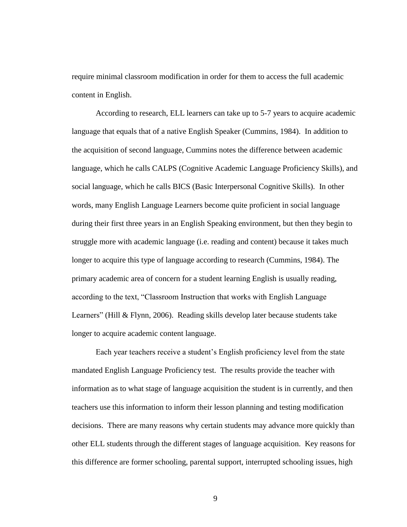require minimal classroom modification in order for them to access the full academic content in English.

According to research, ELL learners can take up to 5-7 years to acquire academic language that equals that of a native English Speaker (Cummins, 1984). In addition to the acquisition of second language, Cummins notes the difference between academic language, which he calls CALPS (Cognitive Academic Language Proficiency Skills), and social language, which he calls BICS (Basic Interpersonal Cognitive Skills). In other words, many English Language Learners become quite proficient in social language during their first three years in an English Speaking environment, but then they begin to struggle more with academic language (i.e. reading and content) because it takes much longer to acquire this type of language according to research (Cummins, 1984). The primary academic area of concern for a student learning English is usually reading, according to the text, "Classroom Instruction that works with English Language Learners" (Hill & Flynn, 2006). Reading skills develop later because students take longer to acquire academic content language.

Each year teachers receive a student's English proficiency level from the state mandated English Language Proficiency test. The results provide the teacher with information as to what stage of language acquisition the student is in currently, and then teachers use this information to inform their lesson planning and testing modification decisions. There are many reasons why certain students may advance more quickly than other ELL students through the different stages of language acquisition. Key reasons for this difference are former schooling, parental support, interrupted schooling issues, high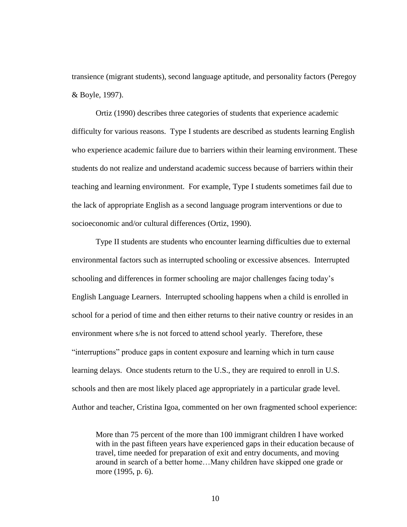transience (migrant students), second language aptitude, and personality factors (Peregoy & Boyle, 1997).

Ortiz (1990) describes three categories of students that experience academic difficulty for various reasons. Type I students are described as students learning English who experience academic failure due to barriers within their learning environment. These students do not realize and understand academic success because of barriers within their teaching and learning environment. For example, Type I students sometimes fail due to the lack of appropriate English as a second language program interventions or due to socioeconomic and/or cultural differences (Ortiz, 1990).

Type II students are students who encounter learning difficulties due to external environmental factors such as interrupted schooling or excessive absences. Interrupted schooling and differences in former schooling are major challenges facing today's English Language Learners. Interrupted schooling happens when a child is enrolled in school for a period of time and then either returns to their native country or resides in an environment where s/he is not forced to attend school yearly. Therefore, these "interruptions" produce gaps in content exposure and learning which in turn cause learning delays. Once students return to the U.S., they are required to enroll in U.S. schools and then are most likely placed age appropriately in a particular grade level. Author and teacher, Cristina Igoa, commented on her own fragmented school experience:

More than 75 percent of the more than 100 immigrant children I have worked with in the past fifteen years have experienced gaps in their education because of travel, time needed for preparation of exit and entry documents, and moving around in search of a better home…Many children have skipped one grade or more (1995, p. 6).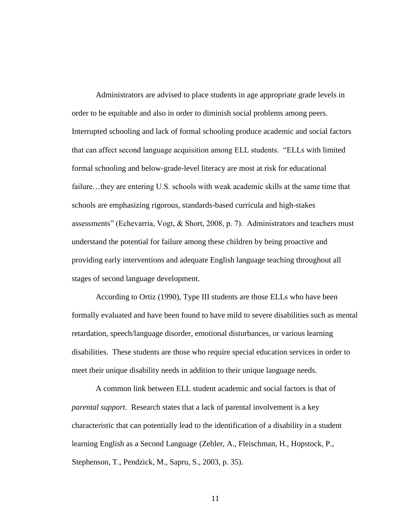Administrators are advised to place students in age appropriate grade levels in order to be equitable and also in order to diminish social problems among peers. Interrupted schooling and lack of formal schooling produce academic and social factors that can affect second language acquisition among ELL students. "ELLs with limited formal schooling and below-grade-level literacy are most at risk for educational failure...they are entering U.S. schools with weak academic skills at the same time that schools are emphasizing rigorous, standards-based curricula and high-stakes assessments" (Echevarria, Vogt, & Short, 2008, p. 7). Administrators and teachers must understand the potential for failure among these children by being proactive and providing early interventions and adequate English language teaching throughout all stages of second language development.

According to Ortiz (1990), Type III students are those ELLs who have been formally evaluated and have been found to have mild to severe disabilities such as mental retardation, speech/language disorder, emotional disturbances, or various learning disabilities. These students are those who require special education services in order to meet their unique disability needs in addition to their unique language needs.

A common link between ELL student academic and social factors is that of *parental support.* Research states that a lack of parental involvement is a key characteristic that can potentially lead to the identification of a disability in a student learning English as a Second Language (Zehler, A., Fleischman, H., Hopstock, P., Stephenson, T., Pendzick, M., Sapru, S., 2003, p. 35).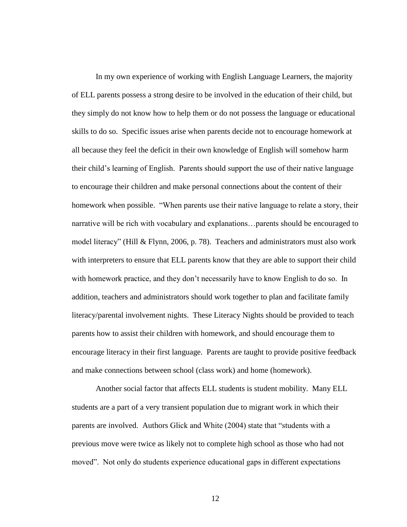In my own experience of working with English Language Learners, the majority of ELL parents possess a strong desire to be involved in the education of their child, but they simply do not know how to help them or do not possess the language or educational skills to do so. Specific issues arise when parents decide not to encourage homework at all because they feel the deficit in their own knowledge of English will somehow harm their child's learning of English. Parents should support the use of their native language to encourage their children and make personal connections about the content of their homework when possible. "When parents use their native language to relate a story, their narrative will be rich with vocabulary and explanations…parents should be encouraged to model literacy" (Hill & Flynn, 2006, p. 78). Teachers and administrators must also work with interpreters to ensure that ELL parents know that they are able to support their child with homework practice, and they don't necessarily have to know English to do so. In addition, teachers and administrators should work together to plan and facilitate family literacy/parental involvement nights. These Literacy Nights should be provided to teach parents how to assist their children with homework, and should encourage them to encourage literacy in their first language. Parents are taught to provide positive feedback and make connections between school (class work) and home (homework).

Another social factor that affects ELL students is student mobility. Many ELL students are a part of a very transient population due to migrant work in which their parents are involved. Authors Glick and White (2004) state that "students with a previous move were twice as likely not to complete high school as those who had not moved". Not only do students experience educational gaps in different expectations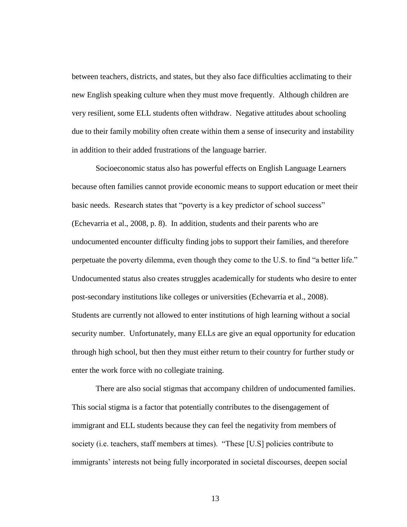between teachers, districts, and states, but they also face difficulties acclimating to their new English speaking culture when they must move frequently. Although children are very resilient, some ELL students often withdraw. Negative attitudes about schooling due to their family mobility often create within them a sense of insecurity and instability in addition to their added frustrations of the language barrier.

Socioeconomic status also has powerful effects on English Language Learners because often families cannot provide economic means to support education or meet their basic needs. Research states that "poverty is a key predictor of school success" (Echevarria et al., 2008, p. 8). In addition, students and their parents who are undocumented encounter difficulty finding jobs to support their families, and therefore perpetuate the poverty dilemma, even though they come to the U.S. to find "a better life." Undocumented status also creates struggles academically for students who desire to enter post-secondary institutions like colleges or universities (Echevarria et al., 2008). Students are currently not allowed to enter institutions of high learning without a social security number. Unfortunately, many ELLs are give an equal opportunity for education through high school, but then they must either return to their country for further study or enter the work force with no collegiate training.

There are also social stigmas that accompany children of undocumented families. This social stigma is a factor that potentially contributes to the disengagement of immigrant and ELL students because they can feel the negativity from members of society (i.e. teachers, staff members at times). "These [U.S] policies contribute to immigrants' interests not being fully incorporated in societal discourses, deepen social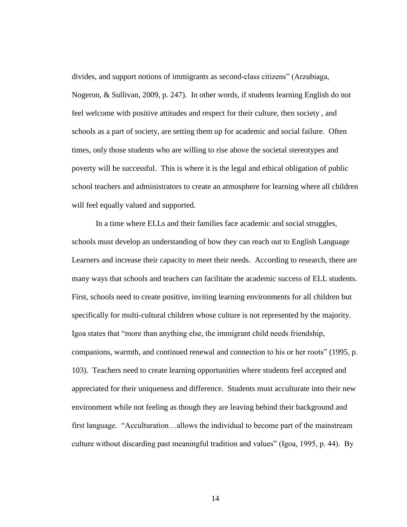divides, and support notions of immigrants as second-class citizens" (Arzubiaga, Nogeron, & Sullivan, 2009, p. 247). In other words, if students learning English do not feel welcome with positive attitudes and respect for their culture, then society , and schools as a part of society, are setting them up for academic and social failure. Often times, only those students who are willing to rise above the societal stereotypes and poverty will be successful. This is where it is the legal and ethical obligation of public school teachers and administrators to create an atmosphere for learning where all children will feel equally valued and supported.

In a time where ELLs and their families face academic and social struggles, schools must develop an understanding of how they can reach out to English Language Learners and increase their capacity to meet their needs. According to research, there are many ways that schools and teachers can facilitate the academic success of ELL students. First, schools need to create positive, inviting learning environments for all children but specifically for multi-cultural children whose culture is not represented by the majority. Igoa states that "more than anything else, the immigrant child needs friendship, companions, warmth, and continued renewal and connection to his or her roots" (1995, p. 103). Teachers need to create learning opportunities where students feel accepted and appreciated for their uniqueness and difference. Students must acculturate into their new environment while not feeling as though they are leaving behind their background and first language. "Acculturation...allows the individual to become part of the mainstream culture without discarding past meaningful tradition and values" (Igoa, 1995, p. 44). By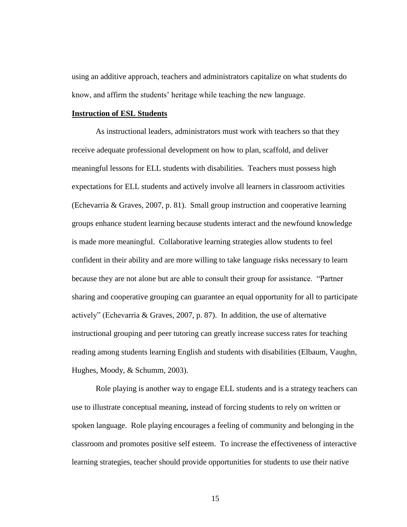using an additive approach, teachers and administrators capitalize on what students do know, and affirm the students' heritage while teaching the new language.

#### **Instruction of ESL Students**

As instructional leaders, administrators must work with teachers so that they receive adequate professional development on how to plan, scaffold, and deliver meaningful lessons for ELL students with disabilities. Teachers must possess high expectations for ELL students and actively involve all learners in classroom activities (Echevarria & Graves, 2007, p. 81). Small group instruction and cooperative learning groups enhance student learning because students interact and the newfound knowledge is made more meaningful. Collaborative learning strategies allow students to feel confident in their ability and are more willing to take language risks necessary to learn because they are not alone but are able to consult their group for assistance. "Partner" sharing and cooperative grouping can guarantee an equal opportunity for all to participate actively" (Echevarria & Graves, 2007, p. 87). In addition, the use of alternative instructional grouping and peer tutoring can greatly increase success rates for teaching reading among students learning English and students with disabilities (Elbaum, Vaughn, Hughes, Moody, & Schumm, 2003).

Role playing is another way to engage ELL students and is a strategy teachers can use to illustrate conceptual meaning, instead of forcing students to rely on written or spoken language. Role playing encourages a feeling of community and belonging in the classroom and promotes positive self esteem. To increase the effectiveness of interactive learning strategies, teacher should provide opportunities for students to use their native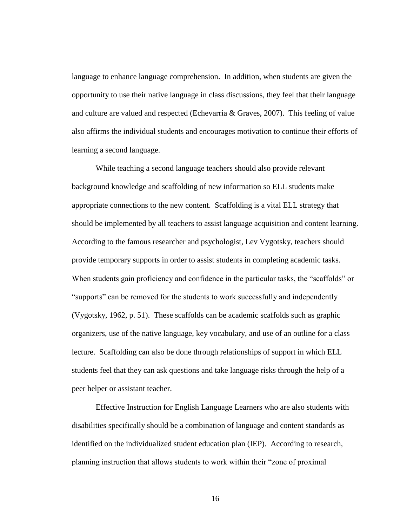language to enhance language comprehension. In addition, when students are given the opportunity to use their native language in class discussions, they feel that their language and culture are valued and respected (Echevarria & Graves, 2007). This feeling of value also affirms the individual students and encourages motivation to continue their efforts of learning a second language.

While teaching a second language teachers should also provide relevant background knowledge and scaffolding of new information so ELL students make appropriate connections to the new content. Scaffolding is a vital ELL strategy that should be implemented by all teachers to assist language acquisition and content learning. According to the famous researcher and psychologist, Lev Vygotsky, teachers should provide temporary supports in order to assist students in completing academic tasks. When students gain proficiency and confidence in the particular tasks, the "scaffolds" or ―supports‖ can be removed for the students to work successfully and independently (Vygotsky, 1962, p. 51). These scaffolds can be academic scaffolds such as graphic organizers, use of the native language, key vocabulary, and use of an outline for a class lecture. Scaffolding can also be done through relationships of support in which ELL students feel that they can ask questions and take language risks through the help of a peer helper or assistant teacher.

Effective Instruction for English Language Learners who are also students with disabilities specifically should be a combination of language and content standards as identified on the individualized student education plan (IEP). According to research, planning instruction that allows students to work within their "zone of proximal"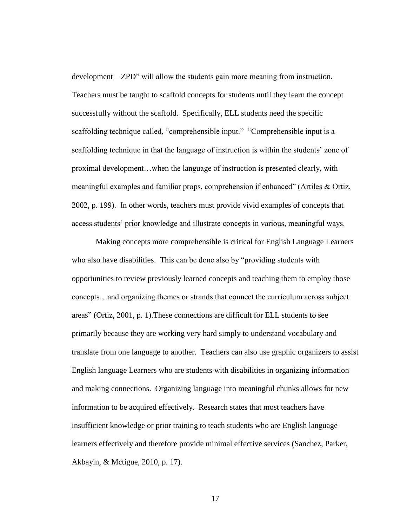$development - ZPD''$  will allow the students gain more meaning from instruction. Teachers must be taught to scaffold concepts for students until they learn the concept successfully without the scaffold. Specifically, ELL students need the specific scaffolding technique called, "comprehensible input." "Comprehensible input is a scaffolding technique in that the language of instruction is within the students' zone of proximal development…when the language of instruction is presented clearly, with meaningful examples and familiar props, comprehension if enhanced" (Artiles & Ortiz, 2002, p. 199). In other words, teachers must provide vivid examples of concepts that access students' prior knowledge and illustrate concepts in various, meaningful ways.

Making concepts more comprehensible is critical for English Language Learners who also have disabilities. This can be done also by "providing students with opportunities to review previously learned concepts and teaching them to employ those concepts…and organizing themes or strands that connect the curriculum across subject areas" (Ortiz,  $2001$ , p. 1). These connections are difficult for ELL students to see primarily because they are working very hard simply to understand vocabulary and translate from one language to another. Teachers can also use graphic organizers to assist English language Learners who are students with disabilities in organizing information and making connections. Organizing language into meaningful chunks allows for new information to be acquired effectively. Research states that most teachers have insufficient knowledge or prior training to teach students who are English language learners effectively and therefore provide minimal effective services (Sanchez, Parker, Akbayin, & Mctigue, 2010, p. 17).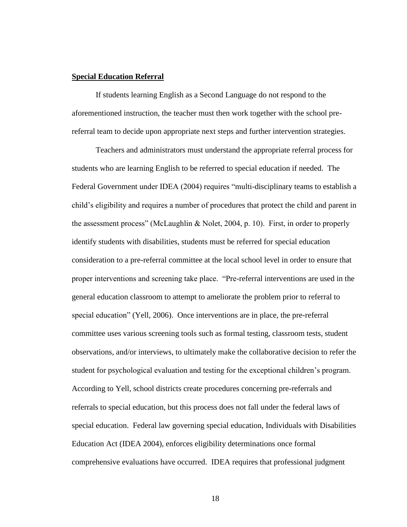#### **Special Education Referral**

If students learning English as a Second Language do not respond to the aforementioned instruction, the teacher must then work together with the school prereferral team to decide upon appropriate next steps and further intervention strategies.

Teachers and administrators must understand the appropriate referral process for students who are learning English to be referred to special education if needed. The Federal Government under IDEA (2004) requires "multi-disciplinary teams to establish a child's eligibility and requires a number of procedures that protect the child and parent in the assessment process" (McLaughlin & Nolet, 2004, p. 10). First, in order to properly identify students with disabilities, students must be referred for special education consideration to a pre-referral committee at the local school level in order to ensure that proper interventions and screening take place. "Pre-referral interventions are used in the general education classroom to attempt to ameliorate the problem prior to referral to special education" (Yell, 2006). Once interventions are in place, the pre-referral committee uses various screening tools such as formal testing, classroom tests, student observations, and/or interviews, to ultimately make the collaborative decision to refer the student for psychological evaluation and testing for the exceptional children's program. According to Yell, school districts create procedures concerning pre-referrals and referrals to special education, but this process does not fall under the federal laws of special education. Federal law governing special education, Individuals with Disabilities Education Act (IDEA 2004), enforces eligibility determinations once formal comprehensive evaluations have occurred. IDEA requires that professional judgment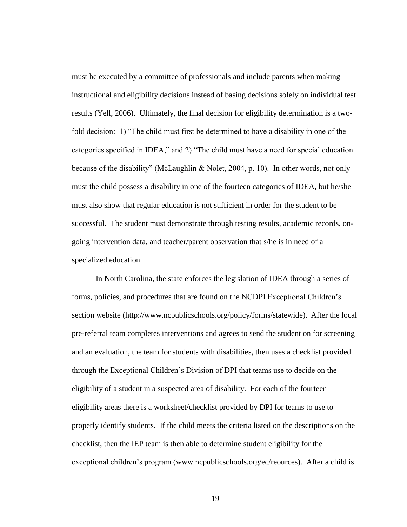must be executed by a committee of professionals and include parents when making instructional and eligibility decisions instead of basing decisions solely on individual test results (Yell, 2006). Ultimately, the final decision for eligibility determination is a twofold decision: 1) "The child must first be determined to have a disability in one of the categories specified in IDEA," and 2) "The child must have a need for special education because of the disability" (McLaughlin & Nolet, 2004, p. 10). In other words, not only must the child possess a disability in one of the fourteen categories of IDEA, but he/she must also show that regular education is not sufficient in order for the student to be successful. The student must demonstrate through testing results, academic records, ongoing intervention data, and teacher/parent observation that s/he is in need of a specialized education.

In North Carolina, the state enforces the legislation of IDEA through a series of forms, policies, and procedures that are found on the NCDPI Exceptional Children's section website (http://www.ncpublicschools.org/policy/forms/statewide). After the local pre-referral team completes interventions and agrees to send the student on for screening and an evaluation, the team for students with disabilities, then uses a checklist provided through the Exceptional Children's Division of DPI that teams use to decide on the eligibility of a student in a suspected area of disability. For each of the fourteen eligibility areas there is a worksheet/checklist provided by DPI for teams to use to properly identify students. If the child meets the criteria listed on the descriptions on the checklist, then the IEP team is then able to determine student eligibility for the exceptional children's program (www.ncpublicschools.org/ec/reources). After a child is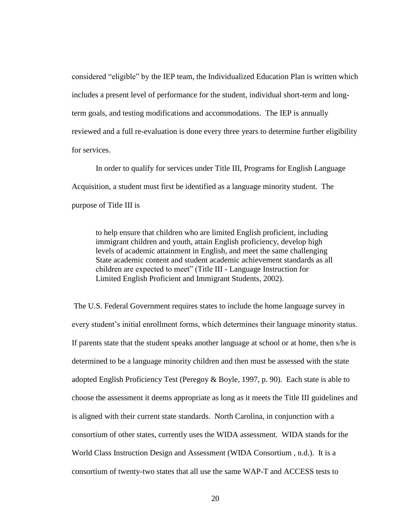considered "eligible" by the IEP team, the Individualized Education Plan is written which includes a present level of performance for the student, individual short-term and longterm goals, and testing modifications and accommodations. The IEP is annually reviewed and a full re-evaluation is done every three years to determine further eligibility for services.

In order to qualify for services under Title III, Programs for English Language Acquisition, a student must first be identified as a language minority student. The purpose of Title III is

to help ensure that children who are limited English proficient, including immigrant children and youth, attain English proficiency, develop high levels of academic attainment in English, and meet the same challenging State academic content and student academic achievement standards as all children are expected to meet" (Title III - Language Instruction for Limited English Proficient and Immigrant Students, 2002).

The U.S. Federal Government requires states to include the home language survey in every student's initial enrollment forms, which determines their language minority status. If parents state that the student speaks another language at school or at home, then s/he is determined to be a language minority children and then must be assessed with the state adopted English Proficiency Test (Peregoy & Boyle, 1997, p. 90). Each state is able to choose the assessment it deems appropriate as long as it meets the Title III guidelines and is aligned with their current state standards. North Carolina, in conjunction with a consortium of other states, currently uses the WIDA assessment. WIDA stands for the World Class Instruction Design and Assessment (WIDA Consortium , n.d.). It is a consortium of twenty-two states that all use the same WAP-T and ACCESS tests to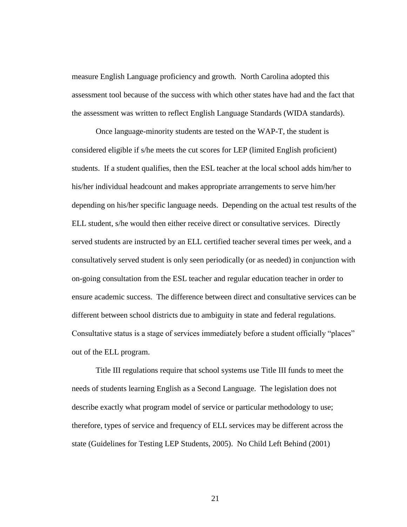measure English Language proficiency and growth. North Carolina adopted this assessment tool because of the success with which other states have had and the fact that the assessment was written to reflect English Language Standards (WIDA standards).

Once language-minority students are tested on the WAP-T, the student is considered eligible if s/he meets the cut scores for LEP (limited English proficient) students. If a student qualifies, then the ESL teacher at the local school adds him/her to his/her individual headcount and makes appropriate arrangements to serve him/her depending on his/her specific language needs. Depending on the actual test results of the ELL student, s/he would then either receive direct or consultative services. Directly served students are instructed by an ELL certified teacher several times per week, and a consultatively served student is only seen periodically (or as needed) in conjunction with on-going consultation from the ESL teacher and regular education teacher in order to ensure academic success. The difference between direct and consultative services can be different between school districts due to ambiguity in state and federal regulations. Consultative status is a stage of services immediately before a student officially "places" out of the ELL program.

Title III regulations require that school systems use Title III funds to meet the needs of students learning English as a Second Language. The legislation does not describe exactly what program model of service or particular methodology to use; therefore, types of service and frequency of ELL services may be different across the state (Guidelines for Testing LEP Students, 2005). No Child Left Behind (2001)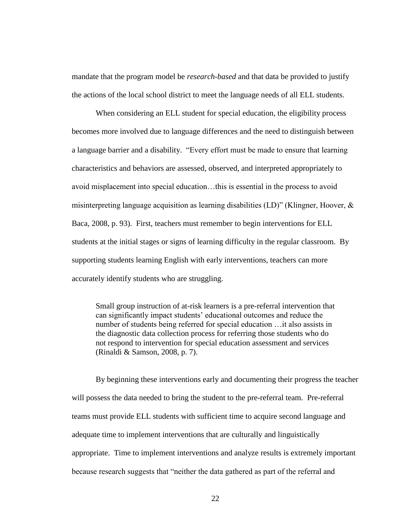mandate that the program model be *research-based* and that data be provided to justify the actions of the local school district to meet the language needs of all ELL students.

When considering an ELL student for special education, the eligibility process becomes more involved due to language differences and the need to distinguish between a language barrier and a disability. "Every effort must be made to ensure that learning characteristics and behaviors are assessed, observed, and interpreted appropriately to avoid misplacement into special education…this is essential in the process to avoid misinterpreting language acquisition as learning disabilities  $(LD)$ " (Klingner, Hoover,  $\&$ Baca, 2008, p. 93). First, teachers must remember to begin interventions for ELL students at the initial stages or signs of learning difficulty in the regular classroom. By supporting students learning English with early interventions, teachers can more accurately identify students who are struggling.

Small group instruction of at-risk learners is a pre-referral intervention that can significantly impact students' educational outcomes and reduce the number of students being referred for special education …it also assists in the diagnostic data collection process for referring those students who do not respond to intervention for special education assessment and services (Rinaldi & Samson, 2008, p. 7).

By beginning these interventions early and documenting their progress the teacher will possess the data needed to bring the student to the pre-referral team. Pre-referral teams must provide ELL students with sufficient time to acquire second language and adequate time to implement interventions that are culturally and linguistically appropriate. Time to implement interventions and analyze results is extremely important because research suggests that "neither the data gathered as part of the referral and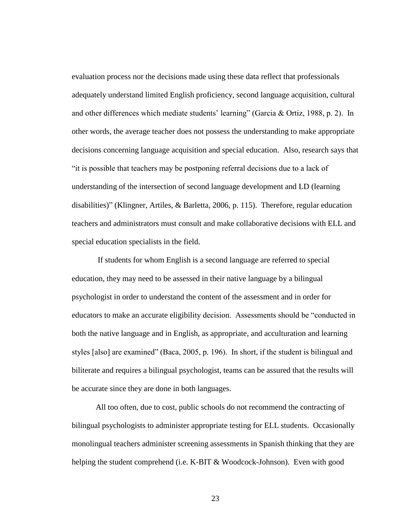evaluation process nor the decisions made using these data reflect that professionals adequately understand limited English proficiency, second language acquisition, cultural and other differences which mediate students' learning" (Garcia & Ortiz, 1988, p. 2). In other words, the average teacher does not possess the understanding to make appropriate decisions concerning language acquisition and special education. Also, research says that ―it is possible that teachers may be postponing referral decisions due to a lack of understanding of the intersection of second language development and LD (learning disabilities)" (Klingner, Artiles, & Barletta, 2006, p. 115). Therefore, regular education teachers and administrators must consult and make collaborative decisions with ELL and special education specialists in the field.

If students for whom English is a second language are referred to special education, they may need to be assessed in their native language by a bilingual psychologist in order to understand the content of the assessment and in order for educators to make an accurate eligibility decision. Assessments should be "conducted in both the native language and in English, as appropriate, and acculturation and learning styles [also] are examined" (Baca, 2005, p. 196). In short, if the student is bilingual and biliterate and requires a bilingual psychologist, teams can be assured that the results will be accurate since they are done in both languages.

All too often, due to cost, public schools do not recommend the contracting of bilingual psychologists to administer appropriate testing for ELL students. Occasionally monolingual teachers administer screening assessments in Spanish thinking that they are helping the student comprehend (i.e. K-BIT & Woodcock-Johnson). Even with good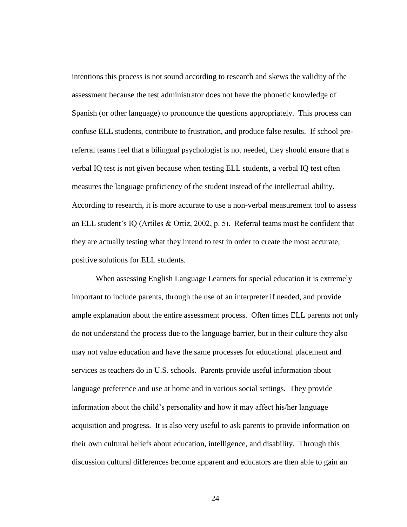intentions this process is not sound according to research and skews the validity of the assessment because the test administrator does not have the phonetic knowledge of Spanish (or other language) to pronounce the questions appropriately. This process can confuse ELL students, contribute to frustration, and produce false results. If school prereferral teams feel that a bilingual psychologist is not needed, they should ensure that a verbal IQ test is not given because when testing ELL students, a verbal IQ test often measures the language proficiency of the student instead of the intellectual ability. According to research, it is more accurate to use a non-verbal measurement tool to assess an ELL student's IQ (Artiles & Ortiz, 2002, p. 5). Referral teams must be confident that they are actually testing what they intend to test in order to create the most accurate, positive solutions for ELL students.

When assessing English Language Learners for special education it is extremely important to include parents, through the use of an interpreter if needed, and provide ample explanation about the entire assessment process. Often times ELL parents not only do not understand the process due to the language barrier, but in their culture they also may not value education and have the same processes for educational placement and services as teachers do in U.S. schools. Parents provide useful information about language preference and use at home and in various social settings. They provide information about the child's personality and how it may affect his/her language acquisition and progress. It is also very useful to ask parents to provide information on their own cultural beliefs about education, intelligence, and disability. Through this discussion cultural differences become apparent and educators are then able to gain an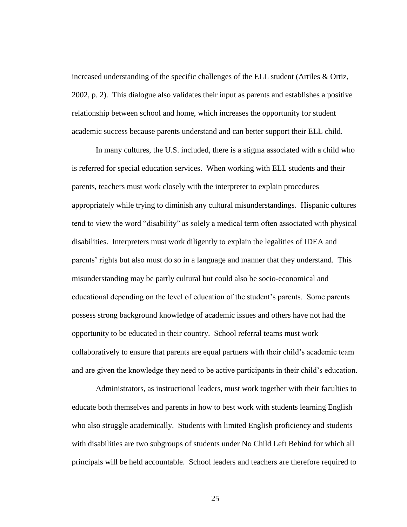increased understanding of the specific challenges of the ELL student (Artiles & Ortiz, 2002, p. 2). This dialogue also validates their input as parents and establishes a positive relationship between school and home, which increases the opportunity for student academic success because parents understand and can better support their ELL child.

In many cultures, the U.S. included, there is a stigma associated with a child who is referred for special education services. When working with ELL students and their parents, teachers must work closely with the interpreter to explain procedures appropriately while trying to diminish any cultural misunderstandings. Hispanic cultures tend to view the word "disability" as solely a medical term often associated with physical disabilities. Interpreters must work diligently to explain the legalities of IDEA and parents' rights but also must do so in a language and manner that they understand. This misunderstanding may be partly cultural but could also be socio-economical and educational depending on the level of education of the student's parents. Some parents possess strong background knowledge of academic issues and others have not had the opportunity to be educated in their country. School referral teams must work collaboratively to ensure that parents are equal partners with their child's academic team and are given the knowledge they need to be active participants in their child's education.

Administrators, as instructional leaders, must work together with their faculties to educate both themselves and parents in how to best work with students learning English who also struggle academically. Students with limited English proficiency and students with disabilities are two subgroups of students under No Child Left Behind for which all principals will be held accountable. School leaders and teachers are therefore required to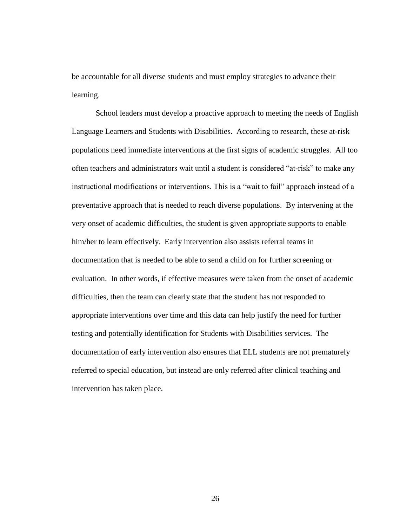be accountable for all diverse students and must employ strategies to advance their learning.

School leaders must develop a proactive approach to meeting the needs of English Language Learners and Students with Disabilities. According to research, these at-risk populations need immediate interventions at the first signs of academic struggles. All too often teachers and administrators wait until a student is considered "at-risk" to make any instructional modifications or interventions. This is a "wait to fail" approach instead of a preventative approach that is needed to reach diverse populations. By intervening at the very onset of academic difficulties, the student is given appropriate supports to enable him/her to learn effectively. Early intervention also assists referral teams in documentation that is needed to be able to send a child on for further screening or evaluation. In other words, if effective measures were taken from the onset of academic difficulties, then the team can clearly state that the student has not responded to appropriate interventions over time and this data can help justify the need for further testing and potentially identification for Students with Disabilities services. The documentation of early intervention also ensures that ELL students are not prematurely referred to special education, but instead are only referred after clinical teaching and intervention has taken place.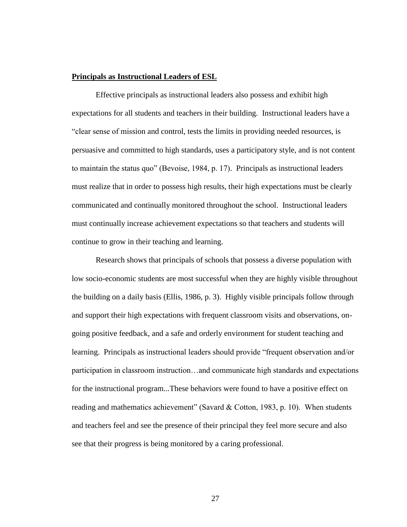## **Principals as Instructional Leaders of ESL**

Effective principals as instructional leaders also possess and exhibit high expectations for all students and teachers in their building. Instructional leaders have a ―clear sense of mission and control, tests the limits in providing needed resources, is persuasive and committed to high standards, uses a participatory style, and is not content to maintain the status quo" (Bevoise, 1984, p. 17). Principals as instructional leaders must realize that in order to possess high results, their high expectations must be clearly communicated and continually monitored throughout the school. Instructional leaders must continually increase achievement expectations so that teachers and students will continue to grow in their teaching and learning.

Research shows that principals of schools that possess a diverse population with low socio-economic students are most successful when they are highly visible throughout the building on a daily basis (Ellis, 1986, p. 3). Highly visible principals follow through and support their high expectations with frequent classroom visits and observations, ongoing positive feedback, and a safe and orderly environment for student teaching and learning. Principals as instructional leaders should provide "frequent observation and/or participation in classroom instruction…and communicate high standards and expectations for the instructional program...These behaviors were found to have a positive effect on reading and mathematics achievement" (Savard & Cotton, 1983, p. 10). When students and teachers feel and see the presence of their principal they feel more secure and also see that their progress is being monitored by a caring professional.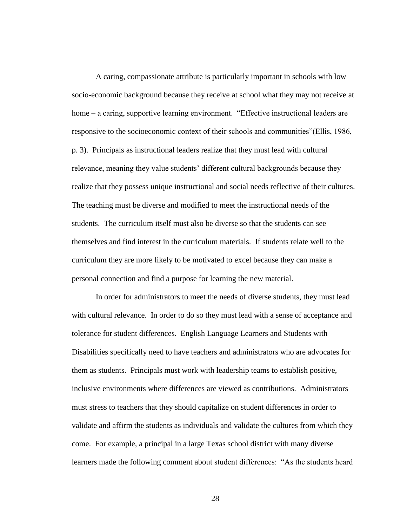A caring, compassionate attribute is particularly important in schools with low socio-economic background because they receive at school what they may not receive at home – a caring, supportive learning environment. "Effective instructional leaders are responsive to the socioeconomic context of their schools and communities"(Ellis, 1986, p. 3). Principals as instructional leaders realize that they must lead with cultural relevance, meaning they value students' different cultural backgrounds because they realize that they possess unique instructional and social needs reflective of their cultures. The teaching must be diverse and modified to meet the instructional needs of the students. The curriculum itself must also be diverse so that the students can see themselves and find interest in the curriculum materials. If students relate well to the curriculum they are more likely to be motivated to excel because they can make a personal connection and find a purpose for learning the new material.

In order for administrators to meet the needs of diverse students, they must lead with cultural relevance. In order to do so they must lead with a sense of acceptance and tolerance for student differences. English Language Learners and Students with Disabilities specifically need to have teachers and administrators who are advocates for them as students. Principals must work with leadership teams to establish positive, inclusive environments where differences are viewed as contributions. Administrators must stress to teachers that they should capitalize on student differences in order to validate and affirm the students as individuals and validate the cultures from which they come. For example, a principal in a large Texas school district with many diverse learners made the following comment about student differences: "As the students heard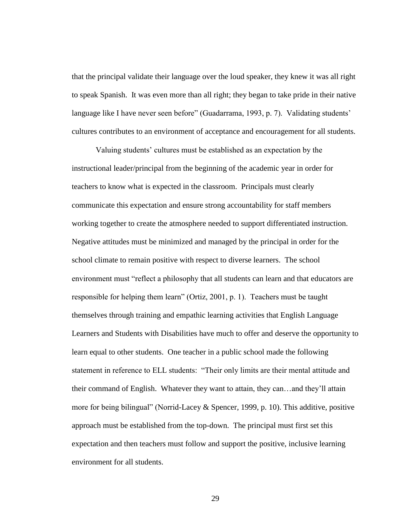that the principal validate their language over the loud speaker, they knew it was all right to speak Spanish. It was even more than all right; they began to take pride in their native language like I have never seen before" (Guadarrama, 1993, p. 7). Validating students' cultures contributes to an environment of acceptance and encouragement for all students.

Valuing students' cultures must be established as an expectation by the instructional leader/principal from the beginning of the academic year in order for teachers to know what is expected in the classroom. Principals must clearly communicate this expectation and ensure strong accountability for staff members working together to create the atmosphere needed to support differentiated instruction. Negative attitudes must be minimized and managed by the principal in order for the school climate to remain positive with respect to diverse learners. The school environment must "reflect a philosophy that all students can learn and that educators are responsible for helping them learn" (Ortiz, 2001, p. 1). Teachers must be taught themselves through training and empathic learning activities that English Language Learners and Students with Disabilities have much to offer and deserve the opportunity to learn equal to other students. One teacher in a public school made the following statement in reference to ELL students: "Their only limits are their mental attitude and their command of English. Whatever they want to attain, they can…and they'll attain more for being bilingual" (Norrid-Lacey & Spencer, 1999, p. 10). This additive, positive approach must be established from the top-down. The principal must first set this expectation and then teachers must follow and support the positive, inclusive learning environment for all students.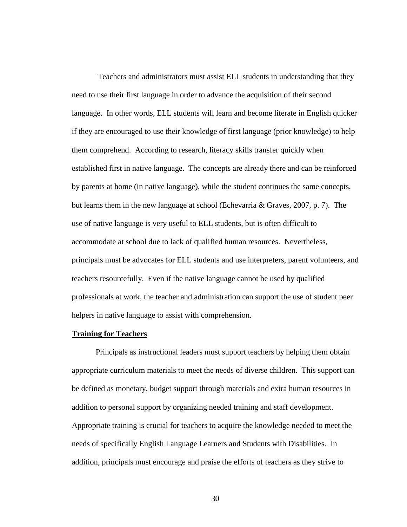Teachers and administrators must assist ELL students in understanding that they need to use their first language in order to advance the acquisition of their second language. In other words, ELL students will learn and become literate in English quicker if they are encouraged to use their knowledge of first language (prior knowledge) to help them comprehend. According to research, literacy skills transfer quickly when established first in native language. The concepts are already there and can be reinforced by parents at home (in native language), while the student continues the same concepts, but learns them in the new language at school (Echevarria & Graves, 2007, p. 7). The use of native language is very useful to ELL students, but is often difficult to accommodate at school due to lack of qualified human resources. Nevertheless, principals must be advocates for ELL students and use interpreters, parent volunteers, and teachers resourcefully. Even if the native language cannot be used by qualified professionals at work, the teacher and administration can support the use of student peer helpers in native language to assist with comprehension.

#### **Training for Teachers**

Principals as instructional leaders must support teachers by helping them obtain appropriate curriculum materials to meet the needs of diverse children. This support can be defined as monetary, budget support through materials and extra human resources in addition to personal support by organizing needed training and staff development. Appropriate training is crucial for teachers to acquire the knowledge needed to meet the needs of specifically English Language Learners and Students with Disabilities. In addition, principals must encourage and praise the efforts of teachers as they strive to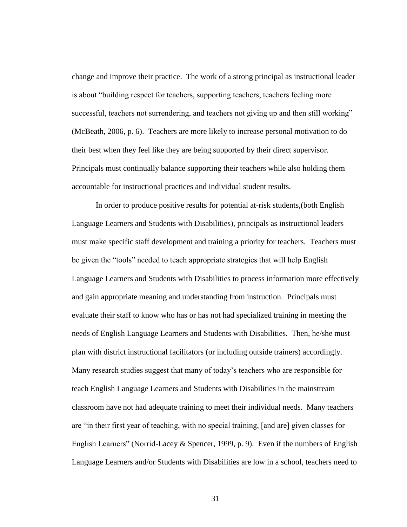change and improve their practice. The work of a strong principal as instructional leader is about "building respect for teachers, supporting teachers, teachers feeling more successful, teachers not surrendering, and teachers not giving up and then still working" (McBeath, 2006, p. 6). Teachers are more likely to increase personal motivation to do their best when they feel like they are being supported by their direct supervisor. Principals must continually balance supporting their teachers while also holding them accountable for instructional practices and individual student results.

In order to produce positive results for potential at-risk students,(both English Language Learners and Students with Disabilities), principals as instructional leaders must make specific staff development and training a priority for teachers. Teachers must be given the "tools" needed to teach appropriate strategies that will help English Language Learners and Students with Disabilities to process information more effectively and gain appropriate meaning and understanding from instruction. Principals must evaluate their staff to know who has or has not had specialized training in meeting the needs of English Language Learners and Students with Disabilities. Then, he/she must plan with district instructional facilitators (or including outside trainers) accordingly. Many research studies suggest that many of today's teachers who are responsible for teach English Language Learners and Students with Disabilities in the mainstream classroom have not had adequate training to meet their individual needs. Many teachers are "in their first year of teaching, with no special training, [and are] given classes for English Learners" (Norrid-Lacey & Spencer, 1999, p. 9). Even if the numbers of English Language Learners and/or Students with Disabilities are low in a school, teachers need to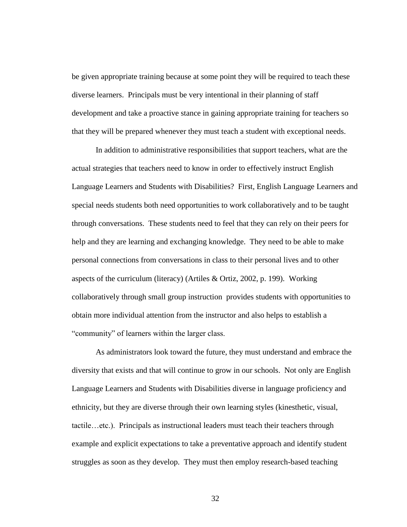be given appropriate training because at some point they will be required to teach these diverse learners. Principals must be very intentional in their planning of staff development and take a proactive stance in gaining appropriate training for teachers so that they will be prepared whenever they must teach a student with exceptional needs.

In addition to administrative responsibilities that support teachers, what are the actual strategies that teachers need to know in order to effectively instruct English Language Learners and Students with Disabilities? First, English Language Learners and special needs students both need opportunities to work collaboratively and to be taught through conversations. These students need to feel that they can rely on their peers for help and they are learning and exchanging knowledge. They need to be able to make personal connections from conversations in class to their personal lives and to other aspects of the curriculum (literacy) (Artiles & Ortiz, 2002, p. 199). Working collaboratively through small group instruction provides students with opportunities to obtain more individual attention from the instructor and also helps to establish a "community" of learners within the larger class.

As administrators look toward the future, they must understand and embrace the diversity that exists and that will continue to grow in our schools. Not only are English Language Learners and Students with Disabilities diverse in language proficiency and ethnicity, but they are diverse through their own learning styles (kinesthetic, visual, tactile…etc.). Principals as instructional leaders must teach their teachers through example and explicit expectations to take a preventative approach and identify student struggles as soon as they develop. They must then employ research-based teaching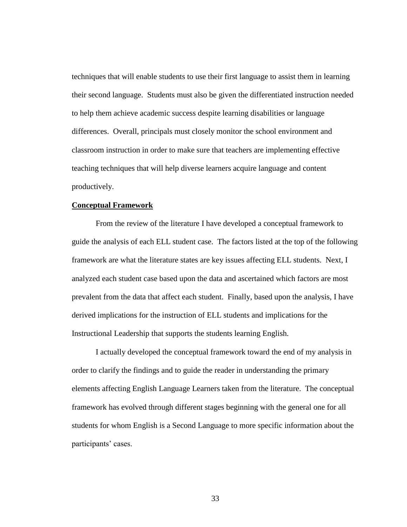techniques that will enable students to use their first language to assist them in learning their second language. Students must also be given the differentiated instruction needed to help them achieve academic success despite learning disabilities or language differences. Overall, principals must closely monitor the school environment and classroom instruction in order to make sure that teachers are implementing effective teaching techniques that will help diverse learners acquire language and content productively.

# **Conceptual Framework**

From the review of the literature I have developed a conceptual framework to guide the analysis of each ELL student case. The factors listed at the top of the following framework are what the literature states are key issues affecting ELL students. Next, I analyzed each student case based upon the data and ascertained which factors are most prevalent from the data that affect each student. Finally, based upon the analysis, I have derived implications for the instruction of ELL students and implications for the Instructional Leadership that supports the students learning English.

I actually developed the conceptual framework toward the end of my analysis in order to clarify the findings and to guide the reader in understanding the primary elements affecting English Language Learners taken from the literature. The conceptual framework has evolved through different stages beginning with the general one for all students for whom English is a Second Language to more specific information about the participants' cases.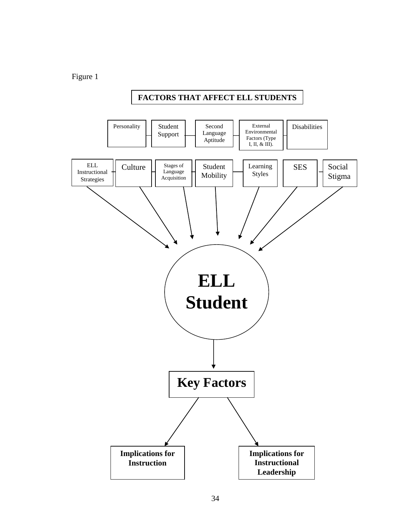Figure 1

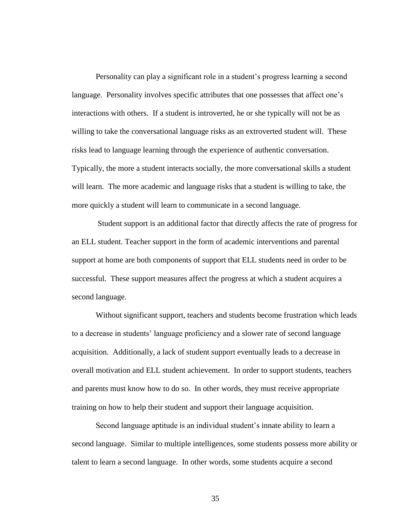Personality can play a significant role in a student's progress learning a second language. Personality involves specific attributes that one possesses that affect one's interactions with others. If a student is introverted, he or she typically will not be as willing to take the conversational language risks as an extroverted student will. These risks lead to language learning through the experience of authentic conversation. Typically, the more a student interacts socially, the more conversational skills a student will learn. The more academic and language risks that a student is willing to take, the more quickly a student will learn to communicate in a second language.

Student support is an additional factor that directly affects the rate of progress for an ELL student. Teacher support in the form of academic interventions and parental support at home are both components of support that ELL students need in order to be successful. These support measures affect the progress at which a student acquires a second language.

Without significant support, teachers and students become frustration which leads to a decrease in students' language proficiency and a slower rate of second language acquisition. Additionally, a lack of student support eventually leads to a decrease in overall motivation and ELL student achievement. In order to support students, teachers and parents must know how to do so. In other words, they must receive appropriate training on how to help their student and support their language acquisition.

Second language aptitude is an individual student's innate ability to learn a second language. Similar to multiple intelligences, some students possess more ability or talent to learn a second language. In other words, some students acquire a second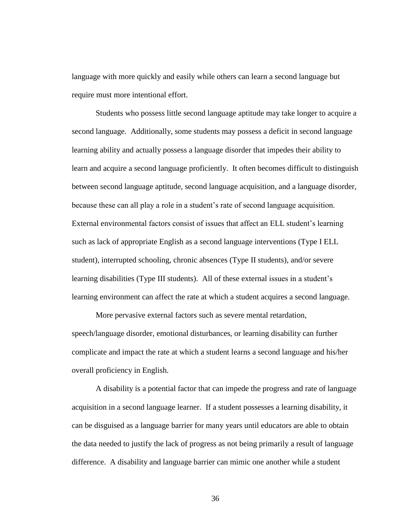language with more quickly and easily while others can learn a second language but require must more intentional effort.

Students who possess little second language aptitude may take longer to acquire a second language. Additionally, some students may possess a deficit in second language learning ability and actually possess a language disorder that impedes their ability to learn and acquire a second language proficiently. It often becomes difficult to distinguish between second language aptitude, second language acquisition, and a language disorder, because these can all play a role in a student's rate of second language acquisition. External environmental factors consist of issues that affect an ELL student's learning such as lack of appropriate English as a second language interventions (Type I ELL student), interrupted schooling, chronic absences (Type II students), and/or severe learning disabilities (Type III students). All of these external issues in a student's learning environment can affect the rate at which a student acquires a second language.

More pervasive external factors such as severe mental retardation, speech/language disorder, emotional disturbances, or learning disability can further complicate and impact the rate at which a student learns a second language and his/her overall proficiency in English.

A disability is a potential factor that can impede the progress and rate of language acquisition in a second language learner. If a student possesses a learning disability, it can be disguised as a language barrier for many years until educators are able to obtain the data needed to justify the lack of progress as not being primarily a result of language difference. A disability and language barrier can mimic one another while a student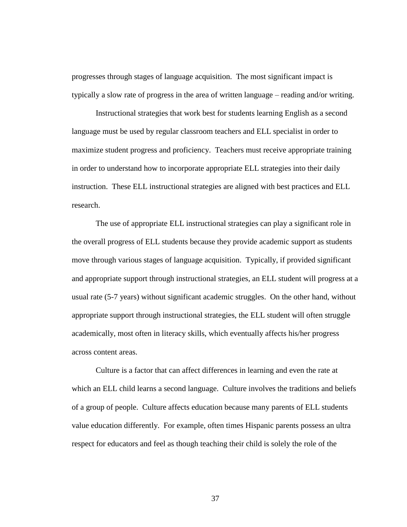progresses through stages of language acquisition. The most significant impact is typically a slow rate of progress in the area of written language – reading and/or writing.

Instructional strategies that work best for students learning English as a second language must be used by regular classroom teachers and ELL specialist in order to maximize student progress and proficiency. Teachers must receive appropriate training in order to understand how to incorporate appropriate ELL strategies into their daily instruction. These ELL instructional strategies are aligned with best practices and ELL research.

The use of appropriate ELL instructional strategies can play a significant role in the overall progress of ELL students because they provide academic support as students move through various stages of language acquisition. Typically, if provided significant and appropriate support through instructional strategies, an ELL student will progress at a usual rate (5-7 years) without significant academic struggles. On the other hand, without appropriate support through instructional strategies, the ELL student will often struggle academically, most often in literacy skills, which eventually affects his/her progress across content areas.

Culture is a factor that can affect differences in learning and even the rate at which an ELL child learns a second language. Culture involves the traditions and beliefs of a group of people. Culture affects education because many parents of ELL students value education differently. For example, often times Hispanic parents possess an ultra respect for educators and feel as though teaching their child is solely the role of the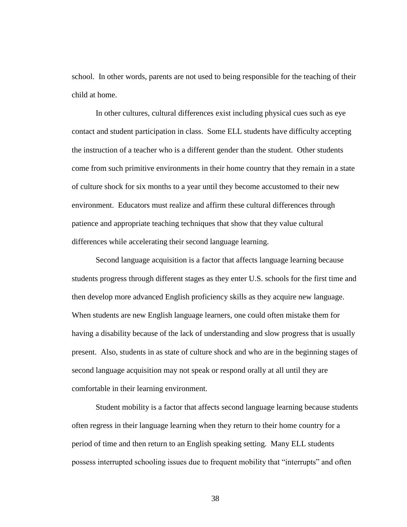school. In other words, parents are not used to being responsible for the teaching of their child at home.

In other cultures, cultural differences exist including physical cues such as eye contact and student participation in class. Some ELL students have difficulty accepting the instruction of a teacher who is a different gender than the student. Other students come from such primitive environments in their home country that they remain in a state of culture shock for six months to a year until they become accustomed to their new environment. Educators must realize and affirm these cultural differences through patience and appropriate teaching techniques that show that they value cultural differences while accelerating their second language learning.

Second language acquisition is a factor that affects language learning because students progress through different stages as they enter U.S. schools for the first time and then develop more advanced English proficiency skills as they acquire new language. When students are new English language learners, one could often mistake them for having a disability because of the lack of understanding and slow progress that is usually present. Also, students in as state of culture shock and who are in the beginning stages of second language acquisition may not speak or respond orally at all until they are comfortable in their learning environment.

Student mobility is a factor that affects second language learning because students often regress in their language learning when they return to their home country for a period of time and then return to an English speaking setting. Many ELL students possess interrupted schooling issues due to frequent mobility that "interrupts" and often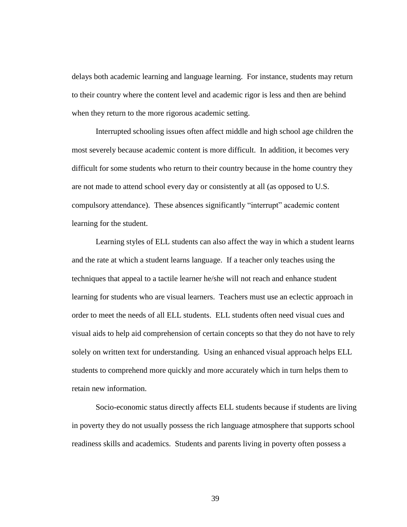delays both academic learning and language learning. For instance, students may return to their country where the content level and academic rigor is less and then are behind when they return to the more rigorous academic setting.

Interrupted schooling issues often affect middle and high school age children the most severely because academic content is more difficult. In addition, it becomes very difficult for some students who return to their country because in the home country they are not made to attend school every day or consistently at all (as opposed to U.S. compulsory attendance). These absences significantly "interrupt" academic content learning for the student.

Learning styles of ELL students can also affect the way in which a student learns and the rate at which a student learns language. If a teacher only teaches using the techniques that appeal to a tactile learner he/she will not reach and enhance student learning for students who are visual learners. Teachers must use an eclectic approach in order to meet the needs of all ELL students. ELL students often need visual cues and visual aids to help aid comprehension of certain concepts so that they do not have to rely solely on written text for understanding. Using an enhanced visual approach helps ELL students to comprehend more quickly and more accurately which in turn helps them to retain new information.

Socio-economic status directly affects ELL students because if students are living in poverty they do not usually possess the rich language atmosphere that supports school readiness skills and academics. Students and parents living in poverty often possess a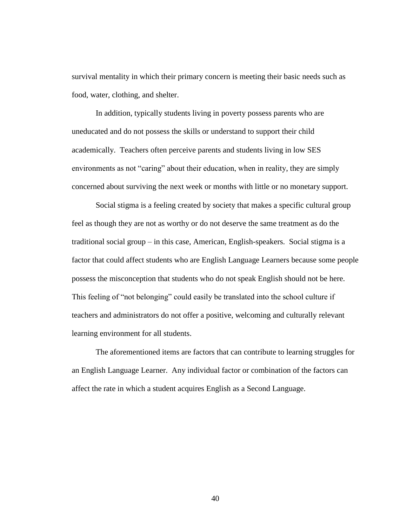survival mentality in which their primary concern is meeting their basic needs such as food, water, clothing, and shelter.

In addition, typically students living in poverty possess parents who are uneducated and do not possess the skills or understand to support their child academically. Teachers often perceive parents and students living in low SES environments as not "caring" about their education, when in reality, they are simply concerned about surviving the next week or months with little or no monetary support.

Social stigma is a feeling created by society that makes a specific cultural group feel as though they are not as worthy or do not deserve the same treatment as do the traditional social group – in this case, American, English-speakers. Social stigma is a factor that could affect students who are English Language Learners because some people possess the misconception that students who do not speak English should not be here. This feeling of "not belonging" could easily be translated into the school culture if teachers and administrators do not offer a positive, welcoming and culturally relevant learning environment for all students.

The aforementioned items are factors that can contribute to learning struggles for an English Language Learner. Any individual factor or combination of the factors can affect the rate in which a student acquires English as a Second Language.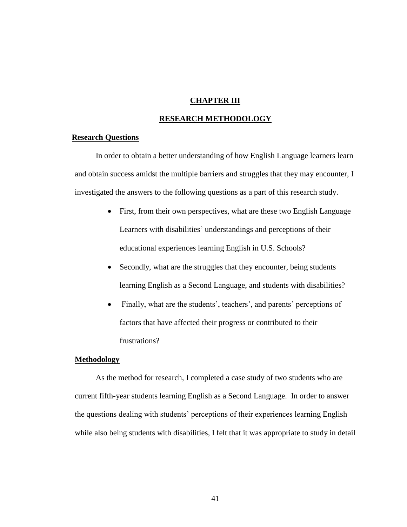# **CHAPTER III**

### **RESEARCH METHODOLOGY**

### **Research Questions**

In order to obtain a better understanding of how English Language learners learn and obtain success amidst the multiple barriers and struggles that they may encounter, I investigated the answers to the following questions as a part of this research study.

- First, from their own perspectives, what are these two English Language Learners with disabilities' understandings and perceptions of their educational experiences learning English in U.S. Schools?
- Secondly, what are the struggles that they encounter, being students learning English as a Second Language, and students with disabilities?
- Finally, what are the students', teachers', and parents' perceptions of factors that have affected their progress or contributed to their frustrations?

# **Methodology**

As the method for research, I completed a case study of two students who are current fifth-year students learning English as a Second Language. In order to answer the questions dealing with students' perceptions of their experiences learning English while also being students with disabilities, I felt that it was appropriate to study in detail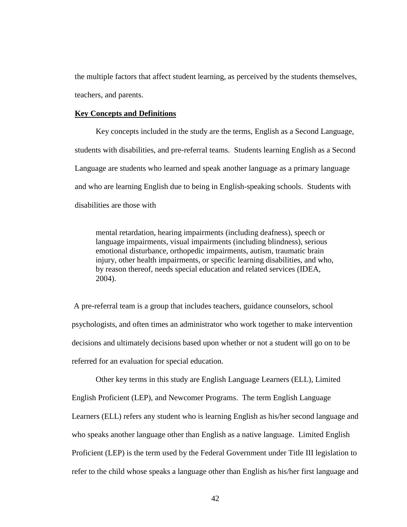the multiple factors that affect student learning, as perceived by the students themselves, teachers, and parents.

### **Key Concepts and Definitions**

Key concepts included in the study are the terms, English as a Second Language, students with disabilities, and pre-referral teams. Students learning English as a Second Language are students who learned and speak another language as a primary language and who are learning English due to being in English-speaking schools. Students with disabilities are those with

mental retardation, hearing impairments (including deafness), speech or language impairments, visual impairments (including blindness), serious emotional disturbance, orthopedic impairments, autism, traumatic brain injury, other health impairments, or specific learning disabilities, and who, by reason thereof, needs special education and related services (IDEA, 2004).

A pre-referral team is a group that includes teachers, guidance counselors, school psychologists, and often times an administrator who work together to make intervention decisions and ultimately decisions based upon whether or not a student will go on to be referred for an evaluation for special education.

Other key terms in this study are English Language Learners (ELL), Limited English Proficient (LEP), and Newcomer Programs. The term English Language Learners (ELL) refers any student who is learning English as his/her second language and who speaks another language other than English as a native language. Limited English Proficient (LEP) is the term used by the Federal Government under Title III legislation to refer to the child whose speaks a language other than English as his/her first language and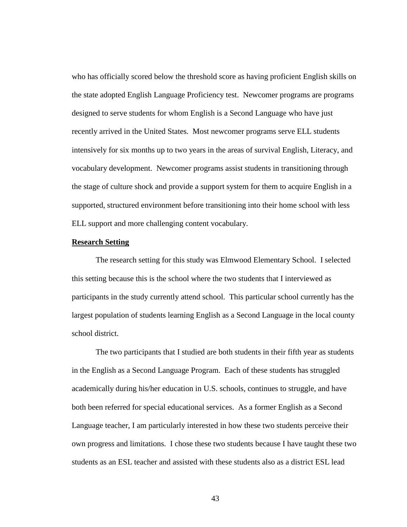who has officially scored below the threshold score as having proficient English skills on the state adopted English Language Proficiency test. Newcomer programs are programs designed to serve students for whom English is a Second Language who have just recently arrived in the United States. Most newcomer programs serve ELL students intensively for six months up to two years in the areas of survival English, Literacy, and vocabulary development. Newcomer programs assist students in transitioning through the stage of culture shock and provide a support system for them to acquire English in a supported, structured environment before transitioning into their home school with less ELL support and more challenging content vocabulary.

### **Research Setting**

The research setting for this study was Elmwood Elementary School. I selected this setting because this is the school where the two students that I interviewed as participants in the study currently attend school. This particular school currently has the largest population of students learning English as a Second Language in the local county school district.

The two participants that I studied are both students in their fifth year as students in the English as a Second Language Program. Each of these students has struggled academically during his/her education in U.S. schools, continues to struggle, and have both been referred for special educational services. As a former English as a Second Language teacher, I am particularly interested in how these two students perceive their own progress and limitations. I chose these two students because I have taught these two students as an ESL teacher and assisted with these students also as a district ESL lead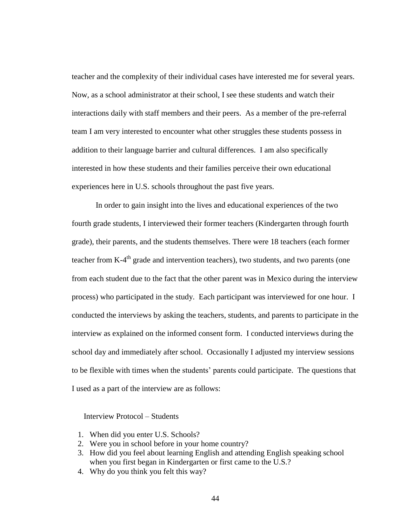teacher and the complexity of their individual cases have interested me for several years. Now, as a school administrator at their school, I see these students and watch their interactions daily with staff members and their peers. As a member of the pre-referral team I am very interested to encounter what other struggles these students possess in addition to their language barrier and cultural differences. I am also specifically interested in how these students and their families perceive their own educational experiences here in U.S. schools throughout the past five years.

In order to gain insight into the lives and educational experiences of the two fourth grade students, I interviewed their former teachers (Kindergarten through fourth grade), their parents, and the students themselves. There were 18 teachers (each former teacher from K-4<sup>th</sup> grade and intervention teachers), two students, and two parents (one from each student due to the fact that the other parent was in Mexico during the interview process) who participated in the study. Each participant was interviewed for one hour. I conducted the interviews by asking the teachers, students, and parents to participate in the interview as explained on the informed consent form. I conducted interviews during the school day and immediately after school. Occasionally I adjusted my interview sessions to be flexible with times when the students' parents could participate. The questions that I used as a part of the interview are as follows:

Interview Protocol – Students

- 1. When did you enter U.S. Schools?
- 2. Were you in school before in your home country?
- 3. How did you feel about learning English and attending English speaking school when you first began in Kindergarten or first came to the U.S.?
- 4. Why do you think you felt this way?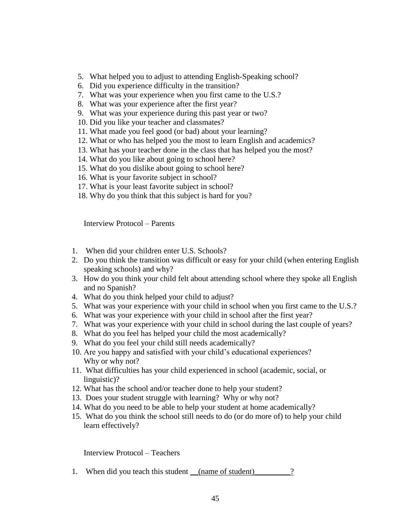- 5. What helped you to adjust to attending English-Speaking school?
- 6. Did you experience difficulty in the transition?
- 7. What was your experience when you first came to the U.S.?
- 8. What was your experience after the first year?
- 9. What was your experience during this past year or two?
- 10. Did you like your teacher and classmates?
- 11. What made you feel good (or bad) about your learning?
- 12. What or who has helped you the most to learn English and academics?
- 13. What has your teacher done in the class that has helped you the most?
- 14. What do you like about going to school here?
- 15. What do you dislike about going to school here?
- 16. What is your favorite subject in school?
- 17. What is your least favorite subject in school?
- 18. Why do you think that this subject is hard for you?

Interview Protocol – Parents

- 1. When did your children enter U.S. Schools?
- 2. Do you think the transition was difficult or easy for your child (when entering English speaking schools) and why?
- 3. How do you think your child felt about attending school where they spoke all English and no Spanish?
- 4. What do you think helped your child to adjust?
- 5. What was your experience with your child in school when you first came to the U.S.?
- 6. What was your experience with your child in school after the first year?
- 7. What was your experience with your child in school during the last couple of years?
- 8. What do you feel has helped your child the most academically?
- 9. What do you feel your child still needs academically?
- 10. Are you happy and satisfied with your child's educational experiences? Why or why not?
- 11. What difficulties has your child experienced in school (academic, social, or linguistic)?
- 12. What has the school and/or teacher done to help your student?
- 13. Does your student struggle with learning? Why or why not?
- 14. What do you need to be able to help your student at home academically?
- 15. What do you think the school still needs to do (or do more of) to help your child learn effectively?

Interview Protocol – Teachers

1. When did you teach this student <u>(name of student)</u>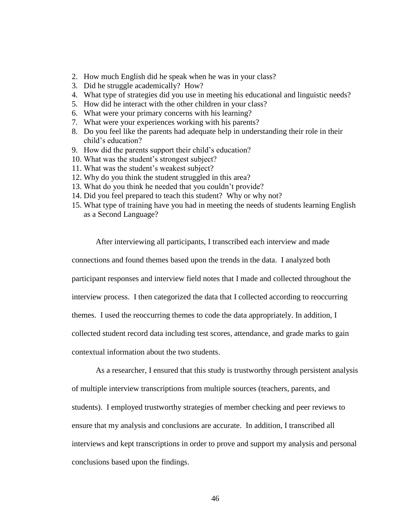- 2. How much English did he speak when he was in your class?
- 3. Did he struggle academically? How?
- 4. What type of strategies did you use in meeting his educational and linguistic needs?
- 5. How did he interact with the other children in your class?
- 6. What were your primary concerns with his learning?
- 7. What were your experiences working with his parents?
- 8. Do you feel like the parents had adequate help in understanding their role in their child's education?
- 9. How did the parents support their child's education?
- 10. What was the student's strongest subject?
- 11. What was the student's weakest subject?
- 12. Why do you think the student struggled in this area?
- 13. What do you think he needed that you couldn't provide?
- 14. Did you feel prepared to teach this student? Why or why not?
- 15. What type of training have you had in meeting the needs of students learning English as a Second Language?

After interviewing all participants, I transcribed each interview and made connections and found themes based upon the trends in the data. I analyzed both participant responses and interview field notes that I made and collected throughout the interview process. I then categorized the data that I collected according to reoccurring themes. I used the reoccurring themes to code the data appropriately. In addition, I collected student record data including test scores, attendance, and grade marks to gain contextual information about the two students.

As a researcher, I ensured that this study is trustworthy through persistent analysis of multiple interview transcriptions from multiple sources (teachers, parents, and students). I employed trustworthy strategies of member checking and peer reviews to ensure that my analysis and conclusions are accurate. In addition, I transcribed all interviews and kept transcriptions in order to prove and support my analysis and personal conclusions based upon the findings.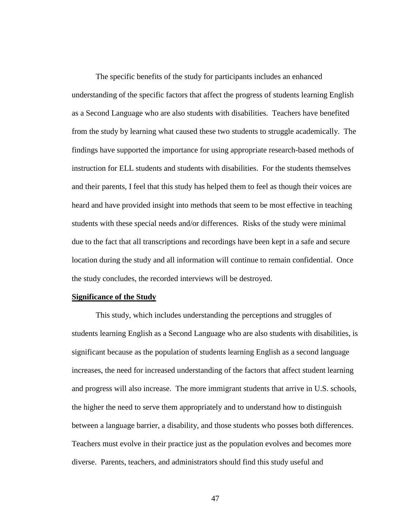The specific benefits of the study for participants includes an enhanced understanding of the specific factors that affect the progress of students learning English as a Second Language who are also students with disabilities. Teachers have benefited from the study by learning what caused these two students to struggle academically. The findings have supported the importance for using appropriate research-based methods of instruction for ELL students and students with disabilities. For the students themselves and their parents, I feel that this study has helped them to feel as though their voices are heard and have provided insight into methods that seem to be most effective in teaching students with these special needs and/or differences. Risks of the study were minimal due to the fact that all transcriptions and recordings have been kept in a safe and secure location during the study and all information will continue to remain confidential. Once the study concludes, the recorded interviews will be destroyed.

### **Significance of the Study**

This study, which includes understanding the perceptions and struggles of students learning English as a Second Language who are also students with disabilities, is significant because as the population of students learning English as a second language increases, the need for increased understanding of the factors that affect student learning and progress will also increase. The more immigrant students that arrive in U.S. schools, the higher the need to serve them appropriately and to understand how to distinguish between a language barrier, a disability, and those students who posses both differences. Teachers must evolve in their practice just as the population evolves and becomes more diverse. Parents, teachers, and administrators should find this study useful and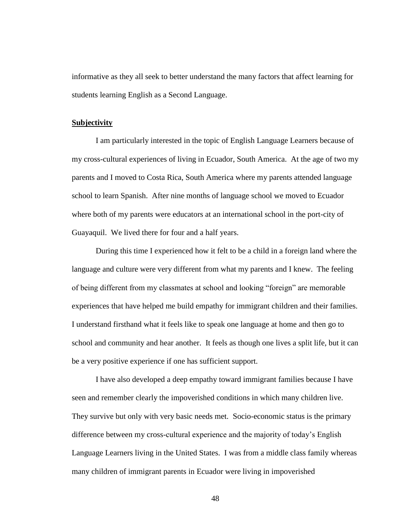informative as they all seek to better understand the many factors that affect learning for students learning English as a Second Language.

#### **Subjectivity**

I am particularly interested in the topic of English Language Learners because of my cross-cultural experiences of living in Ecuador, South America. At the age of two my parents and I moved to Costa Rica, South America where my parents attended language school to learn Spanish. After nine months of language school we moved to Ecuador where both of my parents were educators at an international school in the port-city of Guayaquil. We lived there for four and a half years.

During this time I experienced how it felt to be a child in a foreign land where the language and culture were very different from what my parents and I knew. The feeling of being different from my classmates at school and looking "foreign" are memorable experiences that have helped me build empathy for immigrant children and their families. I understand firsthand what it feels like to speak one language at home and then go to school and community and hear another. It feels as though one lives a split life, but it can be a very positive experience if one has sufficient support.

I have also developed a deep empathy toward immigrant families because I have seen and remember clearly the impoverished conditions in which many children live. They survive but only with very basic needs met. Socio-economic status is the primary difference between my cross-cultural experience and the majority of today's English Language Learners living in the United States. I was from a middle class family whereas many children of immigrant parents in Ecuador were living in impoverished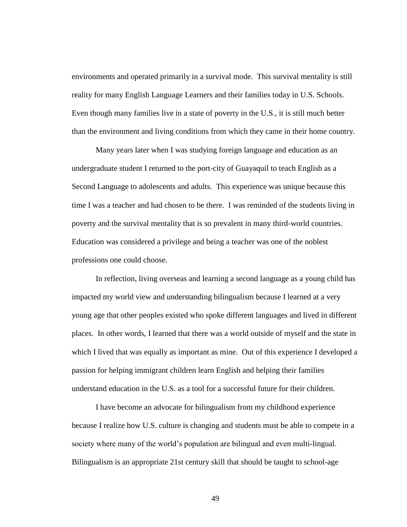environments and operated primarily in a survival mode. This survival mentality is still reality for many English Language Learners and their families today in U.S. Schools. Even though many families live in a state of poverty in the U.S., it is still much better than the environment and living conditions from which they came in their home country.

Many years later when I was studying foreign language and education as an undergraduate student I returned to the port-city of Guayaquil to teach English as a Second Language to adolescents and adults. This experience was unique because this time I was a teacher and had chosen to be there. I was reminded of the students living in poverty and the survival mentality that is so prevalent in many third-world countries. Education was considered a privilege and being a teacher was one of the noblest professions one could choose.

In reflection, living overseas and learning a second language as a young child has impacted my world view and understanding bilingualism because I learned at a very young age that other peoples existed who spoke different languages and lived in different places. In other words, I learned that there was a world outside of myself and the state in which I lived that was equally as important as mine. Out of this experience I developed a passion for helping immigrant children learn English and helping their families understand education in the U.S. as a tool for a successful future for their children.

I have become an advocate for bilingualism from my childhood experience because I realize how U.S. culture is changing and students must be able to compete in a society where many of the world's population are bilingual and even multi-lingual. Bilingualism is an appropriate 21st century skill that should be taught to school-age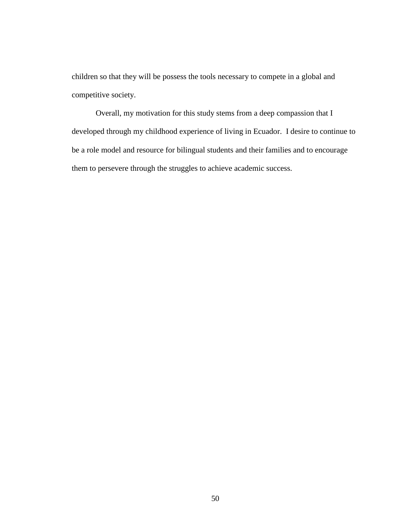children so that they will be possess the tools necessary to compete in a global and competitive society.

Overall, my motivation for this study stems from a deep compassion that I developed through my childhood experience of living in Ecuador. I desire to continue to be a role model and resource for bilingual students and their families and to encourage them to persevere through the struggles to achieve academic success.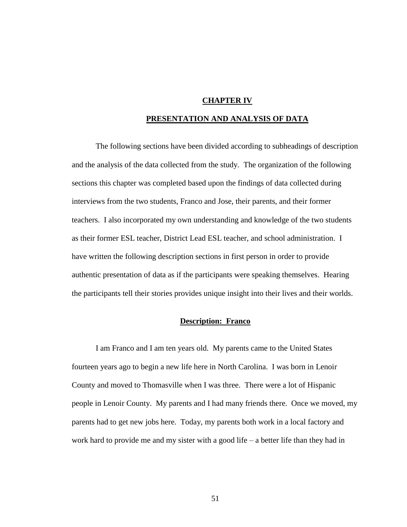### **CHAPTER IV**

### **PRESENTATION AND ANALYSIS OF DATA**

The following sections have been divided according to subheadings of description and the analysis of the data collected from the study. The organization of the following sections this chapter was completed based upon the findings of data collected during interviews from the two students, Franco and Jose, their parents, and their former teachers. I also incorporated my own understanding and knowledge of the two students as their former ESL teacher, District Lead ESL teacher, and school administration. I have written the following description sections in first person in order to provide authentic presentation of data as if the participants were speaking themselves. Hearing the participants tell their stories provides unique insight into their lives and their worlds.

### **Description: Franco**

I am Franco and I am ten years old. My parents came to the United States fourteen years ago to begin a new life here in North Carolina. I was born in Lenoir County and moved to Thomasville when I was three. There were a lot of Hispanic people in Lenoir County. My parents and I had many friends there. Once we moved, my parents had to get new jobs here. Today, my parents both work in a local factory and work hard to provide me and my sister with a good life – a better life than they had in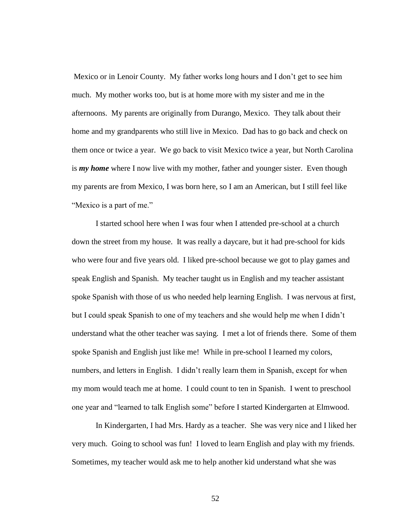Mexico or in Lenoir County. My father works long hours and I don't get to see him much. My mother works too, but is at home more with my sister and me in the afternoons. My parents are originally from Durango, Mexico. They talk about their home and my grandparents who still live in Mexico. Dad has to go back and check on them once or twice a year. We go back to visit Mexico twice a year, but North Carolina is *my home* where I now live with my mother, father and younger sister. Even though my parents are from Mexico, I was born here, so I am an American, but I still feel like "Mexico is a part of me."

I started school here when I was four when I attended pre-school at a church down the street from my house. It was really a daycare, but it had pre-school for kids who were four and five years old. I liked pre-school because we got to play games and speak English and Spanish. My teacher taught us in English and my teacher assistant spoke Spanish with those of us who needed help learning English. I was nervous at first, but I could speak Spanish to one of my teachers and she would help me when I didn't understand what the other teacher was saying. I met a lot of friends there. Some of them spoke Spanish and English just like me! While in pre-school I learned my colors, numbers, and letters in English. I didn't really learn them in Spanish, except for when my mom would teach me at home. I could count to ten in Spanish. I went to preschool one year and "learned to talk English some" before I started Kindergarten at Elmwood.

In Kindergarten, I had Mrs. Hardy as a teacher. She was very nice and I liked her very much. Going to school was fun! I loved to learn English and play with my friends. Sometimes, my teacher would ask me to help another kid understand what she was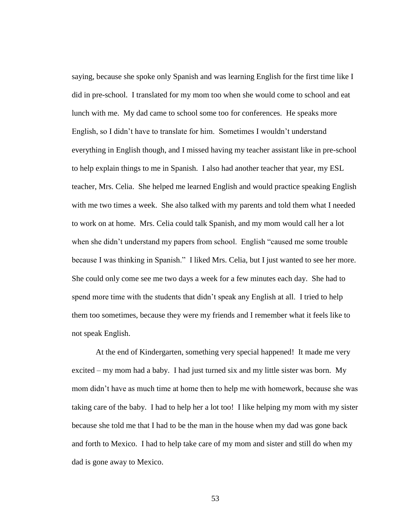saying, because she spoke only Spanish and was learning English for the first time like I did in pre-school. I translated for my mom too when she would come to school and eat lunch with me. My dad came to school some too for conferences. He speaks more English, so I didn't have to translate for him. Sometimes I wouldn't understand everything in English though, and I missed having my teacher assistant like in pre-school to help explain things to me in Spanish. I also had another teacher that year, my ESL teacher, Mrs. Celia. She helped me learned English and would practice speaking English with me two times a week. She also talked with my parents and told them what I needed to work on at home. Mrs. Celia could talk Spanish, and my mom would call her a lot when she didn't understand my papers from school. English "caused me some trouble" because I was thinking in Spanish." I liked Mrs. Celia, but I just wanted to see her more. She could only come see me two days a week for a few minutes each day. She had to spend more time with the students that didn't speak any English at all. I tried to help them too sometimes, because they were my friends and I remember what it feels like to not speak English.

At the end of Kindergarten, something very special happened! It made me very excited – my mom had a baby. I had just turned six and my little sister was born. My mom didn't have as much time at home then to help me with homework, because she was taking care of the baby. I had to help her a lot too! I like helping my mom with my sister because she told me that I had to be the man in the house when my dad was gone back and forth to Mexico. I had to help take care of my mom and sister and still do when my dad is gone away to Mexico.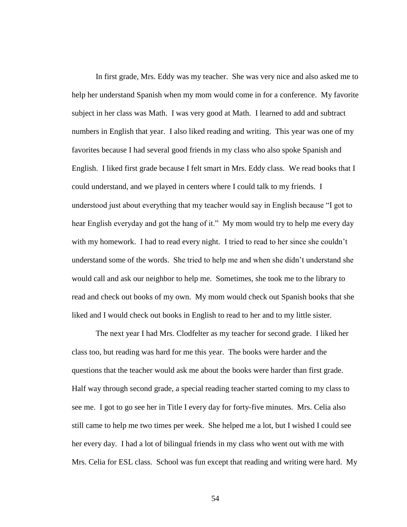In first grade, Mrs. Eddy was my teacher. She was very nice and also asked me to help her understand Spanish when my mom would come in for a conference. My favorite subject in her class was Math. I was very good at Math. I learned to add and subtract numbers in English that year. I also liked reading and writing. This year was one of my favorites because I had several good friends in my class who also spoke Spanish and English. I liked first grade because I felt smart in Mrs. Eddy class. We read books that I could understand, and we played in centers where I could talk to my friends. I understood just about everything that my teacher would say in English because "I got to hear English everyday and got the hang of it." My mom would try to help me every day with my homework. I had to read every night. I tried to read to her since she couldn't understand some of the words. She tried to help me and when she didn't understand she would call and ask our neighbor to help me. Sometimes, she took me to the library to read and check out books of my own. My mom would check out Spanish books that she liked and I would check out books in English to read to her and to my little sister.

The next year I had Mrs. Clodfelter as my teacher for second grade. I liked her class too, but reading was hard for me this year. The books were harder and the questions that the teacher would ask me about the books were harder than first grade. Half way through second grade, a special reading teacher started coming to my class to see me. I got to go see her in Title I every day for forty-five minutes. Mrs. Celia also still came to help me two times per week. She helped me a lot, but I wished I could see her every day. I had a lot of bilingual friends in my class who went out with me with Mrs. Celia for ESL class. School was fun except that reading and writing were hard. My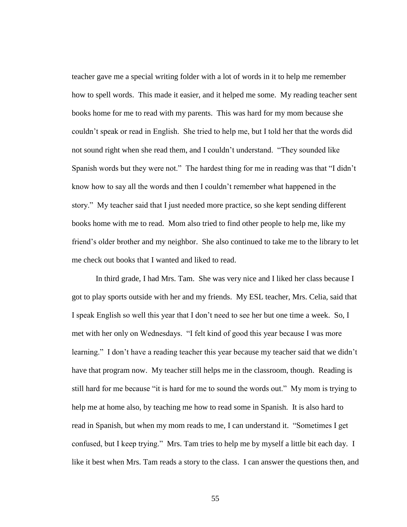teacher gave me a special writing folder with a lot of words in it to help me remember how to spell words. This made it easier, and it helped me some. My reading teacher sent books home for me to read with my parents. This was hard for my mom because she couldn't speak or read in English. She tried to help me, but I told her that the words did not sound right when she read them, and I couldn't understand. "They sounded like Spanish words but they were not." The hardest thing for me in reading was that "I didn't know how to say all the words and then I couldn't remember what happened in the story." My teacher said that I just needed more practice, so she kept sending different books home with me to read. Mom also tried to find other people to help me, like my friend's older brother and my neighbor. She also continued to take me to the library to let me check out books that I wanted and liked to read.

In third grade, I had Mrs. Tam. She was very nice and I liked her class because I got to play sports outside with her and my friends. My ESL teacher, Mrs. Celia, said that I speak English so well this year that I don't need to see her but one time a week. So, I met with her only on Wednesdays. "I felt kind of good this year because I was more learning." I don't have a reading teacher this year because my teacher said that we didn't have that program now. My teacher still helps me in the classroom, though. Reading is still hard for me because "it is hard for me to sound the words out." My mom is trying to help me at home also, by teaching me how to read some in Spanish. It is also hard to read in Spanish, but when my mom reads to me, I can understand it. "Sometimes I get confused, but I keep trying." Mrs. Tam tries to help me by myself a little bit each day. I like it best when Mrs. Tam reads a story to the class. I can answer the questions then, and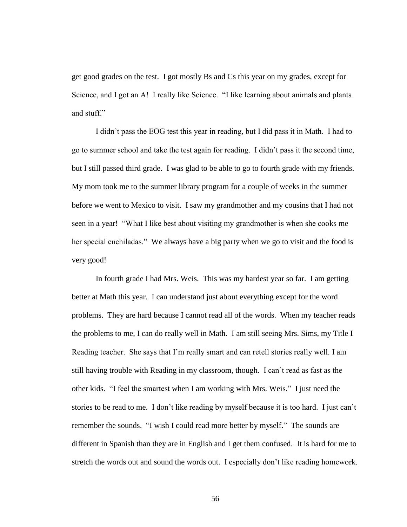get good grades on the test. I got mostly Bs and Cs this year on my grades, except for Science, and I got an A! I really like Science. "I like learning about animals and plants and stuff."

I didn't pass the EOG test this year in reading, but I did pass it in Math. I had to go to summer school and take the test again for reading. I didn't pass it the second time, but I still passed third grade. I was glad to be able to go to fourth grade with my friends. My mom took me to the summer library program for a couple of weeks in the summer before we went to Mexico to visit. I saw my grandmother and my cousins that I had not seen in a year! "What I like best about visiting my grandmother is when she cooks me her special enchiladas." We always have a big party when we go to visit and the food is very good!

In fourth grade I had Mrs. Weis. This was my hardest year so far. I am getting better at Math this year. I can understand just about everything except for the word problems. They are hard because I cannot read all of the words. When my teacher reads the problems to me, I can do really well in Math. I am still seeing Mrs. Sims, my Title I Reading teacher. She says that I'm really smart and can retell stories really well. I am still having trouble with Reading in my classroom, though. I can't read as fast as the other kids. "I feel the smartest when I am working with Mrs. Weis." I just need the stories to be read to me. I don't like reading by myself because it is too hard. I just can't remember the sounds. "I wish I could read more better by myself." The sounds are different in Spanish than they are in English and I get them confused. It is hard for me to stretch the words out and sound the words out. I especially don't like reading homework.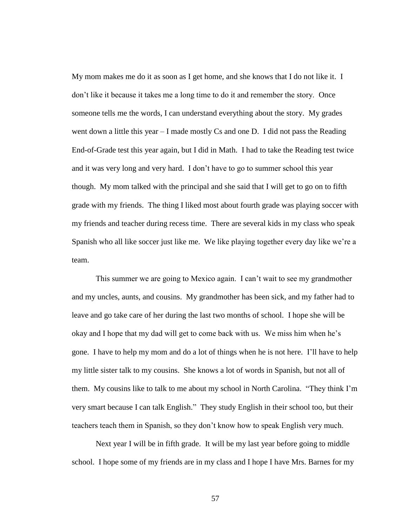My mom makes me do it as soon as I get home, and she knows that I do not like it. I don't like it because it takes me a long time to do it and remember the story. Once someone tells me the words, I can understand everything about the story. My grades went down a little this year – I made mostly Cs and one D. I did not pass the Reading End-of-Grade test this year again, but I did in Math. I had to take the Reading test twice and it was very long and very hard. I don't have to go to summer school this year though. My mom talked with the principal and she said that I will get to go on to fifth grade with my friends. The thing I liked most about fourth grade was playing soccer with my friends and teacher during recess time. There are several kids in my class who speak Spanish who all like soccer just like me. We like playing together every day like we're a team.

This summer we are going to Mexico again. I can't wait to see my grandmother and my uncles, aunts, and cousins. My grandmother has been sick, and my father had to leave and go take care of her during the last two months of school. I hope she will be okay and I hope that my dad will get to come back with us. We miss him when he's gone. I have to help my mom and do a lot of things when he is not here. I'll have to help my little sister talk to my cousins. She knows a lot of words in Spanish, but not all of them. My cousins like to talk to me about my school in North Carolina. "They think I'm very smart because I can talk English." They study English in their school too, but their teachers teach them in Spanish, so they don't know how to speak English very much.

Next year I will be in fifth grade. It will be my last year before going to middle school. I hope some of my friends are in my class and I hope I have Mrs. Barnes for my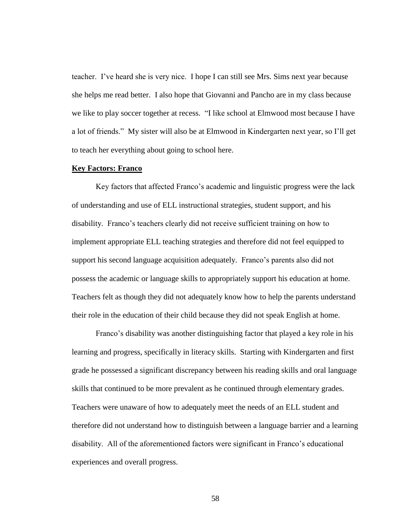teacher. I've heard she is very nice. I hope I can still see Mrs. Sims next year because she helps me read better. I also hope that Giovanni and Pancho are in my class because we like to play soccer together at recess. "I like school at Elmwood most because I have a lot of friends.‖ My sister will also be at Elmwood in Kindergarten next year, so I'll get to teach her everything about going to school here.

### **Key Factors: Franco**

Key factors that affected Franco's academic and linguistic progress were the lack of understanding and use of ELL instructional strategies, student support, and his disability. Franco's teachers clearly did not receive sufficient training on how to implement appropriate ELL teaching strategies and therefore did not feel equipped to support his second language acquisition adequately. Franco's parents also did not possess the academic or language skills to appropriately support his education at home. Teachers felt as though they did not adequately know how to help the parents understand their role in the education of their child because they did not speak English at home.

Franco's disability was another distinguishing factor that played a key role in his learning and progress, specifically in literacy skills. Starting with Kindergarten and first grade he possessed a significant discrepancy between his reading skills and oral language skills that continued to be more prevalent as he continued through elementary grades. Teachers were unaware of how to adequately meet the needs of an ELL student and therefore did not understand how to distinguish between a language barrier and a learning disability. All of the aforementioned factors were significant in Franco's educational experiences and overall progress.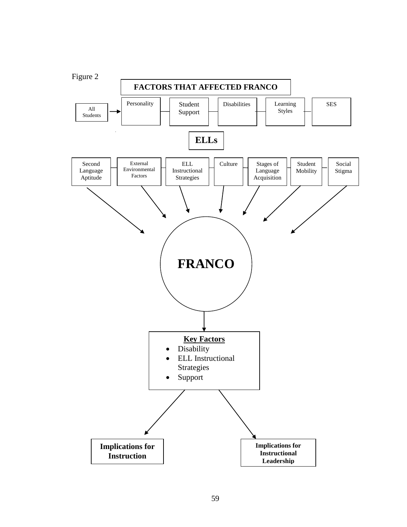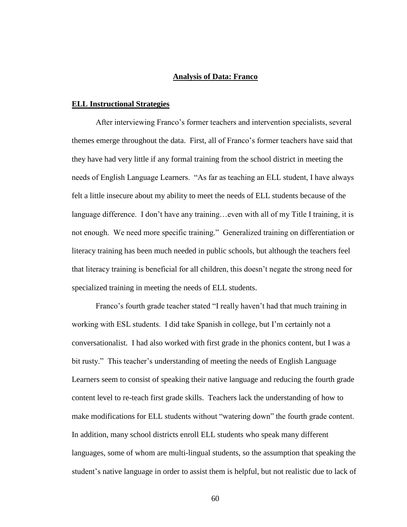### **Analysis of Data: Franco**

### **ELL Instructional Strategies**

After interviewing Franco's former teachers and intervention specialists, several themes emerge throughout the data. First, all of Franco's former teachers have said that they have had very little if any formal training from the school district in meeting the needs of English Language Learners. "As far as teaching an ELL student, I have always felt a little insecure about my ability to meet the needs of ELL students because of the language difference. I don't have any training...even with all of my Title I training, it is not enough. We need more specific training." Generalized training on differentiation or literacy training has been much needed in public schools, but although the teachers feel that literacy training is beneficial for all children, this doesn't negate the strong need for specialized training in meeting the needs of ELL students.

Franco's fourth grade teacher stated "I really haven't had that much training in working with ESL students. I did take Spanish in college, but I'm certainly not a conversationalist. I had also worked with first grade in the phonics content, but I was a bit rusty." This teacher's understanding of meeting the needs of English Language Learners seem to consist of speaking their native language and reducing the fourth grade content level to re-teach first grade skills. Teachers lack the understanding of how to make modifications for ELL students without "watering down" the fourth grade content. In addition, many school districts enroll ELL students who speak many different languages, some of whom are multi-lingual students, so the assumption that speaking the student's native language in order to assist them is helpful, but not realistic due to lack of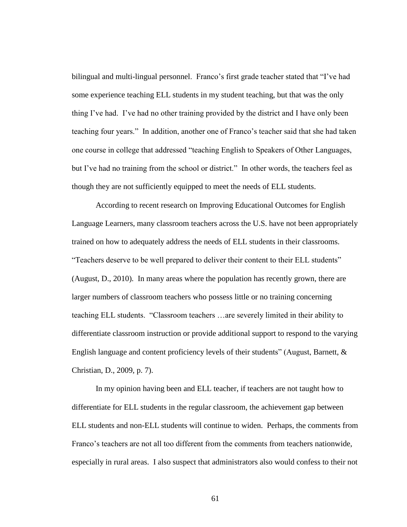bilingual and multi-lingual personnel. Franco's first grade teacher stated that "I've had some experience teaching ELL students in my student teaching, but that was the only thing I've had. I've had no other training provided by the district and I have only been teaching four years." In addition, another one of Franco's teacher said that she had taken one course in college that addressed "teaching English to Speakers of Other Languages, but I've had no training from the school or district." In other words, the teachers feel as though they are not sufficiently equipped to meet the needs of ELL students.

According to recent research on Improving Educational Outcomes for English Language Learners, many classroom teachers across the U.S. have not been appropriately trained on how to adequately address the needs of ELL students in their classrooms. "Teachers deserve to be well prepared to deliver their content to their ELL students" (August, D., 2010). In many areas where the population has recently grown, there are larger numbers of classroom teachers who possess little or no training concerning teaching ELL students. ―Classroom teachers …are severely limited in their ability to differentiate classroom instruction or provide additional support to respond to the varying English language and content proficiency levels of their students" (August, Barnett,  $\&$ Christian, D., 2009, p. 7).

In my opinion having been and ELL teacher, if teachers are not taught how to differentiate for ELL students in the regular classroom, the achievement gap between ELL students and non-ELL students will continue to widen. Perhaps, the comments from Franco's teachers are not all too different from the comments from teachers nationwide, especially in rural areas. I also suspect that administrators also would confess to their not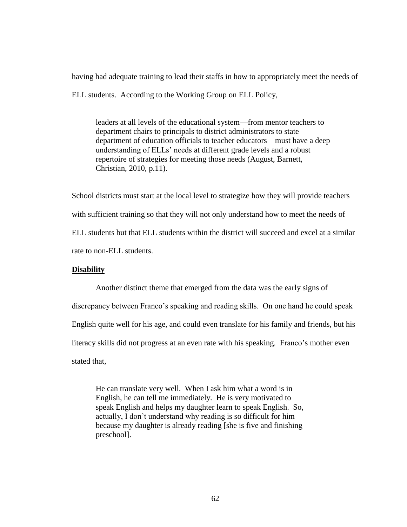having had adequate training to lead their staffs in how to appropriately meet the needs of ELL students. According to the Working Group on ELL Policy,

leaders at all levels of the educational system—from mentor teachers to department chairs to principals to district administrators to state department of education officials to teacher educators—must have a deep understanding of ELLs' needs at different grade levels and a robust repertoire of strategies for meeting those needs (August, Barnett, Christian, 2010, p.11).

School districts must start at the local level to strategize how they will provide teachers with sufficient training so that they will not only understand how to meet the needs of ELL students but that ELL students within the district will succeed and excel at a similar rate to non-ELL students.

# **Disability**

Another distinct theme that emerged from the data was the early signs of discrepancy between Franco's speaking and reading skills. On one hand he could speak English quite well for his age, and could even translate for his family and friends, but his literacy skills did not progress at an even rate with his speaking. Franco's mother even stated that,

He can translate very well. When I ask him what a word is in English, he can tell me immediately. He is very motivated to speak English and helps my daughter learn to speak English. So, actually, I don't understand why reading is so difficult for him because my daughter is already reading [she is five and finishing preschool].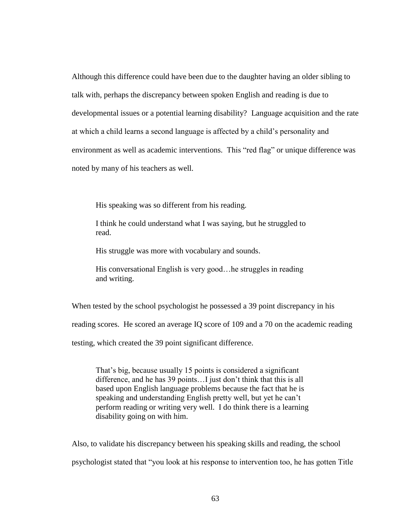Although this difference could have been due to the daughter having an older sibling to talk with, perhaps the discrepancy between spoken English and reading is due to developmental issues or a potential learning disability? Language acquisition and the rate at which a child learns a second language is affected by a child's personality and environment as well as academic interventions. This "red flag" or unique difference was noted by many of his teachers as well.

His speaking was so different from his reading.

I think he could understand what I was saying, but he struggled to read.

His struggle was more with vocabulary and sounds.

His conversational English is very good…he struggles in reading and writing.

When tested by the school psychologist he possessed a 39 point discrepancy in his

reading scores. He scored an average IQ score of 109 and a 70 on the academic reading

testing, which created the 39 point significant difference.

That's big, because usually 15 points is considered a significant difference, and he has 39 points…I just don't think that this is all based upon English language problems because the fact that he is speaking and understanding English pretty well, but yet he can't perform reading or writing very well. I do think there is a learning disability going on with him.

Also, to validate his discrepancy between his speaking skills and reading, the school psychologist stated that ―you look at his response to intervention too, he has gotten Title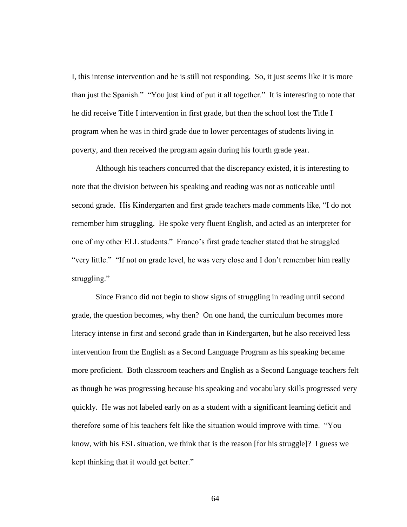I, this intense intervention and he is still not responding. So, it just seems like it is more than just the Spanish." "You just kind of put it all together." It is interesting to note that he did receive Title I intervention in first grade, but then the school lost the Title I program when he was in third grade due to lower percentages of students living in poverty, and then received the program again during his fourth grade year.

Although his teachers concurred that the discrepancy existed, it is interesting to note that the division between his speaking and reading was not as noticeable until second grade. His Kindergarten and first grade teachers made comments like, "I do not remember him struggling. He spoke very fluent English, and acted as an interpreter for one of my other ELL students." Franco's first grade teacher stated that he struggled "very little." "If not on grade level, he was very close and I don't remember him really struggling."

Since Franco did not begin to show signs of struggling in reading until second grade, the question becomes, why then? On one hand, the curriculum becomes more literacy intense in first and second grade than in Kindergarten, but he also received less intervention from the English as a Second Language Program as his speaking became more proficient. Both classroom teachers and English as a Second Language teachers felt as though he was progressing because his speaking and vocabulary skills progressed very quickly. He was not labeled early on as a student with a significant learning deficit and therefore some of his teachers felt like the situation would improve with time. ―You know, with his ESL situation, we think that is the reason [for his struggle]? I guess we kept thinking that it would get better."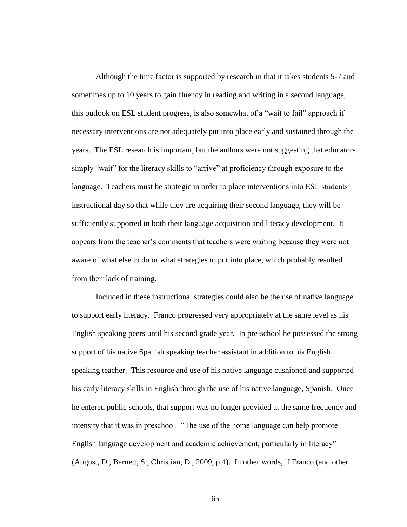Although the time factor is supported by research in that it takes students 5-7 and sometimes up to 10 years to gain fluency in reading and writing in a second language, this outlook on ESL student progress, is also somewhat of a "wait to fail" approach if necessary interventions are not adequately put into place early and sustained through the years. The ESL research is important, but the authors were not suggesting that educators simply "wait" for the literacy skills to "arrive" at proficiency through exposure to the language. Teachers must be strategic in order to place interventions into ESL students' instructional day so that while they are acquiring their second language, they will be sufficiently supported in both their language acquisition and literacy development. It appears from the teacher's comments that teachers were waiting because they were not aware of what else to do or what strategies to put into place, which probably resulted from their lack of training.

Included in these instructional strategies could also be the use of native language to support early literacy. Franco progressed very appropriately at the same level as his English speaking peers until his second grade year. In pre-school he possessed the strong support of his native Spanish speaking teacher assistant in addition to his English speaking teacher. This resource and use of his native language cushioned and supported his early literacy skills in English through the use of his native language, Spanish. Once he entered public schools, that support was no longer provided at the same frequency and intensity that it was in preschool. "The use of the home language can help promote English language development and academic achievement, particularly in literacy" (August, D., Barnett, S., Christian, D., 2009, p.4). In other words, if Franco (and other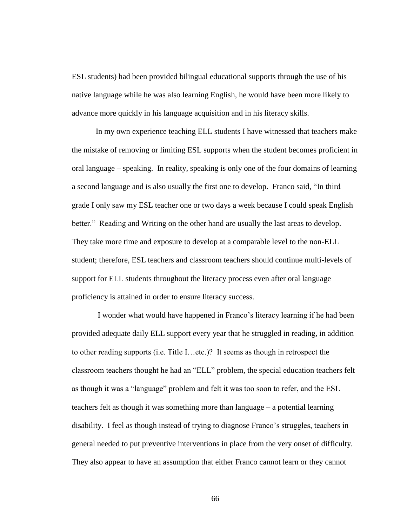ESL students) had been provided bilingual educational supports through the use of his native language while he was also learning English, he would have been more likely to advance more quickly in his language acquisition and in his literacy skills.

In my own experience teaching ELL students I have witnessed that teachers make the mistake of removing or limiting ESL supports when the student becomes proficient in oral language – speaking. In reality, speaking is only one of the four domains of learning a second language and is also usually the first one to develop. Franco said, "In third grade I only saw my ESL teacher one or two days a week because I could speak English better." Reading and Writing on the other hand are usually the last areas to develop. They take more time and exposure to develop at a comparable level to the non-ELL student; therefore, ESL teachers and classroom teachers should continue multi-levels of support for ELL students throughout the literacy process even after oral language proficiency is attained in order to ensure literacy success.

I wonder what would have happened in Franco's literacy learning if he had been provided adequate daily ELL support every year that he struggled in reading, in addition to other reading supports (i.e. Title I…etc.)? It seems as though in retrospect the classroom teachers thought he had an "ELL" problem, the special education teachers felt as though it was a "language" problem and felt it was too soon to refer, and the ESL teachers felt as though it was something more than language – a potential learning disability. I feel as though instead of trying to diagnose Franco's struggles, teachers in general needed to put preventive interventions in place from the very onset of difficulty. They also appear to have an assumption that either Franco cannot learn or they cannot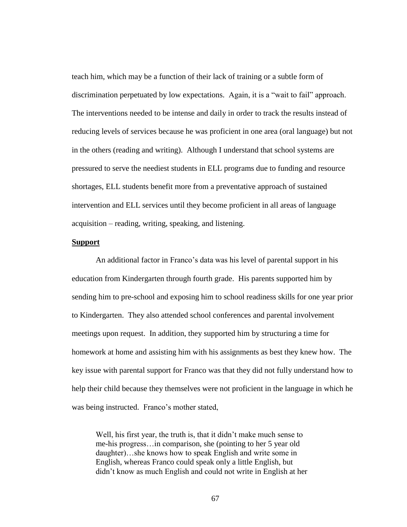teach him, which may be a function of their lack of training or a subtle form of discrimination perpetuated by low expectations. Again, it is a "wait to fail" approach. The interventions needed to be intense and daily in order to track the results instead of reducing levels of services because he was proficient in one area (oral language) but not in the others (reading and writing). Although I understand that school systems are pressured to serve the neediest students in ELL programs due to funding and resource shortages, ELL students benefit more from a preventative approach of sustained intervention and ELL services until they become proficient in all areas of language acquisition – reading, writing, speaking, and listening.

## **Support**

An additional factor in Franco's data was his level of parental support in his education from Kindergarten through fourth grade. His parents supported him by sending him to pre-school and exposing him to school readiness skills for one year prior to Kindergarten. They also attended school conferences and parental involvement meetings upon request. In addition, they supported him by structuring a time for homework at home and assisting him with his assignments as best they knew how. The key issue with parental support for Franco was that they did not fully understand how to help their child because they themselves were not proficient in the language in which he was being instructed. Franco's mother stated,

Well, his first year, the truth is, that it didn't make much sense to me-his progress…in comparison, she (pointing to her 5 year old daughter)…she knows how to speak English and write some in English, whereas Franco could speak only a little English, but didn't know as much English and could not write in English at her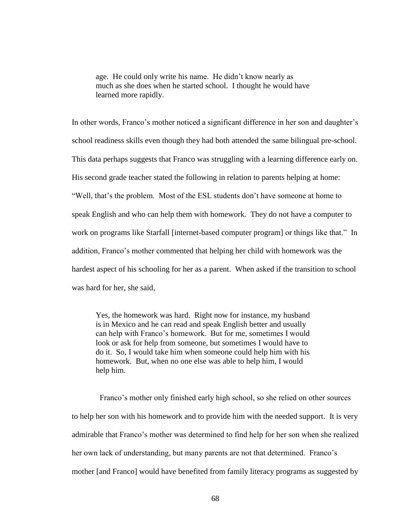age. He could only write his name. He didn't know nearly as much as she does when he started school. I thought he would have learned more rapidly.

In other words, Franco's mother noticed a significant difference in her son and daughter's school readiness skills even though they had both attended the same bilingual pre-school. This data perhaps suggests that Franco was struggling with a learning difference early on. His second grade teacher stated the following in relation to parents helping at home: ―Well, that's the problem. Most of the ESL students don't have someone at home to speak English and who can help them with homework. They do not have a computer to work on programs like Starfall [internet-based computer program] or things like that." In addition, Franco's mother commented that helping her child with homework was the hardest aspect of his schooling for her as a parent. When asked if the transition to school was hard for her, she said,

Yes, the homework was hard. Right now for instance, my husband is in Mexico and he can read and speak English better and usually can help with Franco's homework. But for me, sometimes I would look or ask for help from someone, but sometimes I would have to do it. So, I would take him when someone could help him with his homework. But, when no one else was able to help him, I would help him.

 Franco's mother only finished early high school, so she relied on other sources to help her son with his homework and to provide him with the needed support. It is very admirable that Franco's mother was determined to find help for her son when she realized her own lack of understanding, but many parents are not that determined. Franco's mother [and Franco] would have benefited from family literacy programs as suggested by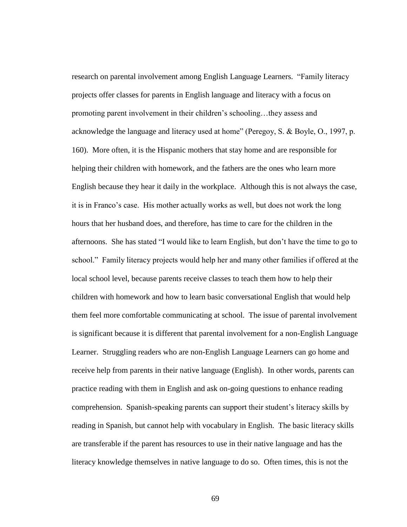research on parental involvement among English Language Learners. "Family literacy projects offer classes for parents in English language and literacy with a focus on promoting parent involvement in their children's schooling…they assess and acknowledge the language and literacy used at home" (Peregoy, S. & Boyle, O., 1997, p. 160). More often, it is the Hispanic mothers that stay home and are responsible for helping their children with homework, and the fathers are the ones who learn more English because they hear it daily in the workplace. Although this is not always the case, it is in Franco's case. His mother actually works as well, but does not work the long hours that her husband does, and therefore, has time to care for the children in the afternoons. She has stated "I would like to learn English, but don't have the time to go to school." Family literacy projects would help her and many other families if offered at the local school level, because parents receive classes to teach them how to help their children with homework and how to learn basic conversational English that would help them feel more comfortable communicating at school. The issue of parental involvement is significant because it is different that parental involvement for a non-English Language Learner. Struggling readers who are non-English Language Learners can go home and receive help from parents in their native language (English). In other words, parents can practice reading with them in English and ask on-going questions to enhance reading comprehension. Spanish-speaking parents can support their student's literacy skills by reading in Spanish, but cannot help with vocabulary in English. The basic literacy skills are transferable if the parent has resources to use in their native language and has the literacy knowledge themselves in native language to do so. Often times, this is not the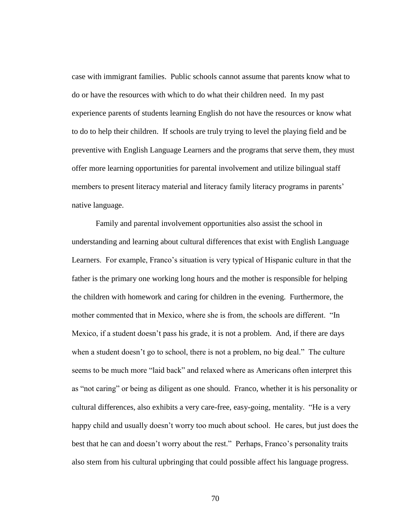case with immigrant families. Public schools cannot assume that parents know what to do or have the resources with which to do what their children need. In my past experience parents of students learning English do not have the resources or know what to do to help their children. If schools are truly trying to level the playing field and be preventive with English Language Learners and the programs that serve them, they must offer more learning opportunities for parental involvement and utilize bilingual staff members to present literacy material and literacy family literacy programs in parents' native language.

Family and parental involvement opportunities also assist the school in understanding and learning about cultural differences that exist with English Language Learners. For example, Franco's situation is very typical of Hispanic culture in that the father is the primary one working long hours and the mother is responsible for helping the children with homework and caring for children in the evening. Furthermore, the mother commented that in Mexico, where she is from, the schools are different. "In Mexico, if a student doesn't pass his grade, it is not a problem. And, if there are days when a student doesn't go to school, there is not a problem, no big deal." The culture seems to be much more "laid back" and relaxed where as Americans often interpret this as "not caring" or being as diligent as one should. Franco, whether it is his personality or cultural differences, also exhibits a very care-free, easy-going, mentality. "He is a very happy child and usually doesn't worry too much about school. He cares, but just does the best that he can and doesn't worry about the rest." Perhaps, Franco's personality traits also stem from his cultural upbringing that could possible affect his language progress.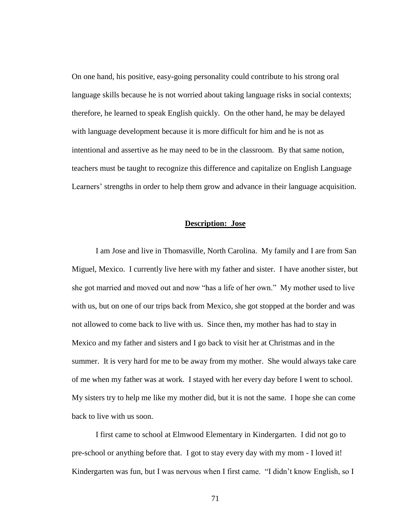On one hand, his positive, easy-going personality could contribute to his strong oral language skills because he is not worried about taking language risks in social contexts; therefore, he learned to speak English quickly. On the other hand, he may be delayed with language development because it is more difficult for him and he is not as intentional and assertive as he may need to be in the classroom. By that same notion, teachers must be taught to recognize this difference and capitalize on English Language Learners' strengths in order to help them grow and advance in their language acquisition.

# **Description: Jose**

I am Jose and live in Thomasville, North Carolina. My family and I are from San Miguel, Mexico. I currently live here with my father and sister. I have another sister, but she got married and moved out and now "has a life of her own." My mother used to live with us, but on one of our trips back from Mexico, she got stopped at the border and was not allowed to come back to live with us. Since then, my mother has had to stay in Mexico and my father and sisters and I go back to visit her at Christmas and in the summer. It is very hard for me to be away from my mother. She would always take care of me when my father was at work. I stayed with her every day before I went to school. My sisters try to help me like my mother did, but it is not the same. I hope she can come back to live with us soon.

I first came to school at Elmwood Elementary in Kindergarten. I did not go to pre-school or anything before that. I got to stay every day with my mom - I loved it! Kindergarten was fun, but I was nervous when I first came. "I didn't know English, so I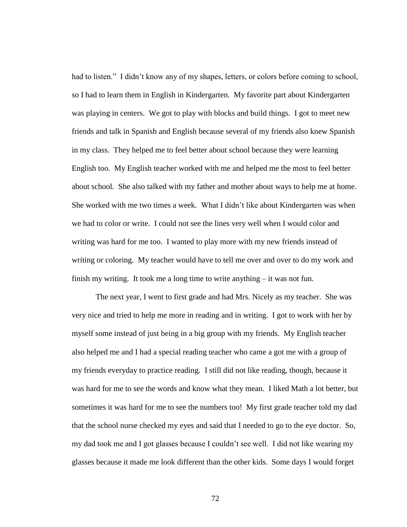had to listen." I didn't know any of my shapes, letters, or colors before coming to school, so I had to learn them in English in Kindergarten. My favorite part about Kindergarten was playing in centers. We got to play with blocks and build things. I got to meet new friends and talk in Spanish and English because several of my friends also knew Spanish in my class. They helped me to feel better about school because they were learning English too. My English teacher worked with me and helped me the most to feel better about school. She also talked with my father and mother about ways to help me at home. She worked with me two times a week. What I didn't like about Kindergarten was when we had to color or write. I could not see the lines very well when I would color and writing was hard for me too. I wanted to play more with my new friends instead of writing or coloring. My teacher would have to tell me over and over to do my work and finish my writing. It took me a long time to write anything – it was not fun.

The next year, I went to first grade and had Mrs. Nicely as my teacher. She was very nice and tried to help me more in reading and in writing. I got to work with her by myself some instead of just being in a big group with my friends. My English teacher also helped me and I had a special reading teacher who came a got me with a group of my friends everyday to practice reading. I still did not like reading, though, because it was hard for me to see the words and know what they mean. I liked Math a lot better, but sometimes it was hard for me to see the numbers too! My first grade teacher told my dad that the school nurse checked my eyes and said that I needed to go to the eye doctor. So, my dad took me and I got glasses because I couldn't see well. I did not like wearing my glasses because it made me look different than the other kids. Some days I would forget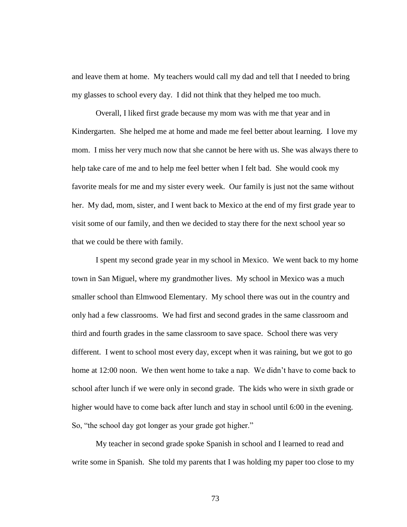and leave them at home. My teachers would call my dad and tell that I needed to bring my glasses to school every day. I did not think that they helped me too much.

Overall, I liked first grade because my mom was with me that year and in Kindergarten. She helped me at home and made me feel better about learning. I love my mom. I miss her very much now that she cannot be here with us. She was always there to help take care of me and to help me feel better when I felt bad. She would cook my favorite meals for me and my sister every week. Our family is just not the same without her. My dad, mom, sister, and I went back to Mexico at the end of my first grade year to visit some of our family, and then we decided to stay there for the next school year so that we could be there with family.

I spent my second grade year in my school in Mexico. We went back to my home town in San Miguel, where my grandmother lives. My school in Mexico was a much smaller school than Elmwood Elementary. My school there was out in the country and only had a few classrooms. We had first and second grades in the same classroom and third and fourth grades in the same classroom to save space. School there was very different. I went to school most every day, except when it was raining, but we got to go home at 12:00 noon. We then went home to take a nap. We didn't have to come back to school after lunch if we were only in second grade. The kids who were in sixth grade or higher would have to come back after lunch and stay in school until 6:00 in the evening. So, "the school day got longer as your grade got higher."

My teacher in second grade spoke Spanish in school and I learned to read and write some in Spanish. She told my parents that I was holding my paper too close to my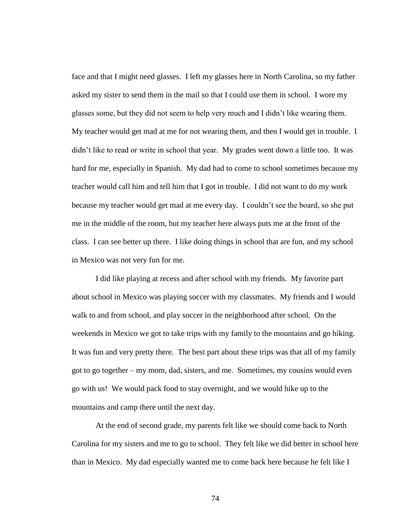face and that I might need glasses. I left my glasses here in North Carolina, so my father asked my sister to send them in the mail so that I could use them in school. I wore my glasses some, but they did not seem to help very much and I didn't like wearing them. My teacher would get mad at me for not wearing them, and then I would get in trouble. I didn't like to read or write in school that year. My grades went down a little too. It was hard for me, especially in Spanish. My dad had to come to school sometimes because my teacher would call him and tell him that I got in trouble. I did not want to do my work because my teacher would get mad at me every day. I couldn't see the board, so she put me in the middle of the room, but my teacher here always puts me at the front of the class. I can see better up there. I like doing things in school that are fun, and my school in Mexico was not very fun for me.

I did like playing at recess and after school with my friends. My favorite part about school in Mexico was playing soccer with my classmates. My friends and I would walk to and from school, and play soccer in the neighborhood after school. On the weekends in Mexico we got to take trips with my family to the mountains and go hiking. It was fun and very pretty there. The best part about these trips was that all of my family got to go together – my mom, dad, sisters, and me. Sometimes, my cousins would even go with us! We would pack food to stay overnight, and we would hike up to the mountains and camp there until the next day.

At the end of second grade, my parents felt like we should come back to North Carolina for my sisters and me to go to school. They felt like we did better in school here than in Mexico. My dad especially wanted me to come back here because he felt like I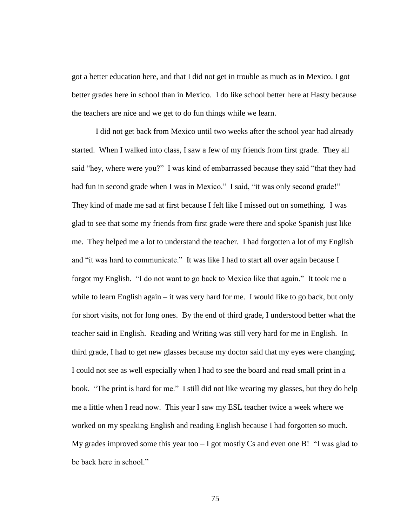got a better education here, and that I did not get in trouble as much as in Mexico. I got better grades here in school than in Mexico. I do like school better here at Hasty because the teachers are nice and we get to do fun things while we learn.

I did not get back from Mexico until two weeks after the school year had already started. When I walked into class, I saw a few of my friends from first grade. They all said "hey, where were you?" I was kind of embarrassed because they said "that they had had fun in second grade when I was in Mexico." I said, "it was only second grade!" They kind of made me sad at first because I felt like I missed out on something. I was glad to see that some my friends from first grade were there and spoke Spanish just like me. They helped me a lot to understand the teacher. I had forgotten a lot of my English and "it was hard to communicate." It was like I had to start all over again because I forgot my English. "I do not want to go back to Mexico like that again." It took me a while to learn English again – it was very hard for me. I would like to go back, but only for short visits, not for long ones. By the end of third grade, I understood better what the teacher said in English. Reading and Writing was still very hard for me in English. In third grade, I had to get new glasses because my doctor said that my eyes were changing. I could not see as well especially when I had to see the board and read small print in a book. "The print is hard for me." I still did not like wearing my glasses, but they do help me a little when I read now. This year I saw my ESL teacher twice a week where we worked on my speaking English and reading English because I had forgotten so much. My grades improved some this year too  $-1$  got mostly Cs and even one B!  $\degree$  I was glad to be back here in school."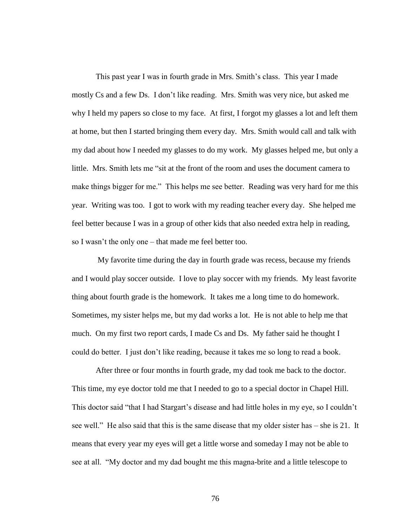This past year I was in fourth grade in Mrs. Smith's class. This year I made mostly Cs and a few Ds. I don't like reading. Mrs. Smith was very nice, but asked me why I held my papers so close to my face. At first, I forgot my glasses a lot and left them at home, but then I started bringing them every day. Mrs. Smith would call and talk with my dad about how I needed my glasses to do my work. My glasses helped me, but only a little. Mrs. Smith lets me "sit at the front of the room and uses the document camera to make things bigger for me." This helps me see better. Reading was very hard for me this year. Writing was too. I got to work with my reading teacher every day. She helped me feel better because I was in a group of other kids that also needed extra help in reading, so I wasn't the only one – that made me feel better too.

My favorite time during the day in fourth grade was recess, because my friends and I would play soccer outside. I love to play soccer with my friends. My least favorite thing about fourth grade is the homework. It takes me a long time to do homework. Sometimes, my sister helps me, but my dad works a lot. He is not able to help me that much. On my first two report cards, I made Cs and Ds. My father said he thought I could do better. I just don't like reading, because it takes me so long to read a book.

After three or four months in fourth grade, my dad took me back to the doctor. This time, my eye doctor told me that I needed to go to a special doctor in Chapel Hill. This doctor said "that I had Stargart's disease and had little holes in my eye, so I couldn't see well." He also said that this is the same disease that my older sister has – she is 21. It means that every year my eyes will get a little worse and someday I may not be able to see at all. "My doctor and my dad bought me this magna-brite and a little telescope to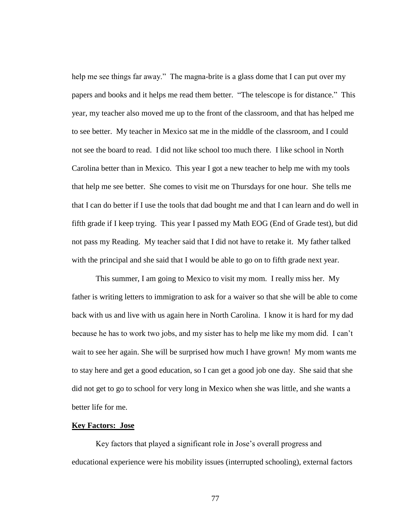help me see things far away." The magna-brite is a glass dome that I can put over my papers and books and it helps me read them better. "The telescope is for distance." This year, my teacher also moved me up to the front of the classroom, and that has helped me to see better. My teacher in Mexico sat me in the middle of the classroom, and I could not see the board to read. I did not like school too much there. I like school in North Carolina better than in Mexico. This year I got a new teacher to help me with my tools that help me see better. She comes to visit me on Thursdays for one hour. She tells me that I can do better if I use the tools that dad bought me and that I can learn and do well in fifth grade if I keep trying. This year I passed my Math EOG (End of Grade test), but did not pass my Reading. My teacher said that I did not have to retake it. My father talked with the principal and she said that I would be able to go on to fifth grade next year.

This summer, I am going to Mexico to visit my mom. I really miss her. My father is writing letters to immigration to ask for a waiver so that she will be able to come back with us and live with us again here in North Carolina. I know it is hard for my dad because he has to work two jobs, and my sister has to help me like my mom did. I can't wait to see her again. She will be surprised how much I have grown! My mom wants me to stay here and get a good education, so I can get a good job one day. She said that she did not get to go to school for very long in Mexico when she was little, and she wants a better life for me.

## **Key Factors: Jose**

Key factors that played a significant role in Jose's overall progress and educational experience were his mobility issues (interrupted schooling), external factors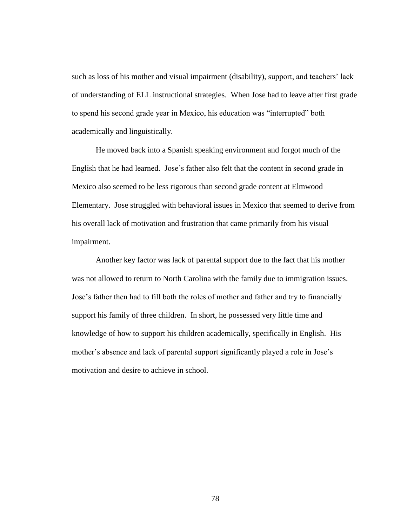such as loss of his mother and visual impairment (disability), support, and teachers' lack of understanding of ELL instructional strategies. When Jose had to leave after first grade to spend his second grade year in Mexico, his education was "interrupted" both academically and linguistically.

He moved back into a Spanish speaking environment and forgot much of the English that he had learned. Jose's father also felt that the content in second grade in Mexico also seemed to be less rigorous than second grade content at Elmwood Elementary. Jose struggled with behavioral issues in Mexico that seemed to derive from his overall lack of motivation and frustration that came primarily from his visual impairment.

Another key factor was lack of parental support due to the fact that his mother was not allowed to return to North Carolina with the family due to immigration issues. Jose's father then had to fill both the roles of mother and father and try to financially support his family of three children. In short, he possessed very little time and knowledge of how to support his children academically, specifically in English. His mother's absence and lack of parental support significantly played a role in Jose's motivation and desire to achieve in school.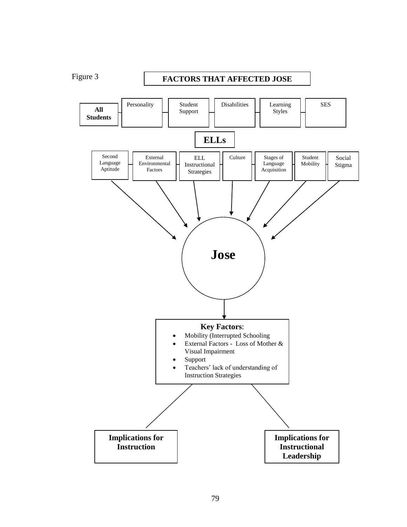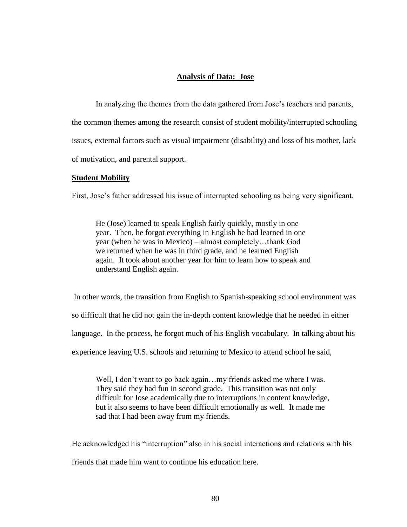# **Analysis of Data: Jose**

In analyzing the themes from the data gathered from Jose's teachers and parents, the common themes among the research consist of student mobility/interrupted schooling issues, external factors such as visual impairment (disability) and loss of his mother, lack of motivation, and parental support.

## **Student Mobility**

First, Jose's father addressed his issue of interrupted schooling as being very significant.

He (Jose) learned to speak English fairly quickly, mostly in one year. Then, he forgot everything in English he had learned in one year (when he was in Mexico) – almost completely…thank God we returned when he was in third grade, and he learned English again. It took about another year for him to learn how to speak and understand English again.

In other words, the transition from English to Spanish-speaking school environment was

so difficult that he did not gain the in-depth content knowledge that he needed in either

language. In the process, he forgot much of his English vocabulary. In talking about his

experience leaving U.S. schools and returning to Mexico to attend school he said,

Well, I don't want to go back again...my friends asked me where I was. They said they had fun in second grade. This transition was not only difficult for Jose academically due to interruptions in content knowledge, but it also seems to have been difficult emotionally as well. It made me sad that I had been away from my friends.

He acknowledged his "interruption" also in his social interactions and relations with his friends that made him want to continue his education here.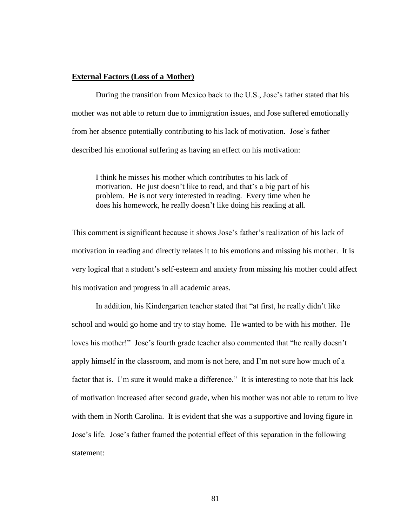# **External Factors (Loss of a Mother)**

During the transition from Mexico back to the U.S., Jose's father stated that his mother was not able to return due to immigration issues, and Jose suffered emotionally from her absence potentially contributing to his lack of motivation. Jose's father described his emotional suffering as having an effect on his motivation:

I think he misses his mother which contributes to his lack of motivation. He just doesn't like to read, and that's a big part of his problem. He is not very interested in reading. Every time when he does his homework, he really doesn't like doing his reading at all.

This comment is significant because it shows Jose's father's realization of his lack of motivation in reading and directly relates it to his emotions and missing his mother. It is very logical that a student's self-esteem and anxiety from missing his mother could affect his motivation and progress in all academic areas.

In addition, his Kindergarten teacher stated that "at first, he really didn't like school and would go home and try to stay home. He wanted to be with his mother. He loves his mother!" Jose's fourth grade teacher also commented that "he really doesn't apply himself in the classroom, and mom is not here, and I'm not sure how much of a factor that is. I'm sure it would make a difference." It is interesting to note that his lack of motivation increased after second grade, when his mother was not able to return to live with them in North Carolina. It is evident that she was a supportive and loving figure in Jose's life. Jose's father framed the potential effect of this separation in the following statement: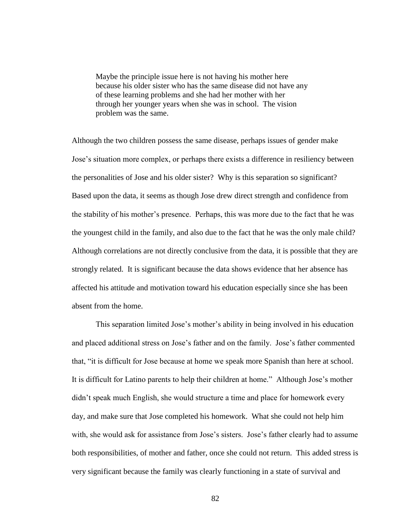Maybe the principle issue here is not having his mother here because his older sister who has the same disease did not have any of these learning problems and she had her mother with her through her younger years when she was in school. The vision problem was the same.

Although the two children possess the same disease, perhaps issues of gender make Jose's situation more complex, or perhaps there exists a difference in resiliency between the personalities of Jose and his older sister? Why is this separation so significant? Based upon the data, it seems as though Jose drew direct strength and confidence from the stability of his mother's presence. Perhaps, this was more due to the fact that he was the youngest child in the family, and also due to the fact that he was the only male child? Although correlations are not directly conclusive from the data, it is possible that they are strongly related. It is significant because the data shows evidence that her absence has affected his attitude and motivation toward his education especially since she has been absent from the home.

This separation limited Jose's mother's ability in being involved in his education and placed additional stress on Jose's father and on the family. Jose's father commented that, "it is difficult for Jose because at home we speak more Spanish than here at school. It is difficult for Latino parents to help their children at home.‖ Although Jose's mother didn't speak much English, she would structure a time and place for homework every day, and make sure that Jose completed his homework. What she could not help him with, she would ask for assistance from Jose's sisters. Jose's father clearly had to assume both responsibilities, of mother and father, once she could not return. This added stress is very significant because the family was clearly functioning in a state of survival and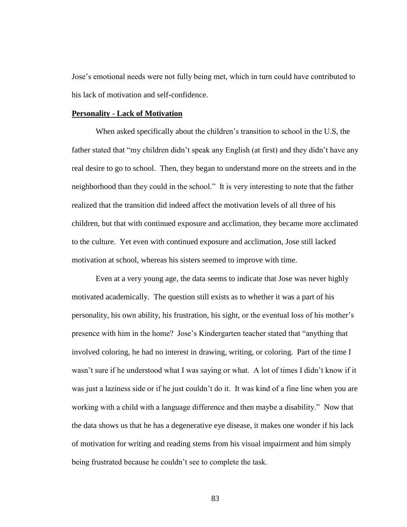Jose's emotional needs were not fully being met, which in turn could have contributed to his lack of motivation and self-confidence.

## **Personality - Lack of Motivation**

When asked specifically about the children's transition to school in the U.S, the father stated that "my children didn't speak any English (at first) and they didn't have any real desire to go to school. Then, they began to understand more on the streets and in the neighborhood than they could in the school." It is very interesting to note that the father realized that the transition did indeed affect the motivation levels of all three of his children, but that with continued exposure and acclimation, they became more acclimated to the culture. Yet even with continued exposure and acclimation, Jose still lacked motivation at school, whereas his sisters seemed to improve with time.

Even at a very young age, the data seems to indicate that Jose was never highly motivated academically. The question still exists as to whether it was a part of his personality, his own ability, his frustration, his sight, or the eventual loss of his mother's presence with him in the home? Jose's Kindergarten teacher stated that "anything that involved coloring, he had no interest in drawing, writing, or coloring. Part of the time I wasn't sure if he understood what I was saying or what. A lot of times I didn't know if it was just a laziness side or if he just couldn't do it. It was kind of a fine line when you are working with a child with a language difference and then maybe a disability." Now that the data shows us that he has a degenerative eye disease, it makes one wonder if his lack of motivation for writing and reading stems from his visual impairment and him simply being frustrated because he couldn't see to complete the task.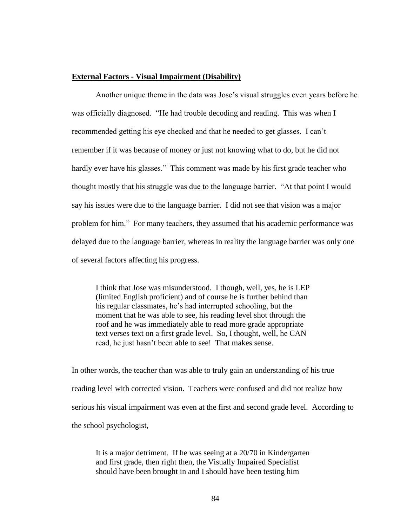## **External Factors - Visual Impairment (Disability)**

Another unique theme in the data was Jose's visual struggles even years before he was officially diagnosed. "He had trouble decoding and reading. This was when I recommended getting his eye checked and that he needed to get glasses. I can't remember if it was because of money or just not knowing what to do, but he did not hardly ever have his glasses." This comment was made by his first grade teacher who thought mostly that his struggle was due to the language barrier. "At that point I would say his issues were due to the language barrier. I did not see that vision was a major problem for him.‖ For many teachers, they assumed that his academic performance was delayed due to the language barrier, whereas in reality the language barrier was only one of several factors affecting his progress.

I think that Jose was misunderstood. I though, well, yes, he is LEP (limited English proficient) and of course he is further behind than his regular classmates, he's had interrupted schooling, but the moment that he was able to see, his reading level shot through the roof and he was immediately able to read more grade appropriate text verses text on a first grade level. So, I thought, well, he CAN read, he just hasn't been able to see! That makes sense.

In other words, the teacher than was able to truly gain an understanding of his true reading level with corrected vision. Teachers were confused and did not realize how serious his visual impairment was even at the first and second grade level. According to the school psychologist,

It is a major detriment. If he was seeing at a 20/70 in Kindergarten and first grade, then right then, the Visually Impaired Specialist should have been brought in and I should have been testing him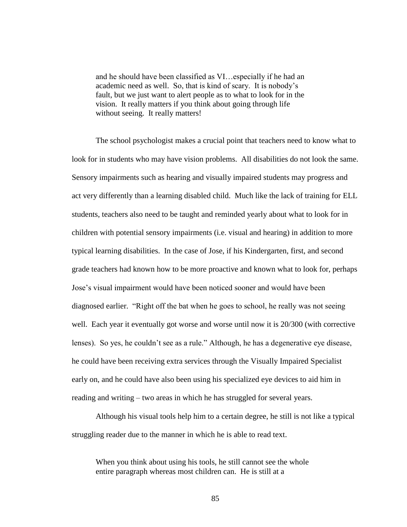and he should have been classified as VI…especially if he had an academic need as well. So, that is kind of scary. It is nobody's fault, but we just want to alert people as to what to look for in the vision. It really matters if you think about going through life without seeing. It really matters!

The school psychologist makes a crucial point that teachers need to know what to look for in students who may have vision problems. All disabilities do not look the same. Sensory impairments such as hearing and visually impaired students may progress and act very differently than a learning disabled child. Much like the lack of training for ELL students, teachers also need to be taught and reminded yearly about what to look for in children with potential sensory impairments (i.e. visual and hearing) in addition to more typical learning disabilities. In the case of Jose, if his Kindergarten, first, and second grade teachers had known how to be more proactive and known what to look for, perhaps Jose's visual impairment would have been noticed sooner and would have been diagnosed earlier. "Right off the bat when he goes to school, he really was not seeing well. Each year it eventually got worse and worse until now it is 20/300 (with corrective lenses). So yes, he couldn't see as a rule." Although, he has a degenerative eye disease, he could have been receiving extra services through the Visually Impaired Specialist early on, and he could have also been using his specialized eye devices to aid him in reading and writing – two areas in which he has struggled for several years.

Although his visual tools help him to a certain degree, he still is not like a typical struggling reader due to the manner in which he is able to read text.

When you think about using his tools, he still cannot see the whole entire paragraph whereas most children can. He is still at a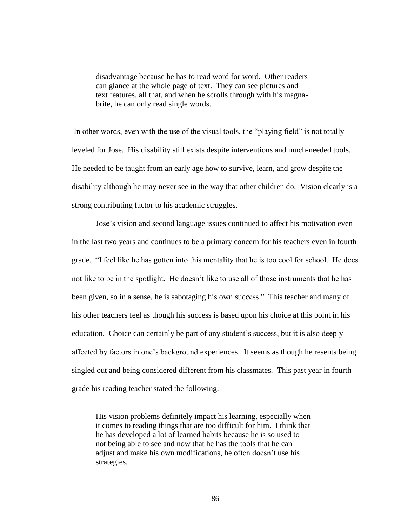disadvantage because he has to read word for word. Other readers can glance at the whole page of text. They can see pictures and text features, all that, and when he scrolls through with his magnabrite, he can only read single words.

In other words, even with the use of the visual tools, the "playing field" is not totally leveled for Jose. His disability still exists despite interventions and much-needed tools. He needed to be taught from an early age how to survive, learn, and grow despite the disability although he may never see in the way that other children do. Vision clearly is a strong contributing factor to his academic struggles.

Jose's vision and second language issues continued to affect his motivation even in the last two years and continues to be a primary concern for his teachers even in fourth grade. "I feel like he has gotten into this mentality that he is too cool for school. He does not like to be in the spotlight. He doesn't like to use all of those instruments that he has been given, so in a sense, he is sabotaging his own success." This teacher and many of his other teachers feel as though his success is based upon his choice at this point in his education. Choice can certainly be part of any student's success, but it is also deeply affected by factors in one's background experiences. It seems as though he resents being singled out and being considered different from his classmates. This past year in fourth grade his reading teacher stated the following:

His vision problems definitely impact his learning, especially when it comes to reading things that are too difficult for him. I think that he has developed a lot of learned habits because he is so used to not being able to see and now that he has the tools that he can adjust and make his own modifications, he often doesn't use his strategies.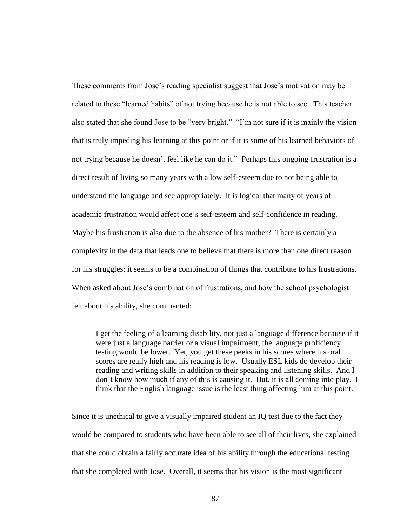These comments from Jose's reading specialist suggest that Jose's motivation may be related to these "learned habits" of not trying because he is not able to see. This teacher also stated that she found Jose to be "very bright." "I'm not sure if it is mainly the vision that is truly impeding his learning at this point or if it is some of his learned behaviors of not trying because he doesn't feel like he can do it." Perhaps this ongoing frustration is a direct result of living so many years with a low self-esteem due to not being able to understand the language and see appropriately. It is logical that many of years of academic frustration would affect one's self-esteem and self-confidence in reading. Maybe his frustration is also due to the absence of his mother? There is certainly a complexity in the data that leads one to believe that there is more than one direct reason for his struggles; it seems to be a combination of things that contribute to his frustrations. When asked about Jose's combination of frustrations, and how the school psychologist felt about his ability, she commented:

I get the feeling of a learning disability, not just a language difference because if it were just a language barrier or a visual impairment, the language proficiency testing would be lower. Yet, you get these peeks in his scores where his oral scores are really high and his reading is low. Usually ESL kids do develop their reading and writing skills in addition to their speaking and listening skills. And I don't know how much if any of this is causing it. But, it is all coming into play. I think that the English language issue is the least thing affecting him at this point.

Since it is unethical to give a visually impaired student an IQ test due to the fact they would be compared to students who have been able to see all of their lives, she explained that she could obtain a fairly accurate idea of his ability through the educational testing that she completed with Jose. Overall, it seems that his vision is the most significant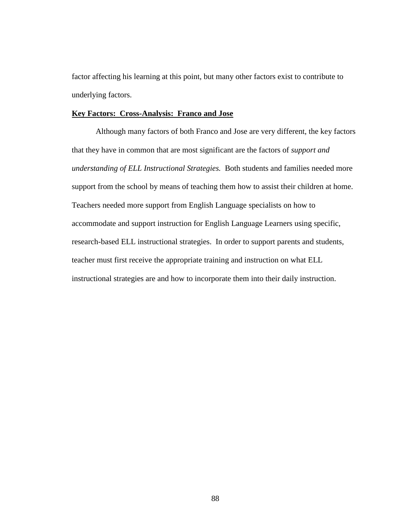factor affecting his learning at this point, but many other factors exist to contribute to underlying factors.

# **Key Factors: Cross-Analysis: Franco and Jose**

Although many factors of both Franco and Jose are very different, the key factors that they have in common that are most significant are the factors of *support and understanding of ELL Instructional Strategies.* Both students and families needed more support from the school by means of teaching them how to assist their children at home. Teachers needed more support from English Language specialists on how to accommodate and support instruction for English Language Learners using specific, research-based ELL instructional strategies. In order to support parents and students, teacher must first receive the appropriate training and instruction on what ELL instructional strategies are and how to incorporate them into their daily instruction.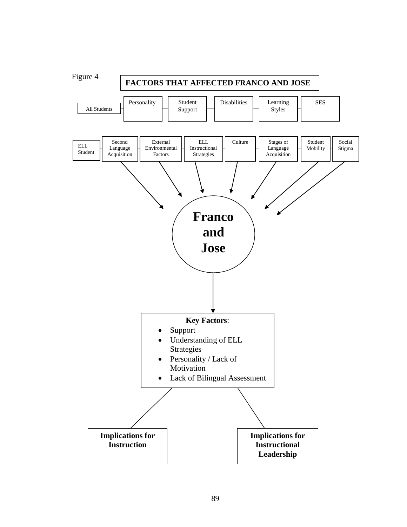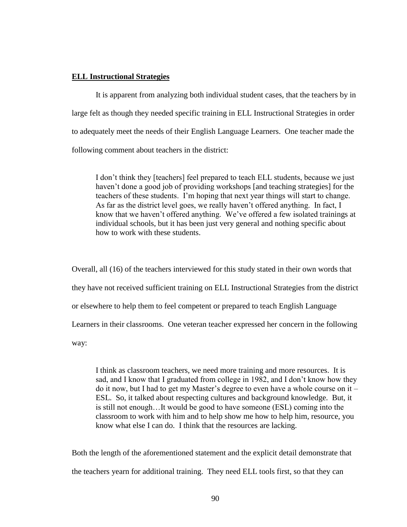## **ELL Instructional Strategies**

It is apparent from analyzing both individual student cases, that the teachers by in large felt as though they needed specific training in ELL Instructional Strategies in order to adequately meet the needs of their English Language Learners. One teacher made the following comment about teachers in the district:

I don't think they [teachers] feel prepared to teach ELL students, because we just haven't done a good job of providing workshops [and teaching strategies] for the teachers of these students. I'm hoping that next year things will start to change. As far as the district level goes, we really haven't offered anything. In fact, I know that we haven't offered anything. We've offered a few isolated trainings at individual schools, but it has been just very general and nothing specific about how to work with these students.

Overall, all (16) of the teachers interviewed for this study stated in their own words that they have not received sufficient training on ELL Instructional Strategies from the district or elsewhere to help them to feel competent or prepared to teach English Language Learners in their classrooms. One veteran teacher expressed her concern in the following way:

I think as classroom teachers, we need more training and more resources. It is sad, and I know that I graduated from college in 1982, and I don't know how they do it now, but I had to get my Master's degree to even have a whole course on it – ESL. So, it talked about respecting cultures and background knowledge. But, it is still not enough…It would be good to have someone (ESL) coming into the classroom to work with him and to help show me how to help him, resource, you know what else I can do. I think that the resources are lacking.

Both the length of the aforementioned statement and the explicit detail demonstrate that the teachers yearn for additional training. They need ELL tools first, so that they can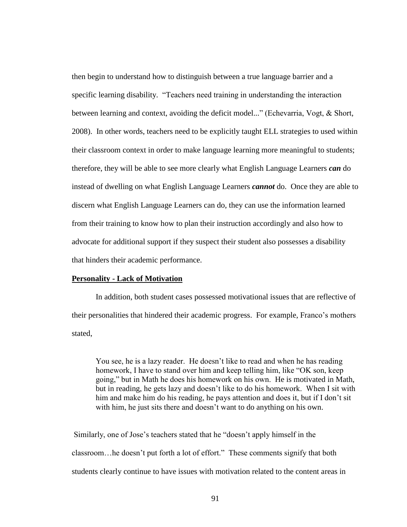then begin to understand how to distinguish between a true language barrier and a specific learning disability. "Teachers need training in understanding the interaction between learning and context, avoiding the deficit model..." (Echevarria, Vogt, & Short, 2008). In other words, teachers need to be explicitly taught ELL strategies to used within their classroom context in order to make language learning more meaningful to students; therefore, they will be able to see more clearly what English Language Learners *can* do instead of dwelling on what English Language Learners *cannot* do. Once they are able to discern what English Language Learners can do, they can use the information learned from their training to know how to plan their instruction accordingly and also how to advocate for additional support if they suspect their student also possesses a disability that hinders their academic performance.

#### **Personality - Lack of Motivation**

In addition, both student cases possessed motivational issues that are reflective of their personalities that hindered their academic progress. For example, Franco's mothers stated,

You see, he is a lazy reader. He doesn't like to read and when he has reading homework, I have to stand over him and keep telling him, like "OK son, keep going," but in Math he does his homework on his own. He is motivated in Math, but in reading, he gets lazy and doesn't like to do his homework. When I sit with him and make him do his reading, he pays attention and does it, but if I don't sit with him, he just sits there and doesn't want to do anything on his own.

Similarly, one of Jose's teachers stated that he "doesn't apply himself in the classroom...he doesn't put forth a lot of effort." These comments signify that both students clearly continue to have issues with motivation related to the content areas in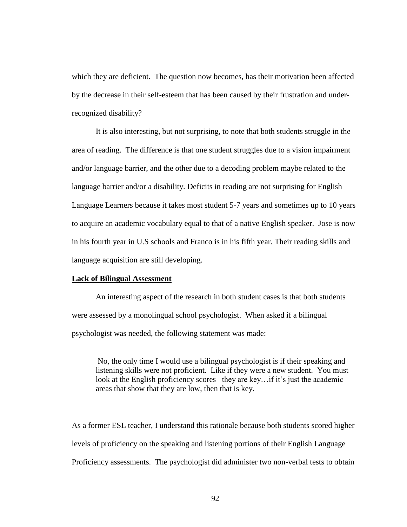which they are deficient. The question now becomes, has their motivation been affected by the decrease in their self-esteem that has been caused by their frustration and underrecognized disability?

It is also interesting, but not surprising, to note that both students struggle in the area of reading. The difference is that one student struggles due to a vision impairment and/or language barrier, and the other due to a decoding problem maybe related to the language barrier and/or a disability. Deficits in reading are not surprising for English Language Learners because it takes most student 5-7 years and sometimes up to 10 years to acquire an academic vocabulary equal to that of a native English speaker. Jose is now in his fourth year in U.S schools and Franco is in his fifth year. Their reading skills and language acquisition are still developing.

#### **Lack of Bilingual Assessment**

An interesting aspect of the research in both student cases is that both students were assessed by a monolingual school psychologist. When asked if a bilingual psychologist was needed, the following statement was made:

No, the only time I would use a bilingual psychologist is if their speaking and listening skills were not proficient. Like if they were a new student. You must look at the English proficiency scores –they are key... if it's just the academic areas that show that they are low, then that is key.

As a former ESL teacher, I understand this rationale because both students scored higher levels of proficiency on the speaking and listening portions of their English Language Proficiency assessments. The psychologist did administer two non-verbal tests to obtain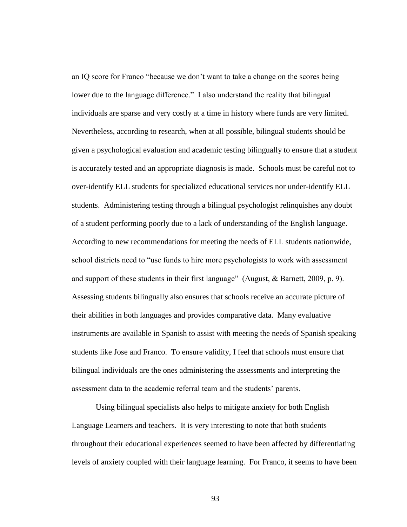an IQ score for Franco "because we don't want to take a change on the scores being lower due to the language difference." I also understand the reality that bilingual individuals are sparse and very costly at a time in history where funds are very limited. Nevertheless, according to research, when at all possible, bilingual students should be given a psychological evaluation and academic testing bilingually to ensure that a student is accurately tested and an appropriate diagnosis is made. Schools must be careful not to over-identify ELL students for specialized educational services nor under-identify ELL students. Administering testing through a bilingual psychologist relinquishes any doubt of a student performing poorly due to a lack of understanding of the English language. According to new recommendations for meeting the needs of ELL students nationwide, school districts need to "use funds to hire more psychologists to work with assessment and support of these students in their first language" (August,  $&$  Barnett, 2009, p. 9). Assessing students bilingually also ensures that schools receive an accurate picture of their abilities in both languages and provides comparative data. Many evaluative instruments are available in Spanish to assist with meeting the needs of Spanish speaking students like Jose and Franco. To ensure validity, I feel that schools must ensure that bilingual individuals are the ones administering the assessments and interpreting the assessment data to the academic referral team and the students' parents.

Using bilingual specialists also helps to mitigate anxiety for both English Language Learners and teachers. It is very interesting to note that both students throughout their educational experiences seemed to have been affected by differentiating levels of anxiety coupled with their language learning. For Franco, it seems to have been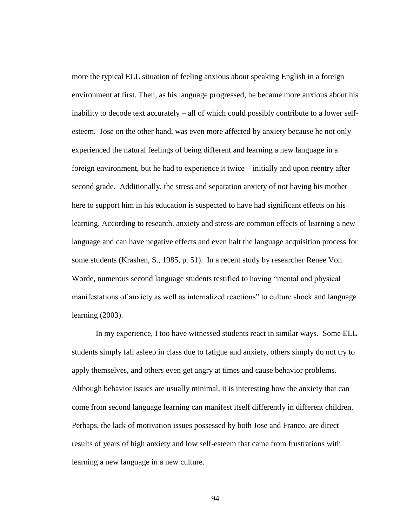more the typical ELL situation of feeling anxious about speaking English in a foreign environment at first. Then, as his language progressed, he became more anxious about his inability to decode text accurately – all of which could possibly contribute to a lower selfesteem. Jose on the other hand, was even more affected by anxiety because he not only experienced the natural feelings of being different and learning a new language in a foreign environment, but he had to experience it twice – initially and upon reentry after second grade. Additionally, the stress and separation anxiety of not having his mother here to support him in his education is suspected to have had significant effects on his learning. According to research, anxiety and stress are common effects of learning a new language and can have negative effects and even halt the language acquisition process for some students (Krashen, S., 1985, p. 51). In a recent study by researcher Renee Von Worde, numerous second language students testified to having "mental and physical manifestations of anxiety as well as internalized reactions" to culture shock and language learning (2003).

In my experience, I too have witnessed students react in similar ways. Some ELL students simply fall asleep in class due to fatigue and anxiety, others simply do not try to apply themselves, and others even get angry at times and cause behavior problems. Although behavior issues are usually minimal, it is interesting how the anxiety that can come from second language learning can manifest itself differently in different children. Perhaps, the lack of motivation issues possessed by both Jose and Franco, are direct results of years of high anxiety and low self-esteem that came from frustrations with learning a new language in a new culture.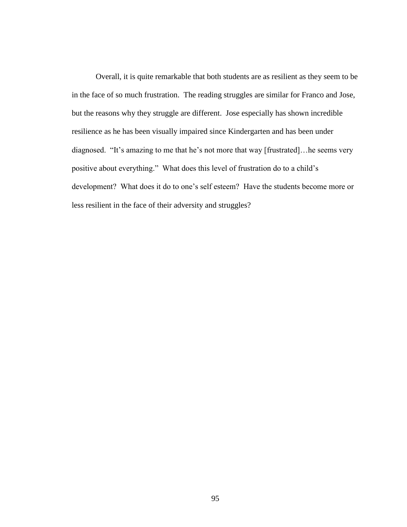Overall, it is quite remarkable that both students are as resilient as they seem to be in the face of so much frustration. The reading struggles are similar for Franco and Jose, but the reasons why they struggle are different. Jose especially has shown incredible resilience as he has been visually impaired since Kindergarten and has been under diagnosed. "It's amazing to me that he's not more that way [frustrated]... he seems very positive about everything." What does this level of frustration do to a child's development? What does it do to one's self esteem? Have the students become more or less resilient in the face of their adversity and struggles?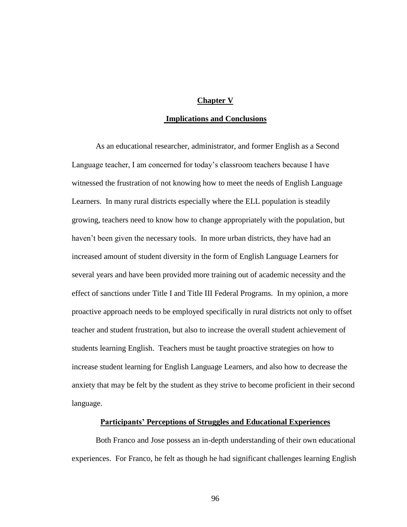# **Chapter V**

## **Implications and Conclusions**

As an educational researcher, administrator, and former English as a Second Language teacher, I am concerned for today's classroom teachers because I have witnessed the frustration of not knowing how to meet the needs of English Language Learners. In many rural districts especially where the ELL population is steadily growing, teachers need to know how to change appropriately with the population, but haven't been given the necessary tools. In more urban districts, they have had an increased amount of student diversity in the form of English Language Learners for several years and have been provided more training out of academic necessity and the effect of sanctions under Title I and Title III Federal Programs. In my opinion, a more proactive approach needs to be employed specifically in rural districts not only to offset teacher and student frustration, but also to increase the overall student achievement of students learning English. Teachers must be taught proactive strategies on how to increase student learning for English Language Learners, and also how to decrease the anxiety that may be felt by the student as they strive to become proficient in their second language.

## **Participants' Perceptions of Struggles and Educational Experiences**

Both Franco and Jose possess an in-depth understanding of their own educational experiences. For Franco, he felt as though he had significant challenges learning English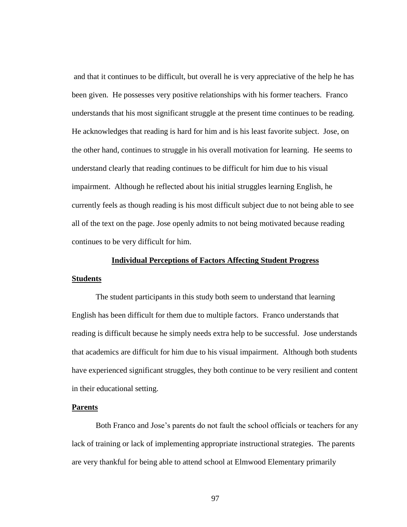and that it continues to be difficult, but overall he is very appreciative of the help he has been given. He possesses very positive relationships with his former teachers. Franco understands that his most significant struggle at the present time continues to be reading. He acknowledges that reading is hard for him and is his least favorite subject. Jose, on the other hand, continues to struggle in his overall motivation for learning. He seems to understand clearly that reading continues to be difficult for him due to his visual impairment. Although he reflected about his initial struggles learning English, he currently feels as though reading is his most difficult subject due to not being able to see all of the text on the page. Jose openly admits to not being motivated because reading continues to be very difficult for him.

## **Individual Perceptions of Factors Affecting Student Progress**

#### **Students**

The student participants in this study both seem to understand that learning English has been difficult for them due to multiple factors. Franco understands that reading is difficult because he simply needs extra help to be successful. Jose understands that academics are difficult for him due to his visual impairment. Although both students have experienced significant struggles, they both continue to be very resilient and content in their educational setting.

#### **Parents**

Both Franco and Jose's parents do not fault the school officials or teachers for any lack of training or lack of implementing appropriate instructional strategies. The parents are very thankful for being able to attend school at Elmwood Elementary primarily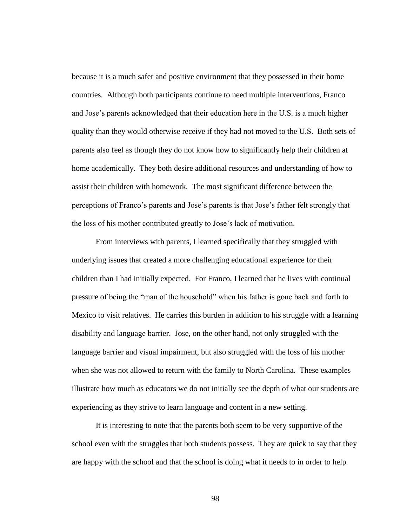because it is a much safer and positive environment that they possessed in their home countries. Although both participants continue to need multiple interventions, Franco and Jose's parents acknowledged that their education here in the U.S. is a much higher quality than they would otherwise receive if they had not moved to the U.S. Both sets of parents also feel as though they do not know how to significantly help their children at home academically. They both desire additional resources and understanding of how to assist their children with homework. The most significant difference between the perceptions of Franco's parents and Jose's parents is that Jose's father felt strongly that the loss of his mother contributed greatly to Jose's lack of motivation.

From interviews with parents, I learned specifically that they struggled with underlying issues that created a more challenging educational experience for their children than I had initially expected. For Franco, I learned that he lives with continual pressure of being the "man of the household" when his father is gone back and forth to Mexico to visit relatives. He carries this burden in addition to his struggle with a learning disability and language barrier. Jose, on the other hand, not only struggled with the language barrier and visual impairment, but also struggled with the loss of his mother when she was not allowed to return with the family to North Carolina. These examples illustrate how much as educators we do not initially see the depth of what our students are experiencing as they strive to learn language and content in a new setting.

It is interesting to note that the parents both seem to be very supportive of the school even with the struggles that both students possess. They are quick to say that they are happy with the school and that the school is doing what it needs to in order to help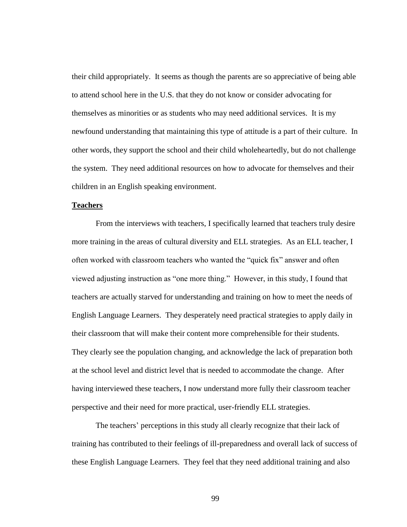their child appropriately. It seems as though the parents are so appreciative of being able to attend school here in the U.S. that they do not know or consider advocating for themselves as minorities or as students who may need additional services. It is my newfound understanding that maintaining this type of attitude is a part of their culture. In other words, they support the school and their child wholeheartedly, but do not challenge the system. They need additional resources on how to advocate for themselves and their children in an English speaking environment.

# **Teachers**

From the interviews with teachers, I specifically learned that teachers truly desire more training in the areas of cultural diversity and ELL strategies. As an ELL teacher, I often worked with classroom teachers who wanted the "quick fix" answer and often viewed adjusting instruction as "one more thing." However, in this study, I found that teachers are actually starved for understanding and training on how to meet the needs of English Language Learners. They desperately need practical strategies to apply daily in their classroom that will make their content more comprehensible for their students. They clearly see the population changing, and acknowledge the lack of preparation both at the school level and district level that is needed to accommodate the change. After having interviewed these teachers, I now understand more fully their classroom teacher perspective and their need for more practical, user-friendly ELL strategies.

The teachers' perceptions in this study all clearly recognize that their lack of training has contributed to their feelings of ill-preparedness and overall lack of success of these English Language Learners. They feel that they need additional training and also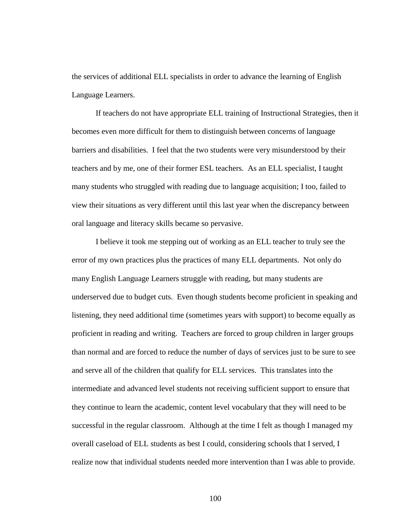the services of additional ELL specialists in order to advance the learning of English Language Learners.

If teachers do not have appropriate ELL training of Instructional Strategies, then it becomes even more difficult for them to distinguish between concerns of language barriers and disabilities. I feel that the two students were very misunderstood by their teachers and by me, one of their former ESL teachers. As an ELL specialist, I taught many students who struggled with reading due to language acquisition; I too, failed to view their situations as very different until this last year when the discrepancy between oral language and literacy skills became so pervasive.

I believe it took me stepping out of working as an ELL teacher to truly see the error of my own practices plus the practices of many ELL departments. Not only do many English Language Learners struggle with reading, but many students are underserved due to budget cuts. Even though students become proficient in speaking and listening, they need additional time (sometimes years with support) to become equally as proficient in reading and writing. Teachers are forced to group children in larger groups than normal and are forced to reduce the number of days of services just to be sure to see and serve all of the children that qualify for ELL services. This translates into the intermediate and advanced level students not receiving sufficient support to ensure that they continue to learn the academic, content level vocabulary that they will need to be successful in the regular classroom. Although at the time I felt as though I managed my overall caseload of ELL students as best I could, considering schools that I served, I realize now that individual students needed more intervention than I was able to provide.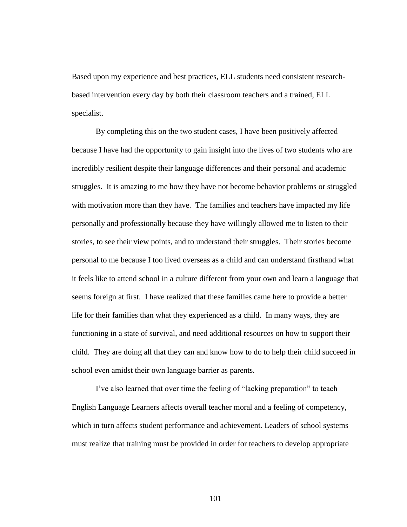Based upon my experience and best practices, ELL students need consistent researchbased intervention every day by both their classroom teachers and a trained, ELL specialist.

By completing this on the two student cases, I have been positively affected because I have had the opportunity to gain insight into the lives of two students who are incredibly resilient despite their language differences and their personal and academic struggles. It is amazing to me how they have not become behavior problems or struggled with motivation more than they have. The families and teachers have impacted my life personally and professionally because they have willingly allowed me to listen to their stories, to see their view points, and to understand their struggles. Their stories become personal to me because I too lived overseas as a child and can understand firsthand what it feels like to attend school in a culture different from your own and learn a language that seems foreign at first. I have realized that these families came here to provide a better life for their families than what they experienced as a child. In many ways, they are functioning in a state of survival, and need additional resources on how to support their child. They are doing all that they can and know how to do to help their child succeed in school even amidst their own language barrier as parents.

I've also learned that over time the feeling of "lacking preparation" to teach English Language Learners affects overall teacher moral and a feeling of competency, which in turn affects student performance and achievement. Leaders of school systems must realize that training must be provided in order for teachers to develop appropriate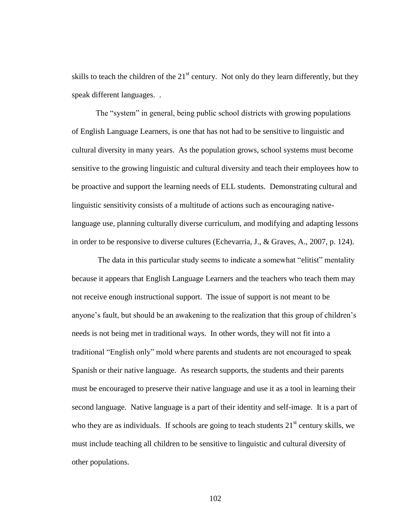skills to teach the children of the  $21<sup>st</sup>$  century. Not only do they learn differently, but they speak different languages. .

The "system" in general, being public school districts with growing populations of English Language Learners, is one that has not had to be sensitive to linguistic and cultural diversity in many years. As the population grows, school systems must become sensitive to the growing linguistic and cultural diversity and teach their employees how to be proactive and support the learning needs of ELL students. Demonstrating cultural and linguistic sensitivity consists of a multitude of actions such as encouraging nativelanguage use, planning culturally diverse curriculum, and modifying and adapting lessons in order to be responsive to diverse cultures (Echevarria, J., & Graves, A., 2007, p. 124).

The data in this particular study seems to indicate a somewhat "elitist" mentality because it appears that English Language Learners and the teachers who teach them may not receive enough instructional support. The issue of support is not meant to be anyone's fault, but should be an awakening to the realization that this group of children's needs is not being met in traditional ways. In other words, they will not fit into a traditional "English only" mold where parents and students are not encouraged to speak Spanish or their native language. As research supports, the students and their parents must be encouraged to preserve their native language and use it as a tool in learning their second language. Native language is a part of their identity and self-image. It is a part of who they are as individuals. If schools are going to teach students  $21<sup>st</sup>$  century skills, we must include teaching all children to be sensitive to linguistic and cultural diversity of other populations.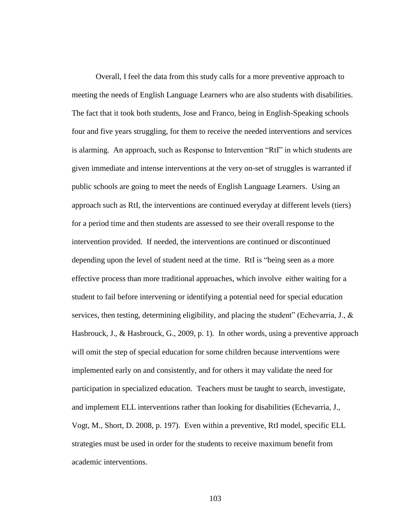Overall, I feel the data from this study calls for a more preventive approach to meeting the needs of English Language Learners who are also students with disabilities. The fact that it took both students, Jose and Franco, being in English-Speaking schools four and five years struggling, for them to receive the needed interventions and services is alarming. An approach, such as Response to Intervention "RtI" in which students are given immediate and intense interventions at the very on-set of struggles is warranted if public schools are going to meet the needs of English Language Learners. Using an approach such as RtI, the interventions are continued everyday at different levels (tiers) for a period time and then students are assessed to see their overall response to the intervention provided. If needed, the interventions are continued or discontinued depending upon the level of student need at the time. RtI is "being seen as a more effective process than more traditional approaches, which involve either waiting for a student to fail before intervening or identifying a potential need for special education services, then testing, determining eligibility, and placing the student" (Echevarria, J.,  $\&$ Hasbrouck, J., & Hasbrouck, G., 2009, p. 1). In other words, using a preventive approach will omit the step of special education for some children because interventions were implemented early on and consistently, and for others it may validate the need for participation in specialized education. Teachers must be taught to search, investigate, and implement ELL interventions rather than looking for disabilities (Echevarria, J., Vogt, M., Short, D. 2008, p. 197). Even within a preventive, RtI model, specific ELL strategies must be used in order for the students to receive maximum benefit from academic interventions.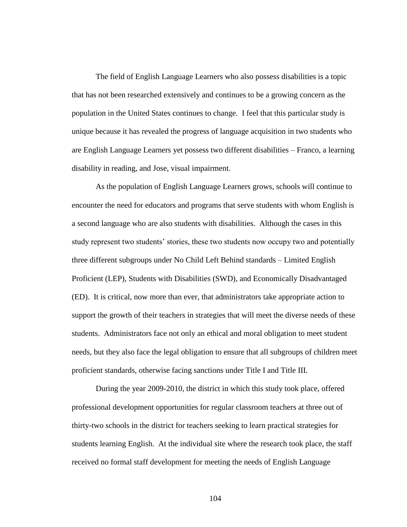The field of English Language Learners who also possess disabilities is a topic that has not been researched extensively and continues to be a growing concern as the population in the United States continues to change. I feel that this particular study is unique because it has revealed the progress of language acquisition in two students who are English Language Learners yet possess two different disabilities – Franco, a learning disability in reading, and Jose, visual impairment.

As the population of English Language Learners grows, schools will continue to encounter the need for educators and programs that serve students with whom English is a second language who are also students with disabilities. Although the cases in this study represent two students' stories, these two students now occupy two and potentially three different subgroups under No Child Left Behind standards – Limited English Proficient (LEP), Students with Disabilities (SWD), and Economically Disadvantaged (ED). It is critical, now more than ever, that administrators take appropriate action to support the growth of their teachers in strategies that will meet the diverse needs of these students. Administrators face not only an ethical and moral obligation to meet student needs, but they also face the legal obligation to ensure that all subgroups of children meet proficient standards, otherwise facing sanctions under Title I and Title III.

During the year 2009-2010, the district in which this study took place, offered professional development opportunities for regular classroom teachers at three out of thirty-two schools in the district for teachers seeking to learn practical strategies for students learning English. At the individual site where the research took place, the staff received no formal staff development for meeting the needs of English Language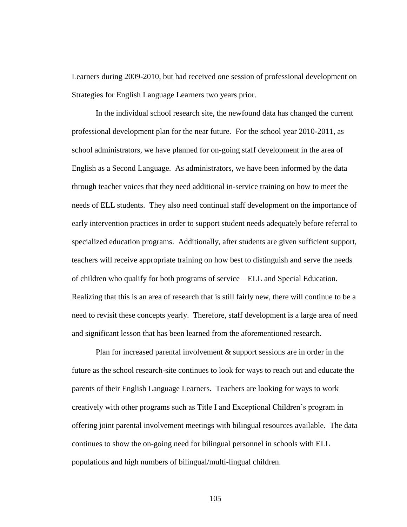Learners during 2009-2010, but had received one session of professional development on Strategies for English Language Learners two years prior.

In the individual school research site, the newfound data has changed the current professional development plan for the near future. For the school year 2010-2011, as school administrators, we have planned for on-going staff development in the area of English as a Second Language. As administrators, we have been informed by the data through teacher voices that they need additional in-service training on how to meet the needs of ELL students. They also need continual staff development on the importance of early intervention practices in order to support student needs adequately before referral to specialized education programs. Additionally, after students are given sufficient support, teachers will receive appropriate training on how best to distinguish and serve the needs of children who qualify for both programs of service – ELL and Special Education. Realizing that this is an area of research that is still fairly new, there will continue to be a need to revisit these concepts yearly. Therefore, staff development is a large area of need and significant lesson that has been learned from the aforementioned research.

Plan for increased parental involvement & support sessions are in order in the future as the school research-site continues to look for ways to reach out and educate the parents of their English Language Learners. Teachers are looking for ways to work creatively with other programs such as Title I and Exceptional Children's program in offering joint parental involvement meetings with bilingual resources available. The data continues to show the on-going need for bilingual personnel in schools with ELL populations and high numbers of bilingual/multi-lingual children.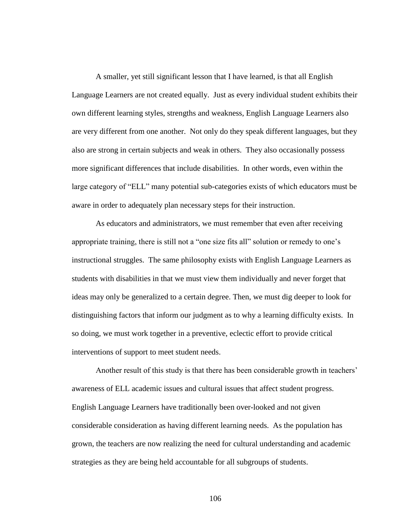A smaller, yet still significant lesson that I have learned, is that all English Language Learners are not created equally. Just as every individual student exhibits their own different learning styles, strengths and weakness, English Language Learners also are very different from one another. Not only do they speak different languages, but they also are strong in certain subjects and weak in others. They also occasionally possess more significant differences that include disabilities. In other words, even within the large category of "ELL" many potential sub-categories exists of which educators must be aware in order to adequately plan necessary steps for their instruction.

As educators and administrators, we must remember that even after receiving appropriate training, there is still not a "one size fits all" solution or remedy to one's instructional struggles. The same philosophy exists with English Language Learners as students with disabilities in that we must view them individually and never forget that ideas may only be generalized to a certain degree. Then, we must dig deeper to look for distinguishing factors that inform our judgment as to why a learning difficulty exists. In so doing, we must work together in a preventive, eclectic effort to provide critical interventions of support to meet student needs.

Another result of this study is that there has been considerable growth in teachers' awareness of ELL academic issues and cultural issues that affect student progress. English Language Learners have traditionally been over-looked and not given considerable consideration as having different learning needs. As the population has grown, the teachers are now realizing the need for cultural understanding and academic strategies as they are being held accountable for all subgroups of students.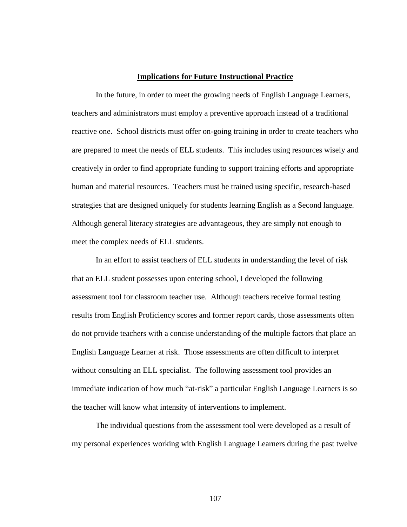### **Implications for Future Instructional Practice**

In the future, in order to meet the growing needs of English Language Learners, teachers and administrators must employ a preventive approach instead of a traditional reactive one. School districts must offer on-going training in order to create teachers who are prepared to meet the needs of ELL students. This includes using resources wisely and creatively in order to find appropriate funding to support training efforts and appropriate human and material resources. Teachers must be trained using specific, research-based strategies that are designed uniquely for students learning English as a Second language. Although general literacy strategies are advantageous, they are simply not enough to meet the complex needs of ELL students.

In an effort to assist teachers of ELL students in understanding the level of risk that an ELL student possesses upon entering school, I developed the following assessment tool for classroom teacher use. Although teachers receive formal testing results from English Proficiency scores and former report cards, those assessments often do not provide teachers with a concise understanding of the multiple factors that place an English Language Learner at risk. Those assessments are often difficult to interpret without consulting an ELL specialist. The following assessment tool provides an immediate indication of how much "at-risk" a particular English Language Learners is so the teacher will know what intensity of interventions to implement.

The individual questions from the assessment tool were developed as a result of my personal experiences working with English Language Learners during the past twelve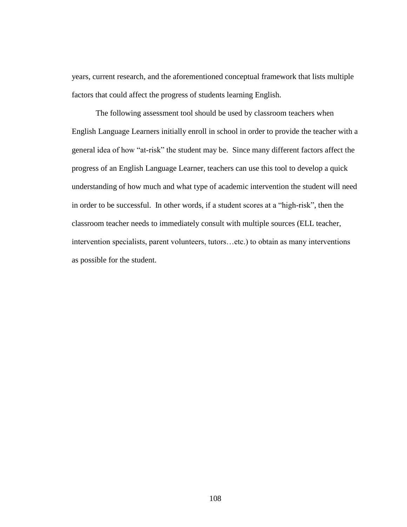years, current research, and the aforementioned conceptual framework that lists multiple factors that could affect the progress of students learning English.

The following assessment tool should be used by classroom teachers when English Language Learners initially enroll in school in order to provide the teacher with a general idea of how "at-risk" the student may be. Since many different factors affect the progress of an English Language Learner, teachers can use this tool to develop a quick understanding of how much and what type of academic intervention the student will need in order to be successful. In other words, if a student scores at a "high-risk", then the classroom teacher needs to immediately consult with multiple sources (ELL teacher, intervention specialists, parent volunteers, tutors…etc.) to obtain as many interventions as possible for the student.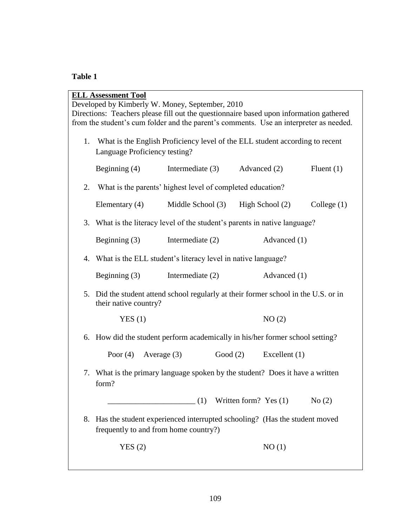# **Table 1**

|    | <b>ELL Assessment Tool</b> |                                                                                                                    |                                                                              |                                                                            |                 |               |  |
|----|----------------------------|--------------------------------------------------------------------------------------------------------------------|------------------------------------------------------------------------------|----------------------------------------------------------------------------|-----------------|---------------|--|
|    |                            | Developed by Kimberly W. Money, September, 2010                                                                    |                                                                              |                                                                            |                 |               |  |
|    |                            | Directions: Teachers please fill out the questionnaire based upon information gathered                             |                                                                              |                                                                            |                 |               |  |
|    |                            | from the student's cum folder and the parent's comments. Use an interpreter as needed.                             |                                                                              |                                                                            |                 |               |  |
| 1. |                            |                                                                                                                    | What is the English Proficiency level of the ELL student according to recent |                                                                            |                 |               |  |
|    |                            | Language Proficiency testing?                                                                                      |                                                                              |                                                                            |                 |               |  |
|    | Beginning $(4)$            |                                                                                                                    | Intermediate (3)                                                             |                                                                            | Advanced (2)    | Fluent $(1)$  |  |
| 2. |                            | What is the parents' highest level of completed education?                                                         |                                                                              |                                                                            |                 |               |  |
|    | Elementary $(4)$           |                                                                                                                    | Middle School (3)                                                            |                                                                            | High School (2) | College $(1)$ |  |
|    |                            |                                                                                                                    |                                                                              | 3. What is the literacy level of the student's parents in native language? |                 |               |  |
|    | Beginning $(3)$            |                                                                                                                    | Intermediate $(2)$                                                           |                                                                            | Advanced (1)    |               |  |
|    |                            | 4. What is the ELL student's literacy level in native language?                                                    |                                                                              |                                                                            |                 |               |  |
|    | Beginning $(3)$            |                                                                                                                    | Intermediate $(2)$                                                           |                                                                            | Advanced (1)    |               |  |
|    |                            | 5. Did the student attend school regularly at their former school in the U.S. or in<br>their native country?       |                                                                              |                                                                            |                 |               |  |
|    | YES(1)                     |                                                                                                                    |                                                                              |                                                                            | NO(2)           |               |  |
|    |                            | 6. How did the student perform academically in his/her former school setting?                                      |                                                                              |                                                                            |                 |               |  |
|    |                            | Poor $(4)$ Average $(3)$                                                                                           |                                                                              | Good (2)                                                                   | Excellent $(1)$ |               |  |
|    | form?                      | 7. What is the primary language spoken by the student? Does it have a written                                      |                                                                              |                                                                            |                 |               |  |
|    |                            | $(1)$ Written form? Yes $(1)$                                                                                      |                                                                              |                                                                            |                 | No(2)         |  |
| 8. |                            | Has the student experienced interrupted schooling? (Has the student moved<br>frequently to and from home country?) |                                                                              |                                                                            |                 |               |  |
|    | YES(2)                     |                                                                                                                    |                                                                              |                                                                            | NO(1)           |               |  |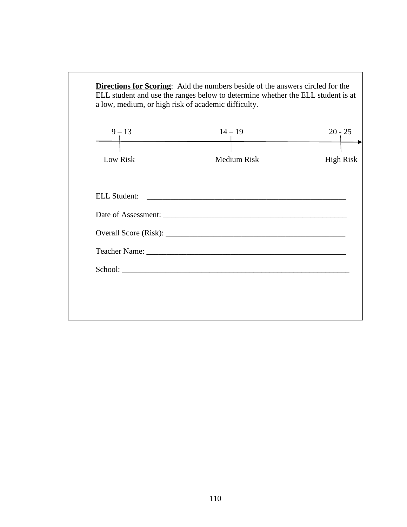| $9 - 13$            | $14 - 19$          | $20 - 25$        |
|---------------------|--------------------|------------------|
| Low Risk            | <b>Medium Risk</b> | <b>High Risk</b> |
| <b>ELL Student:</b> |                    |                  |
|                     |                    |                  |
|                     |                    |                  |
|                     |                    |                  |
|                     |                    |                  |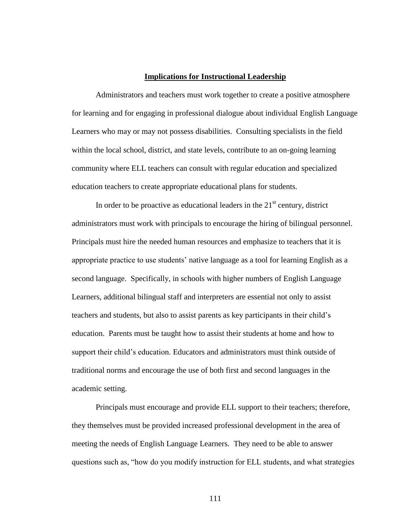### **Implications for Instructional Leadership**

Administrators and teachers must work together to create a positive atmosphere for learning and for engaging in professional dialogue about individual English Language Learners who may or may not possess disabilities. Consulting specialists in the field within the local school, district, and state levels, contribute to an on-going learning community where ELL teachers can consult with regular education and specialized education teachers to create appropriate educational plans for students.

In order to be proactive as educational leaders in the  $21<sup>st</sup>$  century, district administrators must work with principals to encourage the hiring of bilingual personnel. Principals must hire the needed human resources and emphasize to teachers that it is appropriate practice to use students' native language as a tool for learning English as a second language. Specifically, in schools with higher numbers of English Language Learners, additional bilingual staff and interpreters are essential not only to assist teachers and students, but also to assist parents as key participants in their child's education. Parents must be taught how to assist their students at home and how to support their child's education. Educators and administrators must think outside of traditional norms and encourage the use of both first and second languages in the academic setting.

Principals must encourage and provide ELL support to their teachers; therefore, they themselves must be provided increased professional development in the area of meeting the needs of English Language Learners. They need to be able to answer questions such as, "how do you modify instruction for ELL students, and what strategies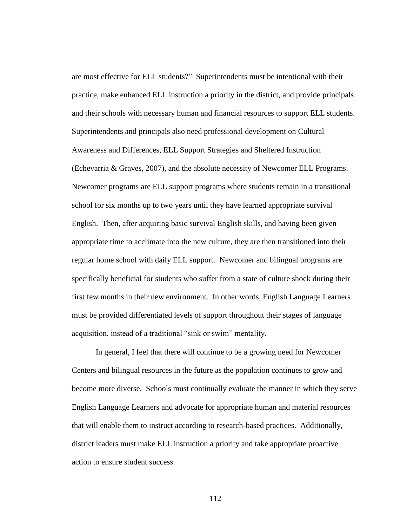are most effective for ELL students?" Superintendents must be intentional with their practice, make enhanced ELL instruction a priority in the district, and provide principals and their schools with necessary human and financial resources to support ELL students. Superintendents and principals also need professional development on Cultural Awareness and Differences, ELL Support Strategies and Sheltered Instruction (Echevarria & Graves, 2007), and the absolute necessity of Newcomer ELL Programs. Newcomer programs are ELL support programs where students remain in a transitional school for six months up to two years until they have learned appropriate survival English. Then, after acquiring basic survival English skills, and having been given appropriate time to acclimate into the new culture, they are then transitioned into their regular home school with daily ELL support. Newcomer and bilingual programs are specifically beneficial for students who suffer from a state of culture shock during their first few months in their new environment. In other words, English Language Learners must be provided differentiated levels of support throughout their stages of language acquisition, instead of a traditional "sink or swim" mentality.

In general, I feel that there will continue to be a growing need for Newcomer Centers and bilingual resources in the future as the population continues to grow and become more diverse. Schools must continually evaluate the manner in which they serve English Language Learners and advocate for appropriate human and material resources that will enable them to instruct according to research-based practices. Additionally, district leaders must make ELL instruction a priority and take appropriate proactive action to ensure student success.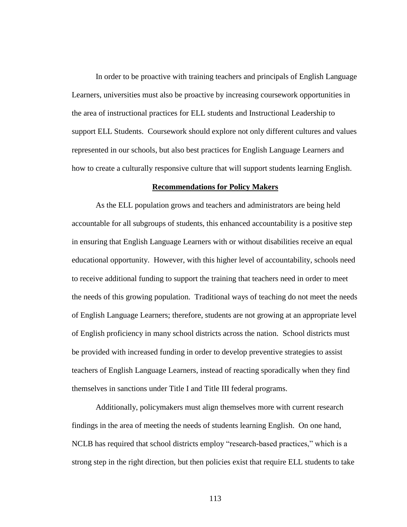In order to be proactive with training teachers and principals of English Language Learners, universities must also be proactive by increasing coursework opportunities in the area of instructional practices for ELL students and Instructional Leadership to support ELL Students. Coursework should explore not only different cultures and values represented in our schools, but also best practices for English Language Learners and how to create a culturally responsive culture that will support students learning English.

#### **Recommendations for Policy Makers**

As the ELL population grows and teachers and administrators are being held accountable for all subgroups of students, this enhanced accountability is a positive step in ensuring that English Language Learners with or without disabilities receive an equal educational opportunity. However, with this higher level of accountability, schools need to receive additional funding to support the training that teachers need in order to meet the needs of this growing population. Traditional ways of teaching do not meet the needs of English Language Learners; therefore, students are not growing at an appropriate level of English proficiency in many school districts across the nation. School districts must be provided with increased funding in order to develop preventive strategies to assist teachers of English Language Learners, instead of reacting sporadically when they find themselves in sanctions under Title I and Title III federal programs.

Additionally, policymakers must align themselves more with current research findings in the area of meeting the needs of students learning English. On one hand, NCLB has required that school districts employ "research-based practices," which is a strong step in the right direction, but then policies exist that require ELL students to take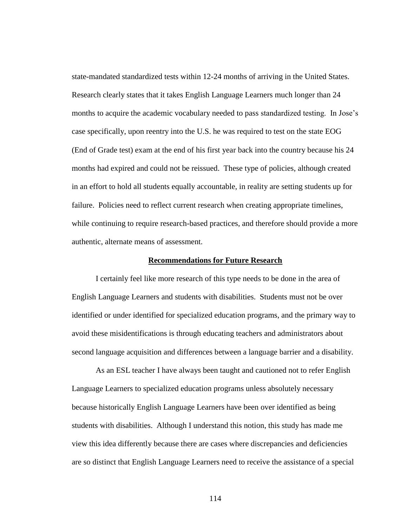state-mandated standardized tests within 12-24 months of arriving in the United States. Research clearly states that it takes English Language Learners much longer than 24 months to acquire the academic vocabulary needed to pass standardized testing. In Jose's case specifically, upon reentry into the U.S. he was required to test on the state EOG (End of Grade test) exam at the end of his first year back into the country because his 24 months had expired and could not be reissued. These type of policies, although created in an effort to hold all students equally accountable, in reality are setting students up for failure. Policies need to reflect current research when creating appropriate timelines, while continuing to require research-based practices, and therefore should provide a more authentic, alternate means of assessment.

## **Recommendations for Future Research**

I certainly feel like more research of this type needs to be done in the area of English Language Learners and students with disabilities. Students must not be over identified or under identified for specialized education programs, and the primary way to avoid these misidentifications is through educating teachers and administrators about second language acquisition and differences between a language barrier and a disability.

As an ESL teacher I have always been taught and cautioned not to refer English Language Learners to specialized education programs unless absolutely necessary because historically English Language Learners have been over identified as being students with disabilities. Although I understand this notion, this study has made me view this idea differently because there are cases where discrepancies and deficiencies are so distinct that English Language Learners need to receive the assistance of a special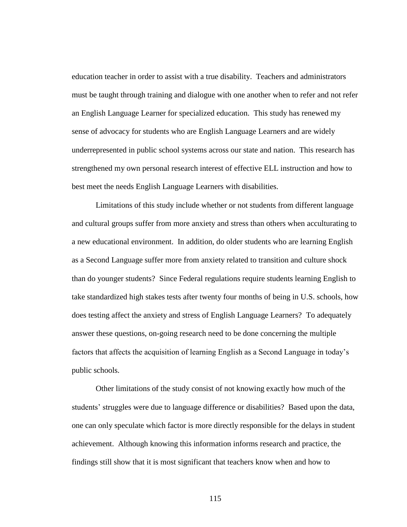education teacher in order to assist with a true disability. Teachers and administrators must be taught through training and dialogue with one another when to refer and not refer an English Language Learner for specialized education. This study has renewed my sense of advocacy for students who are English Language Learners and are widely underrepresented in public school systems across our state and nation. This research has strengthened my own personal research interest of effective ELL instruction and how to best meet the needs English Language Learners with disabilities.

Limitations of this study include whether or not students from different language and cultural groups suffer from more anxiety and stress than others when acculturating to a new educational environment. In addition, do older students who are learning English as a Second Language suffer more from anxiety related to transition and culture shock than do younger students? Since Federal regulations require students learning English to take standardized high stakes tests after twenty four months of being in U.S. schools, how does testing affect the anxiety and stress of English Language Learners? To adequately answer these questions, on-going research need to be done concerning the multiple factors that affects the acquisition of learning English as a Second Language in today's public schools.

Other limitations of the study consist of not knowing exactly how much of the students' struggles were due to language difference or disabilities? Based upon the data, one can only speculate which factor is more directly responsible for the delays in student achievement. Although knowing this information informs research and practice, the findings still show that it is most significant that teachers know when and how to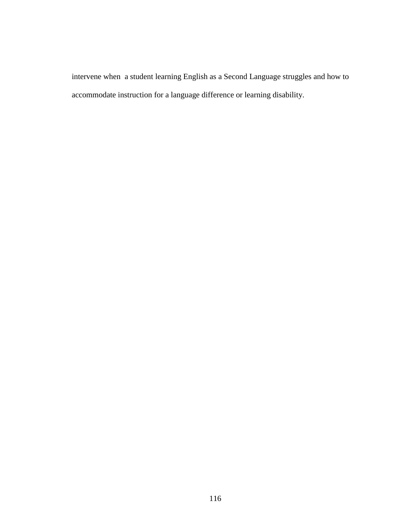intervene when a student learning English as a Second Language struggles and how to accommodate instruction for a language difference or learning disability.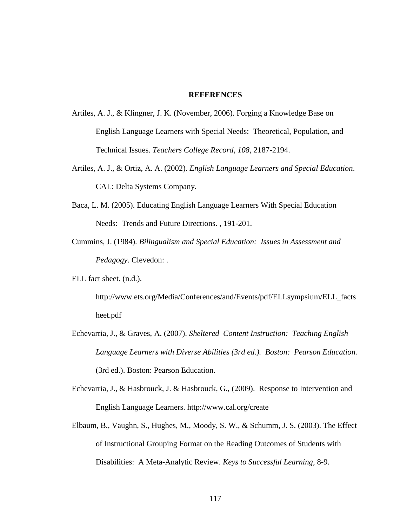### **REFERENCES**

- Artiles, A. J., & Klingner, J. K. (November, 2006). Forging a Knowledge Base on English Language Learners with Special Needs: Theoretical, Population, and Technical Issues. *Teachers College Record*, *108*, 2187-2194.
- Artiles, A. J., & Ortiz, A. A. (2002). *English Language Learners and Special Education*. CAL: Delta Systems Company.
- Baca, L. M. (2005). Educating English Language Learners With Special Education Needs: Trends and Future Directions. , 191-201.
- Cummins, J. (1984). *Bilingualism and Special Education: Issues in Assessment and Pedagogy*. Clevedon: .
- ELL fact sheet. (n.d.).

http://www.ets.org/Media/Conferences/and/Events/pdf/ELLsympsium/ELL\_facts heet.pdf

- Echevarria, J., & Graves, A. (2007). *Sheltered Content Instruction: Teaching English Language Learners with Diverse Abilities (3rd ed.). Boston: Pearson Education.*  (3rd ed.). Boston: Pearson Education.
- Echevarria, J., & Hasbrouck, J. & Hasbrouck, G., (2009). Response to Intervention and English Language Learners. http://www.cal.org/create
- Elbaum, B., Vaughn, S., Hughes, M., Moody, S. W., & Schumm, J. S. (2003). The Effect of Instructional Grouping Format on the Reading Outcomes of Students with Disabilities: A Meta-Analytic Review. *Keys to Successful Learning*, 8-9.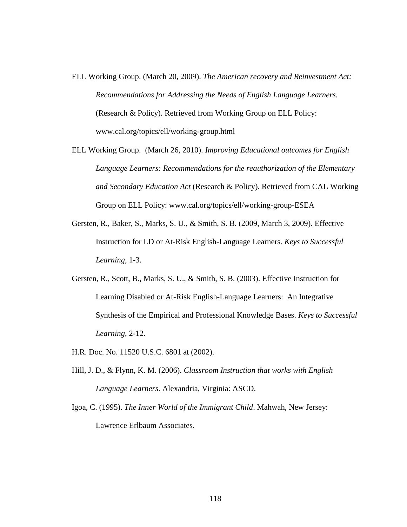- ELL Working Group. (March 20, 2009). *The American recovery and Reinvestment Act: Recommendations for Addressing the Needs of English Language Learners.* (Research & Policy). Retrieved from Working Group on ELL Policy: www.cal.org/topics/ell/working-group.html
- ELL Working Group. (March 26, 2010). *Improving Educational outcomes for English Language Learners: Recommendations for the reauthorization of the Elementary and Secondary Education Act* (Research & Policy). Retrieved from CAL Working Group on ELL Policy: www.cal.org/topics/ell/working-group-ESEA
- Gersten, R., Baker, S., Marks, S. U., & Smith, S. B. (2009, March 3, 2009). Effective Instruction for LD or At-Risk English-Language Learners. *Keys to Successful Learning*, 1-3.
- Gersten, R., Scott, B., Marks, S. U., & Smith, S. B. (2003). Effective Instruction for Learning Disabled or At-Risk English-Language Learners: An Integrative Synthesis of the Empirical and Professional Knowledge Bases. *Keys to Successful Learning*, 2-12.
- H.R. Doc. No. 11520 U.S.C. 6801 at (2002).
- Hill, J. D., & Flynn, K. M. (2006). *Classroom Instruction that works with English Language Learners*. Alexandria, Virginia: ASCD.
- Igoa, C. (1995). *The Inner World of the Immigrant Child*. Mahwah, New Jersey: Lawrence Erlbaum Associates.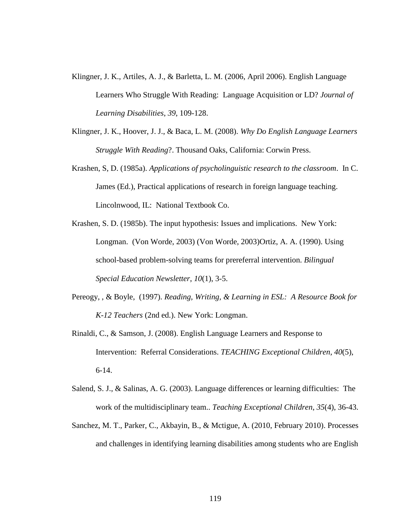- Klingner, J. K., Artiles, A. J., & Barletta, L. M. (2006, April 2006). English Language Learners Who Struggle With Reading: Language Acquisition or LD? *Journal of Learning Disabilities*, *39*, 109-128.
- Klingner, J. K., Hoover, J. J., & Baca, L. M. (2008). *Why Do English Language Learners Struggle With Reading*?. Thousand Oaks, California: Corwin Press.
- Krashen, S, D. (1985a). *Applications of psycholinguistic research to the classroom*. In C. James (Ed.), Practical applications of research in foreign language teaching. Lincolnwood, IL: National Textbook Co.
- Krashen, S. D. (1985b). The input hypothesis: Issues and implications. New York: Longman. (Von Worde, 2003) (Von Worde, 2003)Ortiz, A. A. (1990). Using school-based problem-solving teams for prereferral intervention. *Bilingual Special Education Newsletter*, *10*(1), 3-5.
- Pereogy, , & Boyle, (1997). *Reading, Writing, & Learning in ESL: A Resource Book for K-12 Teachers* (2nd ed.). New York: Longman.
- Rinaldi, C., & Samson, J. (2008). English Language Learners and Response to Intervention: Referral Considerations. *TEACHING Exceptional Children*, *40*(5), 6-14.
- Salend, S. J., & Salinas, A. G. (2003). Language differences or learning difficulties: The work of the multidisciplinary team.. *Teaching Exceptional Children*, *35*(4), 36-43.
- Sanchez, M. T., Parker, C., Akbayin, B., & Mctigue, A. (2010, February 2010). Processes and challenges in identifying learning disabilities among students who are English